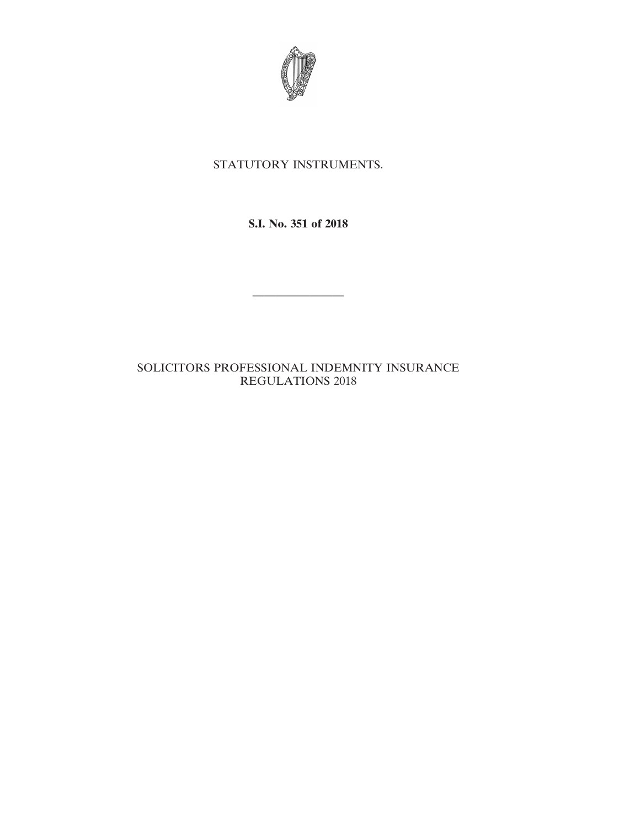

# STATUTORY INSTRUMENTS.

**S.I. No. 351 of 2018**

————————

# SOLICITORS PROFESSIONAL INDEMNITY INSURANCE REGULATIONS 2018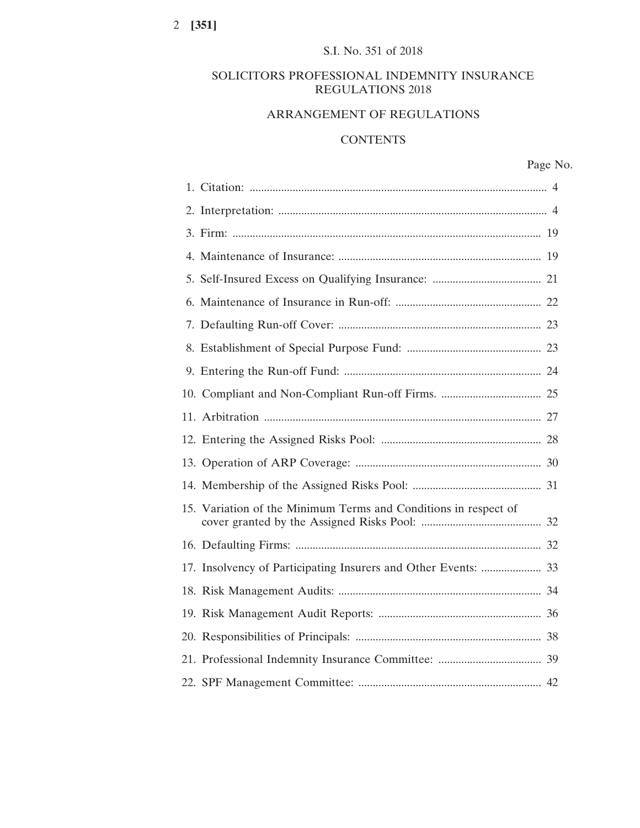# SOLICITORS PROFESSIONAL INDEMNITY INSURANCE REGULATIONS 2018

# ARRANGEMENT OF REGULATIONS

# **CONTENTS**

# Page No.

| 15. Variation of the Minimum Terms and Conditions in respect of |  |
|-----------------------------------------------------------------|--|
|                                                                 |  |
| 17. Insolvency of Participating Insurers and Other Events:  33  |  |
|                                                                 |  |
|                                                                 |  |
|                                                                 |  |
|                                                                 |  |
|                                                                 |  |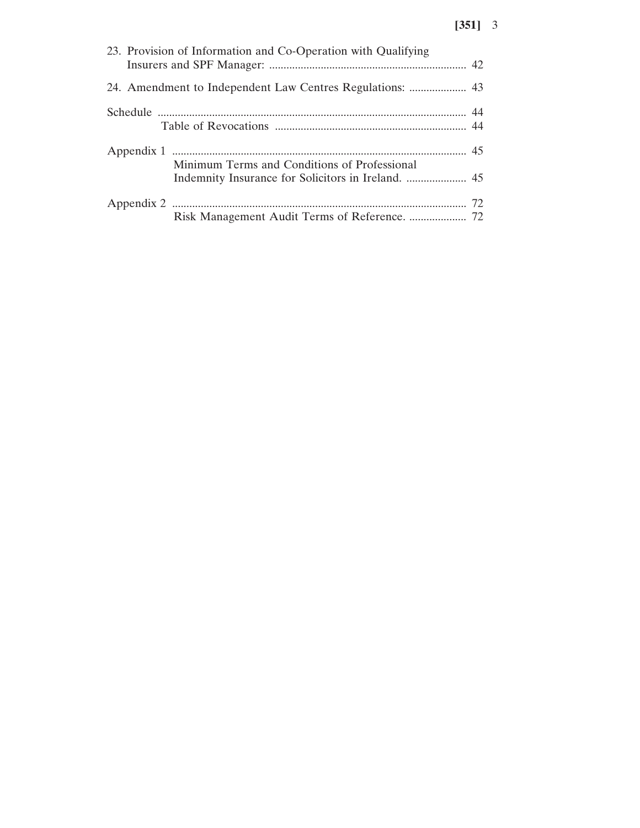| 23. Provision of Information and Co-Operation with Qualifying |  |
|---------------------------------------------------------------|--|
|                                                               |  |
|                                                               |  |
| Minimum Terms and Conditions of Professional                  |  |
|                                                               |  |
|                                                               |  |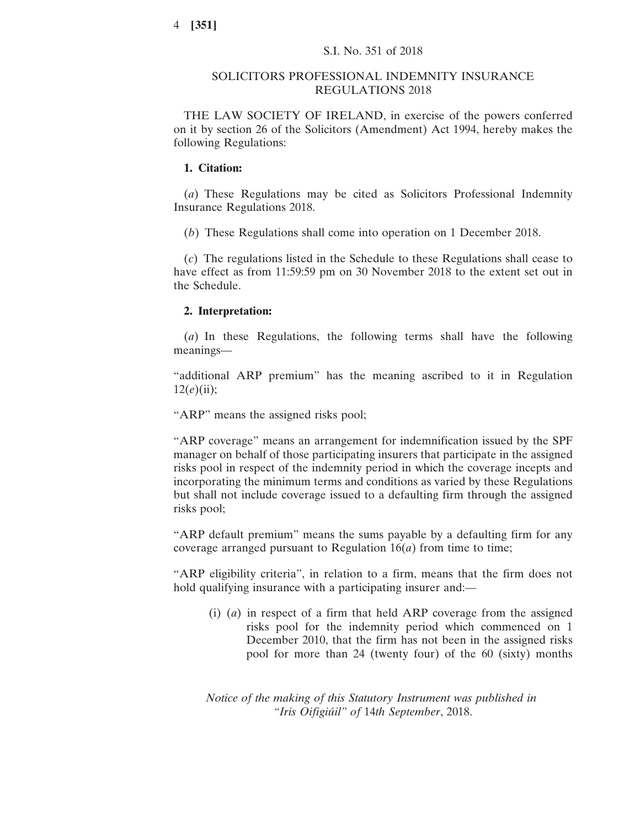# SOLICITORS PROFESSIONAL INDEMNITY INSURANCE REGULATIONS 2018

THE LAW SOCIETY OF IRELAND, in exercise of the powers conferred on it by section 26 of the Solicitors (Amendment) Act 1994, hereby makes the following Regulations:

# **1. Citation:**

(*a*) These Regulations may be cited as Solicitors Professional Indemnity Insurance Regulations 2018.

(*b*) These Regulations shall come into operation on 1 December 2018.

(*c*) The regulations listed in the Schedule to these Regulations shall cease to have effect as from 11:59:59 pm on 30 November 2018 to the extent set out in the Schedule.

# **2. Interpretation:**

(*a*) In these Regulations, the following terms shall have the following meanings—

"additional ARP premium" has the meaning ascribed to it in Regulation  $12(e)$ (ii);

"ARP" means the assigned risks pool;

"ARP coverage" means an arrangement for indemnification issued by the SPF manager on behalf of those participating insurers that participate in the assigned risks pool in respect of the indemnity period in which the coverage incepts and incorporating the minimum terms and conditions as varied by these Regulations but shall not include coverage issued to a defaulting firm through the assigned risks pool;

"ARP default premium" means the sums payable by a defaulting firm for any coverage arranged pursuant to Regulation  $16(a)$  from time to time;

"ARP eligibility criteria", in relation to a firm, means that the firm does not hold qualifying insurance with a participating insurer and:—

(i) (*a*) in respect of a firm that held ARP coverage from the assigned risks pool for the indemnity period which commenced on 1 December 2010, that the firm has not been in the assigned risks pool for more than 24 (twenty four) of the 60 (sixty) months

*Notice of the making of this Statutory Instrument was published in "Iris Oifigiúil" of* 14*th September*, 2018.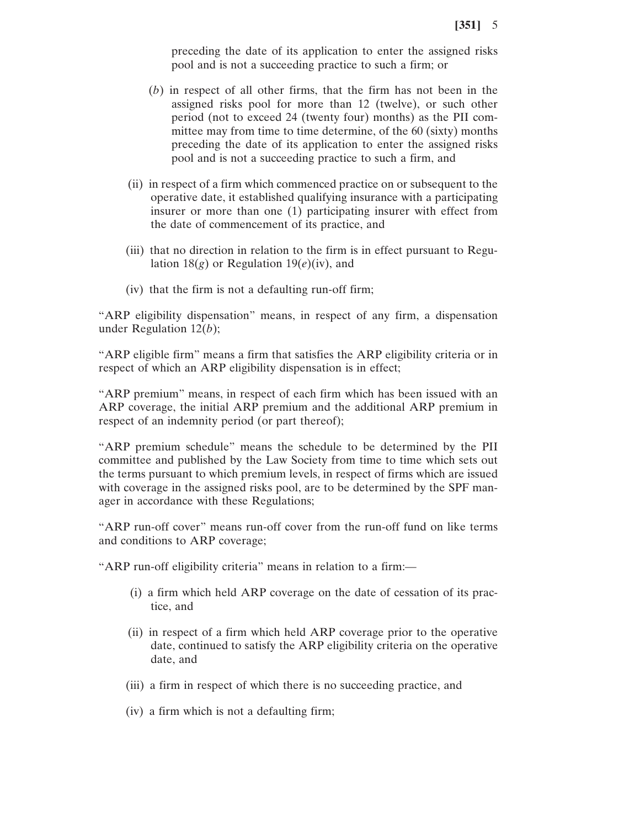preceding the date of its application to enter the assigned risks pool and is not a succeeding practice to such a firm; or

- (*b*) in respect of all other firms, that the firm has not been in the assigned risks pool for more than 12 (twelve), or such other period (not to exceed 24 (twenty four) months) as the PII committee may from time to time determine, of the 60 (sixty) months preceding the date of its application to enter the assigned risks pool and is not a succeeding practice to such a firm, and
- (ii) in respect of a firm which commenced practice on or subsequent to the operative date, it established qualifying insurance with a participating insurer or more than one (1) participating insurer with effect from the date of commencement of its practice, and
- (iii) that no direction in relation to the firm is in effect pursuant to Regulation  $18(g)$  or Regulation  $19(e)(iv)$ , and
- (iv) that the firm is not a defaulting run-off firm;

"ARP eligibility dispensation" means, in respect of any firm, a dispensation under Regulation 12(*b*);

"ARP eligible firm" means a firm that satisfies the ARP eligibility criteria or in respect of which an ARP eligibility dispensation is in effect;

"ARP premium" means, in respect of each firm which has been issued with an ARP coverage, the initial ARP premium and the additional ARP premium in respect of an indemnity period (or part thereof);

"ARP premium schedule" means the schedule to be determined by the PII committee and published by the Law Society from time to time which sets out the terms pursuant to which premium levels, in respect of firms which are issued with coverage in the assigned risks pool, are to be determined by the SPF manager in accordance with these Regulations;

"ARP run-off cover" means run-off cover from the run-off fund on like terms and conditions to ARP coverage;

"ARP run-off eligibility criteria" means in relation to a firm:—

- (i) a firm which held ARP coverage on the date of cessation of its practice, and
- (ii) in respect of a firm which held ARP coverage prior to the operative date, continued to satisfy the ARP eligibility criteria on the operative date, and
- (iii) a firm in respect of which there is no succeeding practice, and
- (iv) a firm which is not a defaulting firm;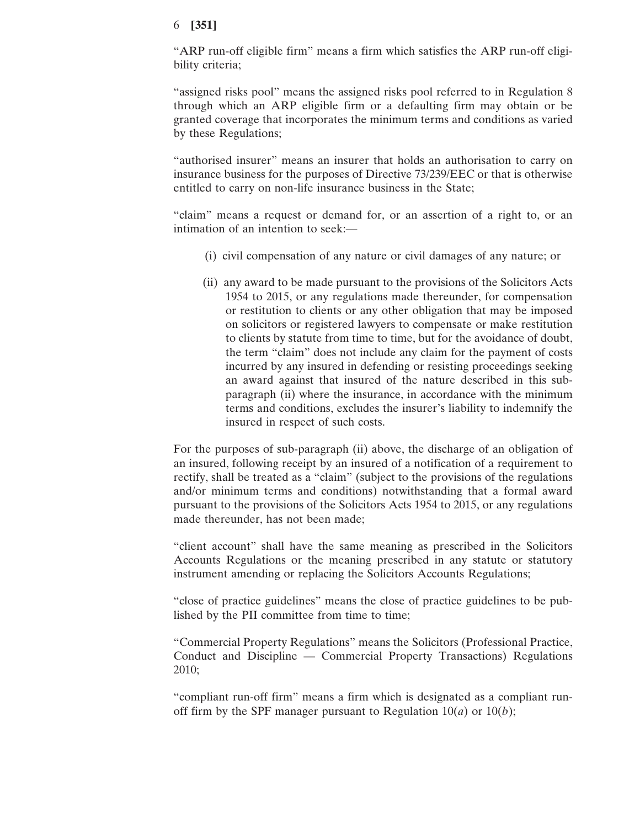"ARP run-off eligible firm" means a firm which satisfies the ARP run-off eligibility criteria;

"assigned risks pool" means the assigned risks pool referred to in Regulation 8 through which an ARP eligible firm or a defaulting firm may obtain or be granted coverage that incorporates the minimum terms and conditions as varied by these Regulations;

"authorised insurer" means an insurer that holds an authorisation to carry on insurance business for the purposes of Directive 73/239/EEC or that is otherwise entitled to carry on non-life insurance business in the State;

"claim" means a request or demand for, or an assertion of a right to, or an intimation of an intention to seek:—

- (i) civil compensation of any nature or civil damages of any nature; or
- (ii) any award to be made pursuant to the provisions of the Solicitors Acts 1954 to 2015, or any regulations made thereunder, for compensation or restitution to clients or any other obligation that may be imposed on solicitors or registered lawyers to compensate or make restitution to clients by statute from time to time, but for the avoidance of doubt, the term "claim" does not include any claim for the payment of costs incurred by any insured in defending or resisting proceedings seeking an award against that insured of the nature described in this subparagraph (ii) where the insurance, in accordance with the minimum terms and conditions, excludes the insurer's liability to indemnify the insured in respect of such costs.

For the purposes of sub-paragraph (ii) above, the discharge of an obligation of an insured, following receipt by an insured of a notification of a requirement to rectify, shall be treated as a "claim" (subject to the provisions of the regulations and/or minimum terms and conditions) notwithstanding that a formal award pursuant to the provisions of the Solicitors Acts 1954 to 2015, or any regulations made thereunder, has not been made;

"client account" shall have the same meaning as prescribed in the Solicitors Accounts Regulations or the meaning prescribed in any statute or statutory instrument amending or replacing the Solicitors Accounts Regulations;

"close of practice guidelines" means the close of practice guidelines to be published by the PII committee from time to time;

"Commercial Property Regulations" means the Solicitors (Professional Practice, Conduct and Discipline — Commercial Property Transactions) Regulations 2010;

"compliant run-off firm" means a firm which is designated as a compliant runoff firm by the SPF manager pursuant to Regulation  $10(a)$  or  $10(b)$ ;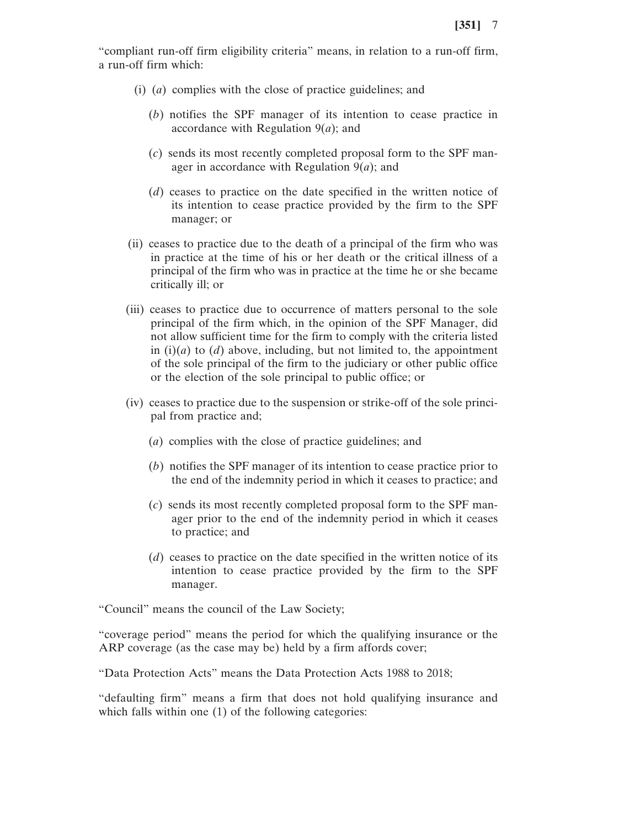"compliant run-off firm eligibility criteria" means, in relation to a run-off firm, a run-off firm which:

- (i) (*a*) complies with the close of practice guidelines; and
	- (*b*) notifies the SPF manager of its intention to cease practice in accordance with Regulation 9(*a*); and
	- (*c*) sends its most recently completed proposal form to the SPF manager in accordance with Regulation 9(*a*); and
	- (*d*) ceases to practice on the date specified in the written notice of its intention to cease practice provided by the firm to the SPF manager; or
- (ii) ceases to practice due to the death of a principal of the firm who was in practice at the time of his or her death or the critical illness of a principal of the firm who was in practice at the time he or she became critically ill; or
- (iii) ceases to practice due to occurrence of matters personal to the sole principal of the firm which, in the opinion of the SPF Manager, did not allow sufficient time for the firm to comply with the criteria listed in  $(i)(a)$  to  $(d)$  above, including, but not limited to, the appointment of the sole principal of the firm to the judiciary or other public office or the election of the sole principal to public office; or
- (iv) ceases to practice due to the suspension or strike-off of the sole principal from practice and;
	- (*a*) complies with the close of practice guidelines; and
	- (*b*) notifies the SPF manager of its intention to cease practice prior to the end of the indemnity period in which it ceases to practice; and
	- (*c*) sends its most recently completed proposal form to the SPF manager prior to the end of the indemnity period in which it ceases to practice; and
	- (*d*) ceases to practice on the date specified in the written notice of its intention to cease practice provided by the firm to the SPF manager.

"Council" means the council of the Law Society;

"coverage period" means the period for which the qualifying insurance or the ARP coverage (as the case may be) held by a firm affords cover;

"Data Protection Acts" means the Data Protection Acts 1988 to 2018;

"defaulting firm" means a firm that does not hold qualifying insurance and which falls within one (1) of the following categories: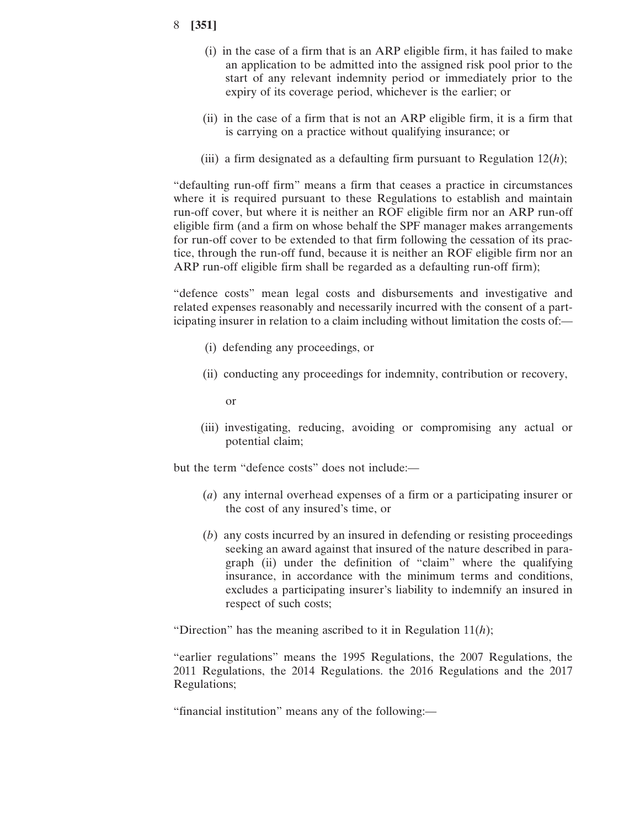- (i) in the case of a firm that is an ARP eligible firm, it has failed to make an application to be admitted into the assigned risk pool prior to the start of any relevant indemnity period or immediately prior to the expiry of its coverage period, whichever is the earlier; or
- (ii) in the case of a firm that is not an ARP eligible firm, it is a firm that is carrying on a practice without qualifying insurance; or
- (iii) a firm designated as a defaulting firm pursuant to Regulation 12(*h*);

"defaulting run-off firm" means a firm that ceases a practice in circumstances where it is required pursuant to these Regulations to establish and maintain run-off cover, but where it is neither an ROF eligible firm nor an ARP run-off eligible firm (and a firm on whose behalf the SPF manager makes arrangements for run-off cover to be extended to that firm following the cessation of its practice, through the run-off fund, because it is neither an ROF eligible firm nor an ARP run-off eligible firm shall be regarded as a defaulting run-off firm);

"defence costs" mean legal costs and disbursements and investigative and related expenses reasonably and necessarily incurred with the consent of a participating insurer in relation to a claim including without limitation the costs of:—

- (i) defending any proceedings, or
- (ii) conducting any proceedings for indemnity, contribution or recovery,

or

(iii) investigating, reducing, avoiding or compromising any actual or potential claim;

but the term "defence costs" does not include:—

- (*a*) any internal overhead expenses of a firm or a participating insurer or the cost of any insured's time, or
- (*b*) any costs incurred by an insured in defending or resisting proceedings seeking an award against that insured of the nature described in paragraph (ii) under the definition of "claim" where the qualifying insurance, in accordance with the minimum terms and conditions, excludes a participating insurer's liability to indemnify an insured in respect of such costs;

"Direction" has the meaning ascribed to it in Regulation 11(*h*);

"earlier regulations" means the 1995 Regulations, the 2007 Regulations, the 2011 Regulations, the 2014 Regulations. the 2016 Regulations and the 2017 Regulations;

"financial institution" means any of the following:—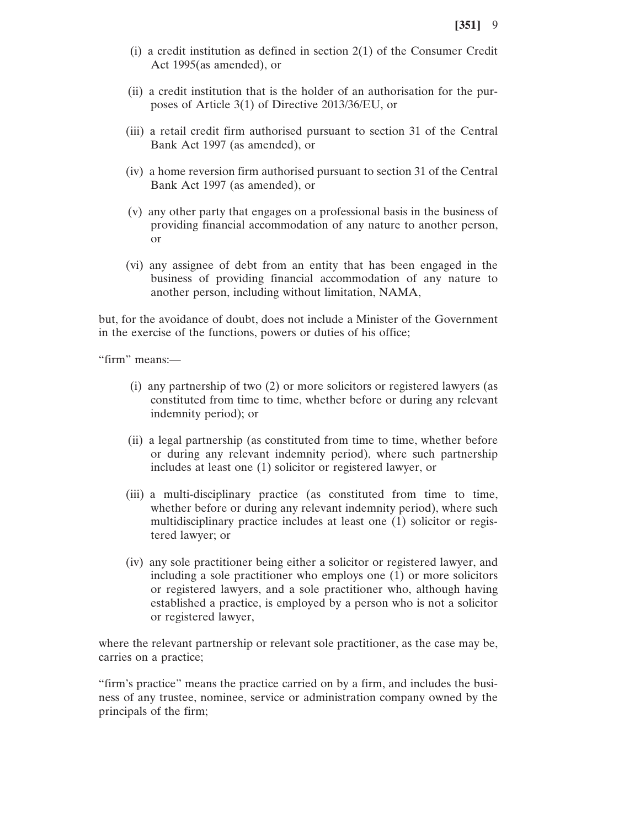- (i) a credit institution as defined in section 2(1) of the Consumer Credit Act 1995(as amended), or
- (ii) a credit institution that is the holder of an authorisation for the purposes of Article 3(1) of Directive 2013/36/EU, or
- (iii) a retail credit firm authorised pursuant to section 31 of the Central Bank Act 1997 (as amended), or
- (iv) a home reversion firm authorised pursuant to section 31 of the Central Bank Act 1997 (as amended), or
- (v) any other party that engages on a professional basis in the business of providing financial accommodation of any nature to another person, or
- (vi) any assignee of debt from an entity that has been engaged in the business of providing financial accommodation of any nature to another person, including without limitation, NAMA,

but, for the avoidance of doubt, does not include a Minister of the Government in the exercise of the functions, powers or duties of his office;

"firm" means:—

- (i) any partnership of two (2) or more solicitors or registered lawyers (as constituted from time to time, whether before or during any relevant indemnity period); or
- (ii) a legal partnership (as constituted from time to time, whether before or during any relevant indemnity period), where such partnership includes at least one (1) solicitor or registered lawyer, or
- (iii) a multi-disciplinary practice (as constituted from time to time, whether before or during any relevant indemnity period), where such multidisciplinary practice includes at least one (1) solicitor or registered lawyer; or
- (iv) any sole practitioner being either a solicitor or registered lawyer, and including a sole practitioner who employs one (1) or more solicitors or registered lawyers, and a sole practitioner who, although having established a practice, is employed by a person who is not a solicitor or registered lawyer,

where the relevant partnership or relevant sole practitioner, as the case may be, carries on a practice;

"firm's practice" means the practice carried on by a firm, and includes the business of any trustee, nominee, service or administration company owned by the principals of the firm;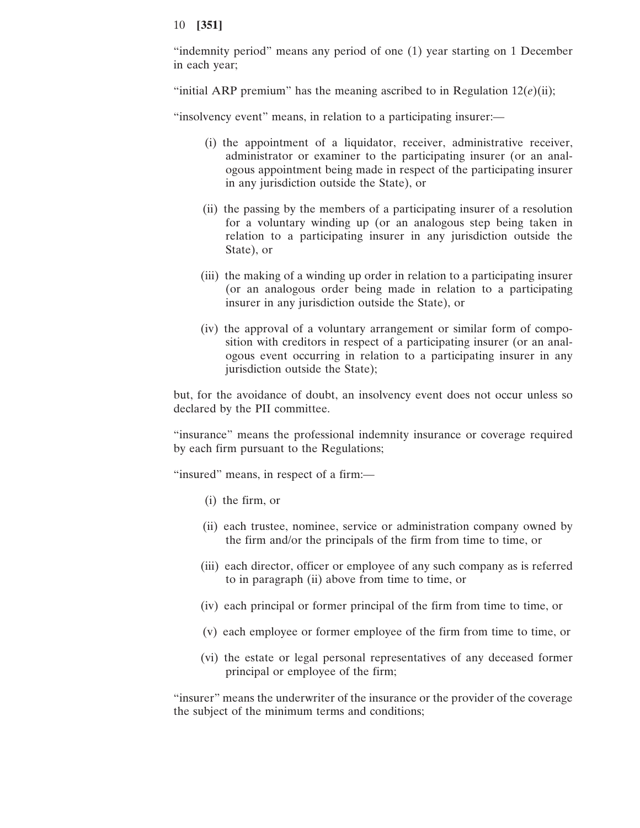"indemnity period" means any period of one (1) year starting on 1 December in each year;

"initial ARP premium" has the meaning ascribed to in Regulation  $12(e)$ (ii);

"insolvency event" means, in relation to a participating insurer:—

- (i) the appointment of a liquidator, receiver, administrative receiver, administrator or examiner to the participating insurer (or an analogous appointment being made in respect of the participating insurer in any jurisdiction outside the State), or
- (ii) the passing by the members of a participating insurer of a resolution for a voluntary winding up (or an analogous step being taken in relation to a participating insurer in any jurisdiction outside the State), or
- (iii) the making of a winding up order in relation to a participating insurer (or an analogous order being made in relation to a participating insurer in any jurisdiction outside the State), or
- (iv) the approval of a voluntary arrangement or similar form of composition with creditors in respect of a participating insurer (or an analogous event occurring in relation to a participating insurer in any jurisdiction outside the State);

but, for the avoidance of doubt, an insolvency event does not occur unless so declared by the PII committee.

"insurance" means the professional indemnity insurance or coverage required by each firm pursuant to the Regulations;

"insured" means, in respect of a firm:—

- (i) the firm, or
- (ii) each trustee, nominee, service or administration company owned by the firm and/or the principals of the firm from time to time, or
- (iii) each director, officer or employee of any such company as is referred to in paragraph (ii) above from time to time, or
- (iv) each principal or former principal of the firm from time to time, or
- (v) each employee or former employee of the firm from time to time, or
- (vi) the estate or legal personal representatives of any deceased former principal or employee of the firm;

"insurer" means the underwriter of the insurance or the provider of the coverage the subject of the minimum terms and conditions;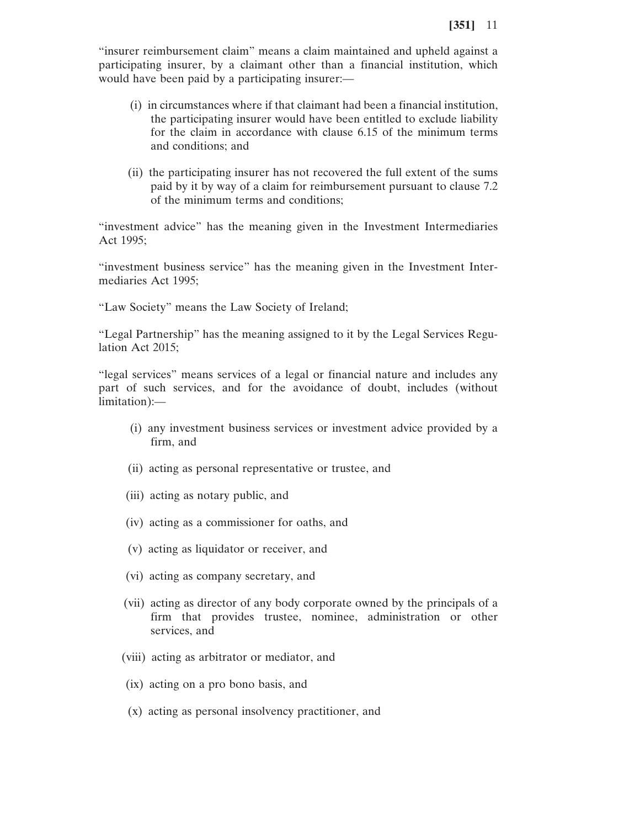"insurer reimbursement claim" means a claim maintained and upheld against a participating insurer, by a claimant other than a financial institution, which would have been paid by a participating insurer:—

- (i) in circumstances where if that claimant had been a financial institution, the participating insurer would have been entitled to exclude liability for the claim in accordance with clause 6.15 of the minimum terms and conditions; and
- (ii) the participating insurer has not recovered the full extent of the sums paid by it by way of a claim for reimbursement pursuant to clause 7.2 of the minimum terms and conditions;

"investment advice" has the meaning given in the Investment Intermediaries Act 1995;

"investment business service" has the meaning given in the Investment Intermediaries Act 1995;

"Law Society" means the Law Society of Ireland;

"Legal Partnership" has the meaning assigned to it by the Legal Services Regulation Act 2015;

"legal services" means services of a legal or financial nature and includes any part of such services, and for the avoidance of doubt, includes (without limitation):—

- (i) any investment business services or investment advice provided by a firm, and
- (ii) acting as personal representative or trustee, and
- (iii) acting as notary public, and
- (iv) acting as a commissioner for oaths, and
- (v) acting as liquidator or receiver, and
- (vi) acting as company secretary, and
- (vii) acting as director of any body corporate owned by the principals of a firm that provides trustee, nominee, administration or other services, and
- (viii) acting as arbitrator or mediator, and
- (ix) acting on a pro bono basis, and
- (x) acting as personal insolvency practitioner, and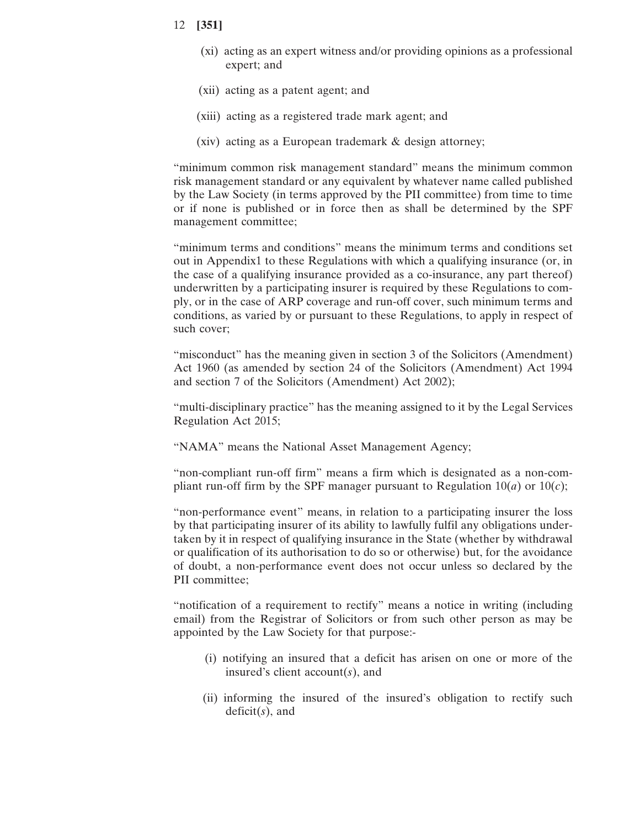- 12 **[351]**
	- (xi) acting as an expert witness and/or providing opinions as a professional expert; and
	- (xii) acting as a patent agent; and
	- (xiii) acting as a registered trade mark agent; and
	- (xiv) acting as a European trademark & design attorney;

"minimum common risk management standard" means the minimum common risk management standard or any equivalent by whatever name called published by the Law Society (in terms approved by the PII committee) from time to time or if none is published or in force then as shall be determined by the SPF management committee;

"minimum terms and conditions" means the minimum terms and conditions set out in Appendix1 to these Regulations with which a qualifying insurance (or, in the case of a qualifying insurance provided as a co-insurance, any part thereof) underwritten by a participating insurer is required by these Regulations to comply, or in the case of ARP coverage and run-off cover, such minimum terms and conditions, as varied by or pursuant to these Regulations, to apply in respect of such cover;

"misconduct" has the meaning given in section 3 of the Solicitors (Amendment) Act 1960 (as amended by section 24 of the Solicitors (Amendment) Act 1994 and section 7 of the Solicitors (Amendment) Act 2002);

"multi-disciplinary practice" has the meaning assigned to it by the Legal Services Regulation Act 2015;

"NAMA" means the National Asset Management Agency;

"non-compliant run-off firm" means a firm which is designated as a non-compliant run-off firm by the SPF manager pursuant to Regulation  $10(a)$  or  $10(c)$ ;

"non-performance event" means, in relation to a participating insurer the loss by that participating insurer of its ability to lawfully fulfil any obligations undertaken by it in respect of qualifying insurance in the State (whether by withdrawal or qualification of its authorisation to do so or otherwise) but, for the avoidance of doubt, a non-performance event does not occur unless so declared by the PII committee;

"notification of a requirement to rectify" means a notice in writing (including email) from the Registrar of Solicitors or from such other person as may be appointed by the Law Society for that purpose:-

- (i) notifying an insured that a deficit has arisen on one or more of the insured's client account(*s*), and
- (ii) informing the insured of the insured's obligation to rectify such deficit(*s*), and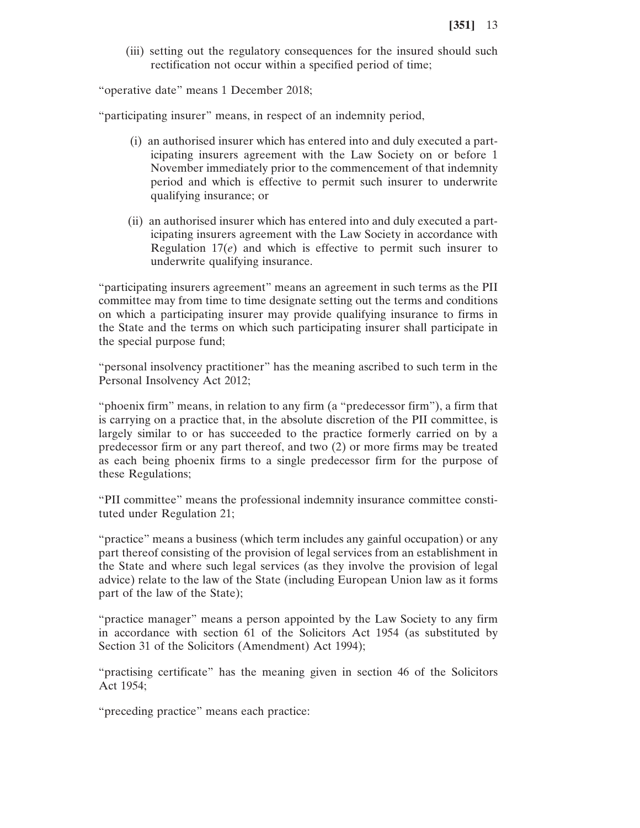(iii) setting out the regulatory consequences for the insured should such rectification not occur within a specified period of time;

"operative date" means 1 December 2018;

"participating insurer" means, in respect of an indemnity period,

- (i) an authorised insurer which has entered into and duly executed a participating insurers agreement with the Law Society on or before 1 November immediately prior to the commencement of that indemnity period and which is effective to permit such insurer to underwrite qualifying insurance; or
- (ii) an authorised insurer which has entered into and duly executed a participating insurers agreement with the Law Society in accordance with Regulation 17(*e*) and which is effective to permit such insurer to underwrite qualifying insurance.

"participating insurers agreement" means an agreement in such terms as the PII committee may from time to time designate setting out the terms and conditions on which a participating insurer may provide qualifying insurance to firms in the State and the terms on which such participating insurer shall participate in the special purpose fund;

"personal insolvency practitioner" has the meaning ascribed to such term in the Personal Insolvency Act 2012;

"phoenix firm" means, in relation to any firm (a "predecessor firm"), a firm that is carrying on a practice that, in the absolute discretion of the PII committee, is largely similar to or has succeeded to the practice formerly carried on by a predecessor firm or any part thereof, and two (2) or more firms may be treated as each being phoenix firms to a single predecessor firm for the purpose of these Regulations;

"PII committee" means the professional indemnity insurance committee constituted under Regulation 21;

"practice" means a business (which term includes any gainful occupation) or any part thereof consisting of the provision of legal services from an establishment in the State and where such legal services (as they involve the provision of legal advice) relate to the law of the State (including European Union law as it forms part of the law of the State);

"practice manager" means a person appointed by the Law Society to any firm in accordance with section 61 of the Solicitors Act 1954 (as substituted by Section 31 of the Solicitors (Amendment) Act 1994);

"practising certificate" has the meaning given in section 46 of the Solicitors Act 1954;

"preceding practice" means each practice: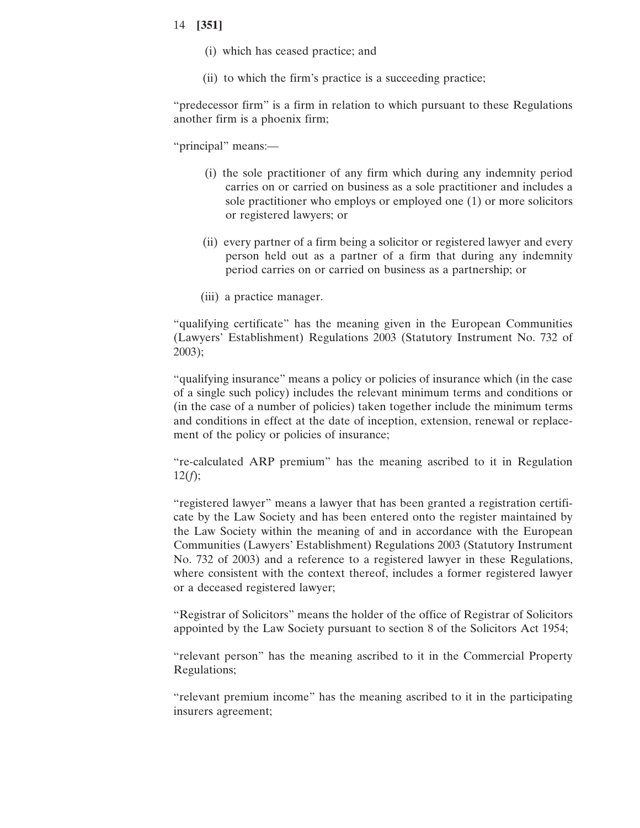- (i) which has ceased practice; and
- (ii) to which the firm's practice is a succeeding practice;

"predecessor firm" is a firm in relation to which pursuant to these Regulations another firm is a phoenix firm;

"principal" means:—

- (i) the sole practitioner of any firm which during any indemnity period carries on or carried on business as a sole practitioner and includes a sole practitioner who employs or employed one (1) or more solicitors or registered lawyers; or
- (ii) every partner of a firm being a solicitor or registered lawyer and every person held out as a partner of a firm that during any indemnity period carries on or carried on business as a partnership; or
- (iii) a practice manager.

"qualifying certificate" has the meaning given in the European Communities (Lawyers' Establishment) Regulations 2003 (Statutory Instrument No. 732 of 2003);

"qualifying insurance" means a policy or policies of insurance which (in the case of a single such policy) includes the relevant minimum terms and conditions or (in the case of a number of policies) taken together include the minimum terms and conditions in effect at the date of inception, extension, renewal or replacement of the policy or policies of insurance;

"re-calculated ARP premium" has the meaning ascribed to it in Regulation  $12(f);$ 

"registered lawyer" means a lawyer that has been granted a registration certificate by the Law Society and has been entered onto the register maintained by the Law Society within the meaning of and in accordance with the European Communities (Lawyers' Establishment) Regulations 2003 (Statutory Instrument No. 732 of 2003) and a reference to a registered lawyer in these Regulations, where consistent with the context thereof, includes a former registered lawyer or a deceased registered lawyer;

"Registrar of Solicitors" means the holder of the office of Registrar of Solicitors appointed by the Law Society pursuant to section 8 of the Solicitors Act 1954;

"relevant person" has the meaning ascribed to it in the Commercial Property Regulations;

"relevant premium income" has the meaning ascribed to it in the participating insurers agreement;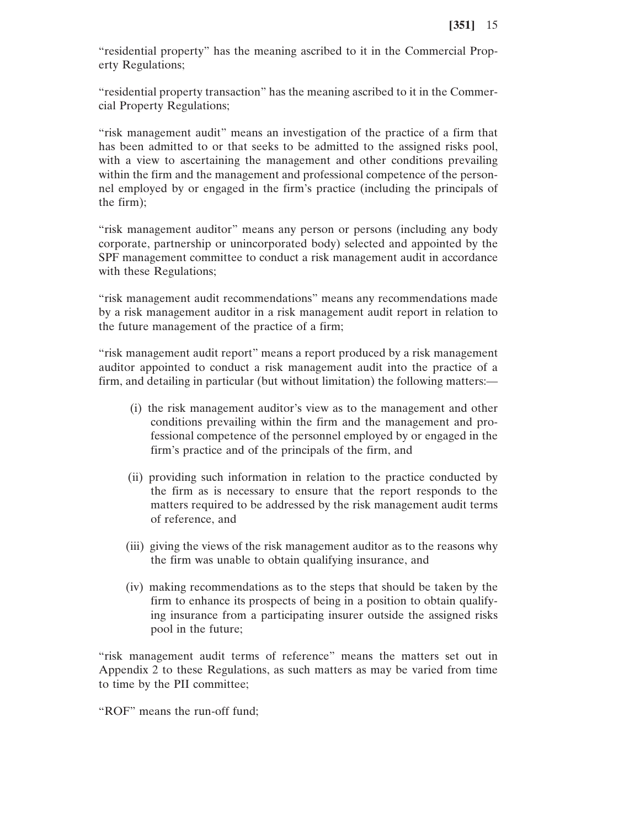"residential property" has the meaning ascribed to it in the Commercial Property Regulations;

"residential property transaction" has the meaning ascribed to it in the Commercial Property Regulations;

"risk management audit" means an investigation of the practice of a firm that has been admitted to or that seeks to be admitted to the assigned risks pool, with a view to ascertaining the management and other conditions prevailing within the firm and the management and professional competence of the personnel employed by or engaged in the firm's practice (including the principals of the firm);

"risk management auditor" means any person or persons (including any body corporate, partnership or unincorporated body) selected and appointed by the SPF management committee to conduct a risk management audit in accordance with these Regulations;

"risk management audit recommendations" means any recommendations made by a risk management auditor in a risk management audit report in relation to the future management of the practice of a firm;

"risk management audit report" means a report produced by a risk management auditor appointed to conduct a risk management audit into the practice of a firm, and detailing in particular (but without limitation) the following matters:—

- (i) the risk management auditor's view as to the management and other conditions prevailing within the firm and the management and professional competence of the personnel employed by or engaged in the firm's practice and of the principals of the firm, and
- (ii) providing such information in relation to the practice conducted by the firm as is necessary to ensure that the report responds to the matters required to be addressed by the risk management audit terms of reference, and
- (iii) giving the views of the risk management auditor as to the reasons why the firm was unable to obtain qualifying insurance, and
- (iv) making recommendations as to the steps that should be taken by the firm to enhance its prospects of being in a position to obtain qualifying insurance from a participating insurer outside the assigned risks pool in the future;

"risk management audit terms of reference" means the matters set out in Appendix 2 to these Regulations, as such matters as may be varied from time to time by the PII committee;

"ROF" means the run-off fund;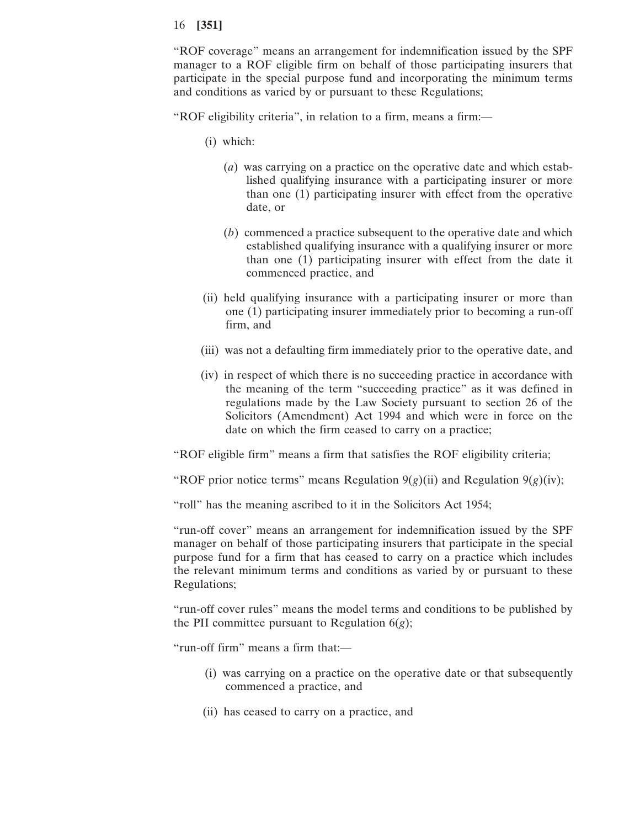"ROF coverage" means an arrangement for indemnification issued by the SPF manager to a ROF eligible firm on behalf of those participating insurers that participate in the special purpose fund and incorporating the minimum terms and conditions as varied by or pursuant to these Regulations;

"ROF eligibility criteria", in relation to a firm, means a firm:—

- (i) which:
	- (*a*) was carrying on a practice on the operative date and which established qualifying insurance with a participating insurer or more than one (1) participating insurer with effect from the operative date, or
	- (*b*) commenced a practice subsequent to the operative date and which established qualifying insurance with a qualifying insurer or more than one (1) participating insurer with effect from the date it commenced practice, and
- (ii) held qualifying insurance with a participating insurer or more than one (1) participating insurer immediately prior to becoming a run-off firm, and
- (iii) was not a defaulting firm immediately prior to the operative date, and
- (iv) in respect of which there is no succeeding practice in accordance with the meaning of the term "succeeding practice" as it was defined in regulations made by the Law Society pursuant to section 26 of the Solicitors (Amendment) Act 1994 and which were in force on the date on which the firm ceased to carry on a practice;

"ROF eligible firm" means a firm that satisfies the ROF eligibility criteria;

"ROF prior notice terms" means Regulation  $9(g)(ii)$  and Regulation  $9(g)(iv)$ ;

"roll" has the meaning ascribed to it in the Solicitors Act 1954;

"run-off cover" means an arrangement for indemnification issued by the SPF manager on behalf of those participating insurers that participate in the special purpose fund for a firm that has ceased to carry on a practice which includes the relevant minimum terms and conditions as varied by or pursuant to these Regulations;

"run-off cover rules" means the model terms and conditions to be published by the PII committee pursuant to Regulation  $6(g)$ ;

"run-off firm" means a firm that:—

- (i) was carrying on a practice on the operative date or that subsequently commenced a practice, and
- (ii) has ceased to carry on a practice, and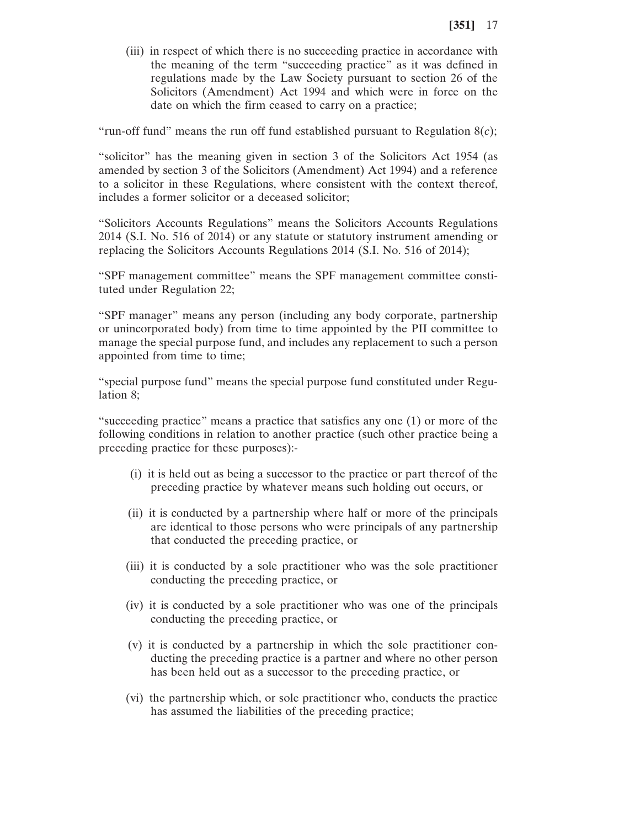(iii) in respect of which there is no succeeding practice in accordance with the meaning of the term "succeeding practice" as it was defined in regulations made by the Law Society pursuant to section 26 of the Solicitors (Amendment) Act 1994 and which were in force on the date on which the firm ceased to carry on a practice;

"run-off fund" means the run off fund established pursuant to Regulation  $8(c)$ ;

"solicitor" has the meaning given in section 3 of the Solicitors Act 1954 (as amended by section 3 of the Solicitors (Amendment) Act 1994) and a reference to a solicitor in these Regulations, where consistent with the context thereof, includes a former solicitor or a deceased solicitor;

"Solicitors Accounts Regulations" means the Solicitors Accounts Regulations 2014 (S.I. No. 516 of 2014) or any statute or statutory instrument amending or replacing the Solicitors Accounts Regulations 2014 (S.I. No. 516 of 2014);

"SPF management committee" means the SPF management committee constituted under Regulation 22;

"SPF manager" means any person (including any body corporate, partnership or unincorporated body) from time to time appointed by the PII committee to manage the special purpose fund, and includes any replacement to such a person appointed from time to time;

"special purpose fund" means the special purpose fund constituted under Regulation 8;

"succeeding practice" means a practice that satisfies any one (1) or more of the following conditions in relation to another practice (such other practice being a preceding practice for these purposes):-

- (i) it is held out as being a successor to the practice or part thereof of the preceding practice by whatever means such holding out occurs, or
- (ii) it is conducted by a partnership where half or more of the principals are identical to those persons who were principals of any partnership that conducted the preceding practice, or
- (iii) it is conducted by a sole practitioner who was the sole practitioner conducting the preceding practice, or
- (iv) it is conducted by a sole practitioner who was one of the principals conducting the preceding practice, or
- (v) it is conducted by a partnership in which the sole practitioner conducting the preceding practice is a partner and where no other person has been held out as a successor to the preceding practice, or
- (vi) the partnership which, or sole practitioner who, conducts the practice has assumed the liabilities of the preceding practice;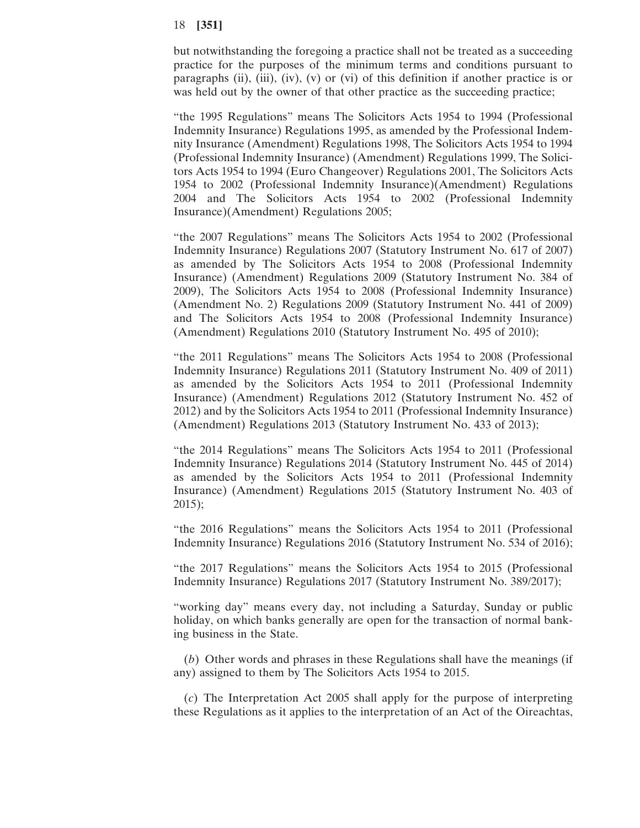but notwithstanding the foregoing a practice shall not be treated as a succeeding practice for the purposes of the minimum terms and conditions pursuant to paragraphs (ii), (iii), (iv), (v) or (vi) of this definition if another practice is or was held out by the owner of that other practice as the succeeding practice;

"the 1995 Regulations" means The Solicitors Acts 1954 to 1994 (Professional Indemnity Insurance) Regulations 1995, as amended by the Professional Indemnity Insurance (Amendment) Regulations 1998, The Solicitors Acts 1954 to 1994 (Professional Indemnity Insurance) (Amendment) Regulations 1999, The Solicitors Acts 1954 to 1994 (Euro Changeover) Regulations 2001, The Solicitors Acts 1954 to 2002 (Professional Indemnity Insurance)(Amendment) Regulations 2004 and The Solicitors Acts 1954 to 2002 (Professional Indemnity Insurance)(Amendment) Regulations 2005;

"the 2007 Regulations" means The Solicitors Acts 1954 to 2002 (Professional Indemnity Insurance) Regulations 2007 (Statutory Instrument No. 617 of 2007) as amended by The Solicitors Acts 1954 to 2008 (Professional Indemnity Insurance) (Amendment) Regulations 2009 (Statutory Instrument No. 384 of 2009), The Solicitors Acts 1954 to 2008 (Professional Indemnity Insurance) (Amendment No. 2) Regulations 2009 (Statutory Instrument No. 441 of 2009) and The Solicitors Acts 1954 to 2008 (Professional Indemnity Insurance) (Amendment) Regulations 2010 (Statutory Instrument No. 495 of 2010);

"the 2011 Regulations" means The Solicitors Acts 1954 to 2008 (Professional Indemnity Insurance) Regulations 2011 (Statutory Instrument No. 409 of 2011) as amended by the Solicitors Acts 1954 to 2011 (Professional Indemnity Insurance) (Amendment) Regulations 2012 (Statutory Instrument No. 452 of 2012) and by the Solicitors Acts 1954 to 2011 (Professional Indemnity Insurance) (Amendment) Regulations 2013 (Statutory Instrument No. 433 of 2013);

"the 2014 Regulations" means The Solicitors Acts 1954 to 2011 (Professional Indemnity Insurance) Regulations 2014 (Statutory Instrument No. 445 of 2014) as amended by the Solicitors Acts 1954 to 2011 (Professional Indemnity Insurance) (Amendment) Regulations 2015 (Statutory Instrument No. 403 of 2015);

"the 2016 Regulations" means the Solicitors Acts 1954 to 2011 (Professional Indemnity Insurance) Regulations 2016 (Statutory Instrument No. 534 of 2016);

"the 2017 Regulations" means the Solicitors Acts 1954 to 2015 (Professional Indemnity Insurance) Regulations 2017 (Statutory Instrument No. 389/2017);

"working day" means every day, not including a Saturday, Sunday or public holiday, on which banks generally are open for the transaction of normal banking business in the State.

(*b*) Other words and phrases in these Regulations shall have the meanings (if any) assigned to them by The Solicitors Acts 1954 to 2015.

(*c*) The Interpretation Act 2005 shall apply for the purpose of interpreting these Regulations as it applies to the interpretation of an Act of the Oireachtas,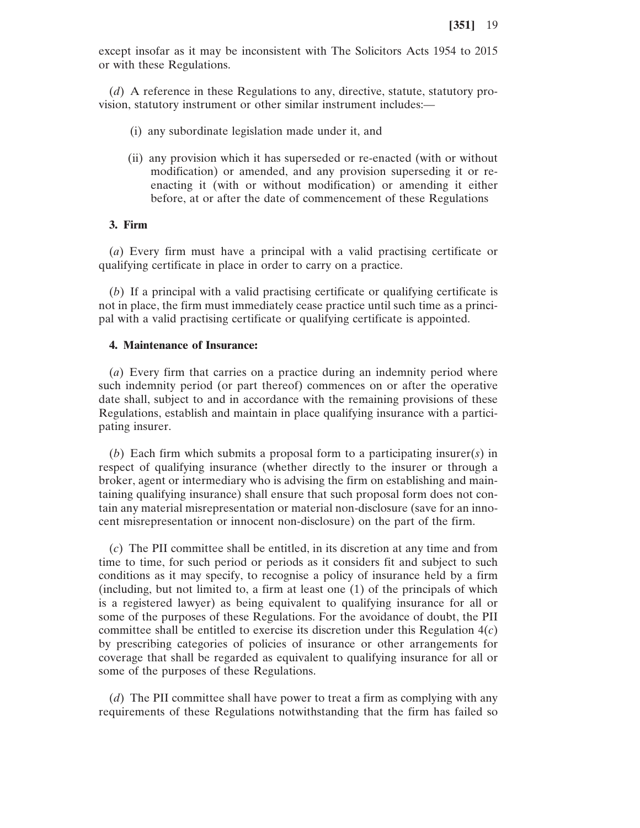except insofar as it may be inconsistent with The Solicitors Acts 1954 to 2015 or with these Regulations.

(*d*) A reference in these Regulations to any, directive, statute, statutory provision, statutory instrument or other similar instrument includes:—

- (i) any subordinate legislation made under it, and
- (ii) any provision which it has superseded or re-enacted (with or without modification) or amended, and any provision superseding it or reenacting it (with or without modification) or amending it either before, at or after the date of commencement of these Regulations

# **3. Firm**

(*a*) Every firm must have a principal with a valid practising certificate or qualifying certificate in place in order to carry on a practice.

(*b*) If a principal with a valid practising certificate or qualifying certificate is not in place, the firm must immediately cease practice until such time as a principal with a valid practising certificate or qualifying certificate is appointed.

## **4. Maintenance of Insurance:**

(*a*) Every firm that carries on a practice during an indemnity period where such indemnity period (or part thereof) commences on or after the operative date shall, subject to and in accordance with the remaining provisions of these Regulations, establish and maintain in place qualifying insurance with a participating insurer.

(*b*) Each firm which submits a proposal form to a participating insurer(*s*) in respect of qualifying insurance (whether directly to the insurer or through a broker, agent or intermediary who is advising the firm on establishing and maintaining qualifying insurance) shall ensure that such proposal form does not contain any material misrepresentation or material non-disclosure (save for an innocent misrepresentation or innocent non-disclosure) on the part of the firm.

(*c*) The PII committee shall be entitled, in its discretion at any time and from time to time, for such period or periods as it considers fit and subject to such conditions as it may specify, to recognise a policy of insurance held by a firm (including, but not limited to, a firm at least one (1) of the principals of which is a registered lawyer) as being equivalent to qualifying insurance for all or some of the purposes of these Regulations. For the avoidance of doubt, the PII committee shall be entitled to exercise its discretion under this Regulation 4(*c*) by prescribing categories of policies of insurance or other arrangements for coverage that shall be regarded as equivalent to qualifying insurance for all or some of the purposes of these Regulations.

(*d*) The PII committee shall have power to treat a firm as complying with any requirements of these Regulations notwithstanding that the firm has failed so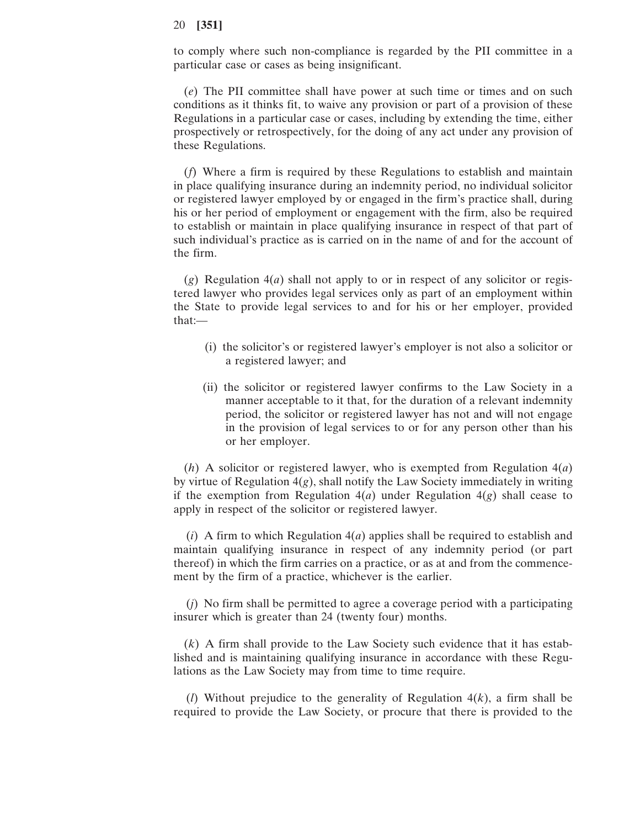to comply where such non-compliance is regarded by the PII committee in a particular case or cases as being insignificant.

(*e*) The PII committee shall have power at such time or times and on such conditions as it thinks fit, to waive any provision or part of a provision of these Regulations in a particular case or cases, including by extending the time, either prospectively or retrospectively, for the doing of any act under any provision of these Regulations.

(*f*) Where a firm is required by these Regulations to establish and maintain in place qualifying insurance during an indemnity period, no individual solicitor or registered lawyer employed by or engaged in the firm's practice shall, during his or her period of employment or engagement with the firm, also be required to establish or maintain in place qualifying insurance in respect of that part of such individual's practice as is carried on in the name of and for the account of the firm.

(*g*) Regulation 4(*a*) shall not apply to or in respect of any solicitor or registered lawyer who provides legal services only as part of an employment within the State to provide legal services to and for his or her employer, provided that:—

- (i) the solicitor's or registered lawyer's employer is not also a solicitor or a registered lawyer; and
- (ii) the solicitor or registered lawyer confirms to the Law Society in a manner acceptable to it that, for the duration of a relevant indemnity period, the solicitor or registered lawyer has not and will not engage in the provision of legal services to or for any person other than his or her employer.

(*h*) A solicitor or registered lawyer, who is exempted from Regulation 4(*a*) by virtue of Regulation 4(*g*), shall notify the Law Society immediately in writing if the exemption from Regulation  $4(a)$  under Regulation  $4(g)$  shall cease to apply in respect of the solicitor or registered lawyer.

(*i*) A firm to which Regulation 4(*a*) applies shall be required to establish and maintain qualifying insurance in respect of any indemnity period (or part thereof) in which the firm carries on a practice, or as at and from the commencement by the firm of a practice, whichever is the earlier.

(*j*) No firm shall be permitted to agree a coverage period with a participating insurer which is greater than 24 (twenty four) months.

(*k*) A firm shall provide to the Law Society such evidence that it has established and is maintaining qualifying insurance in accordance with these Regulations as the Law Society may from time to time require.

(*l*) Without prejudice to the generality of Regulation 4(*k*), a firm shall be required to provide the Law Society, or procure that there is provided to the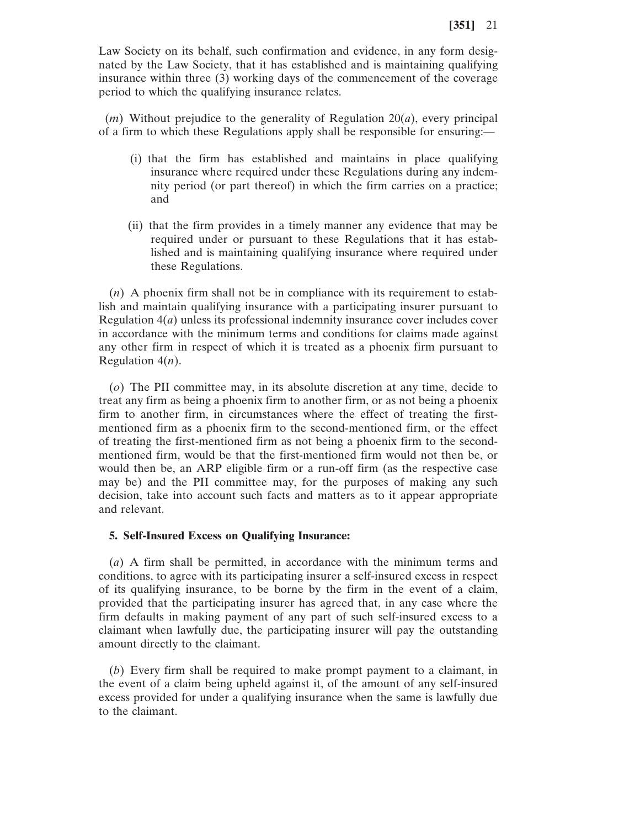Law Society on its behalf, such confirmation and evidence, in any form designated by the Law Society, that it has established and is maintaining qualifying insurance within three (3) working days of the commencement of the coverage period to which the qualifying insurance relates.

(*m*) Without prejudice to the generality of Regulation 20(*a*), every principal of a firm to which these Regulations apply shall be responsible for ensuring:—

- (i) that the firm has established and maintains in place qualifying insurance where required under these Regulations during any indemnity period (or part thereof) in which the firm carries on a practice; and
- (ii) that the firm provides in a timely manner any evidence that may be required under or pursuant to these Regulations that it has established and is maintaining qualifying insurance where required under these Regulations.

(*n*) A phoenix firm shall not be in compliance with its requirement to establish and maintain qualifying insurance with a participating insurer pursuant to Regulation 4(*a*) unless its professional indemnity insurance cover includes cover in accordance with the minimum terms and conditions for claims made against any other firm in respect of which it is treated as a phoenix firm pursuant to Regulation 4(*n*).

(*o*) The PII committee may, in its absolute discretion at any time, decide to treat any firm as being a phoenix firm to another firm, or as not being a phoenix firm to another firm, in circumstances where the effect of treating the firstmentioned firm as a phoenix firm to the second-mentioned firm, or the effect of treating the first-mentioned firm as not being a phoenix firm to the secondmentioned firm, would be that the first-mentioned firm would not then be, or would then be, an ARP eligible firm or a run-off firm (as the respective case may be) and the PII committee may, for the purposes of making any such decision, take into account such facts and matters as to it appear appropriate and relevant.

#### **5. Self-Insured Excess on Qualifying Insurance:**

(*a*) A firm shall be permitted, in accordance with the minimum terms and conditions, to agree with its participating insurer a self-insured excess in respect of its qualifying insurance, to be borne by the firm in the event of a claim, provided that the participating insurer has agreed that, in any case where the firm defaults in making payment of any part of such self-insured excess to a claimant when lawfully due, the participating insurer will pay the outstanding amount directly to the claimant.

(*b*) Every firm shall be required to make prompt payment to a claimant, in the event of a claim being upheld against it, of the amount of any self-insured excess provided for under a qualifying insurance when the same is lawfully due to the claimant.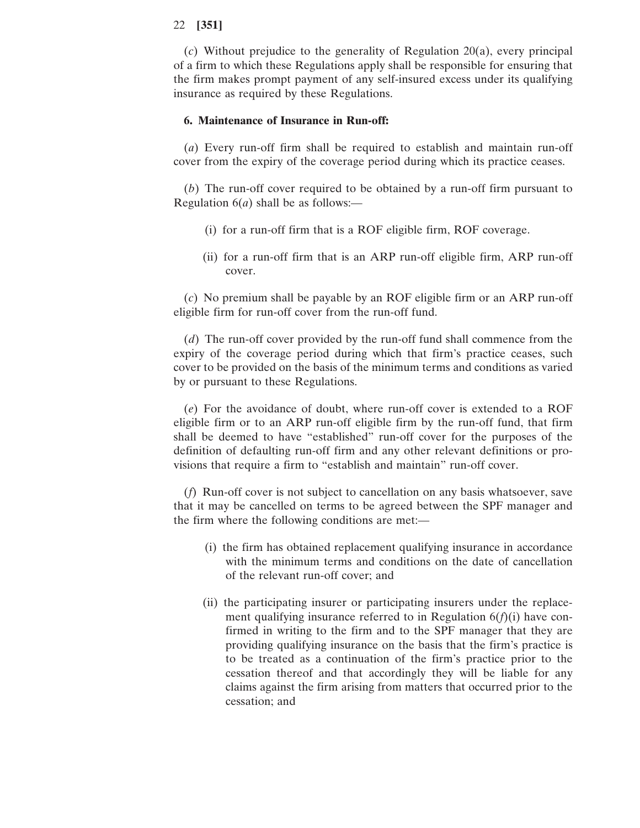(*c*) Without prejudice to the generality of Regulation 20(a), every principal of a firm to which these Regulations apply shall be responsible for ensuring that the firm makes prompt payment of any self-insured excess under its qualifying insurance as required by these Regulations.

## **6. Maintenance of Insurance in Run-off:**

(*a*) Every run-off firm shall be required to establish and maintain run-off cover from the expiry of the coverage period during which its practice ceases.

(*b*) The run-off cover required to be obtained by a run-off firm pursuant to Regulation 6(*a*) shall be as follows:—

- (i) for a run-off firm that is a ROF eligible firm, ROF coverage.
- (ii) for a run-off firm that is an ARP run-off eligible firm, ARP run-off cover.

(*c*) No premium shall be payable by an ROF eligible firm or an ARP run-off eligible firm for run-off cover from the run-off fund.

(*d*) The run-off cover provided by the run-off fund shall commence from the expiry of the coverage period during which that firm's practice ceases, such cover to be provided on the basis of the minimum terms and conditions as varied by or pursuant to these Regulations.

(*e*) For the avoidance of doubt, where run-off cover is extended to a ROF eligible firm or to an ARP run-off eligible firm by the run-off fund, that firm shall be deemed to have "established" run-off cover for the purposes of the definition of defaulting run-off firm and any other relevant definitions or provisions that require a firm to "establish and maintain" run-off cover.

(*f*) Run-off cover is not subject to cancellation on any basis whatsoever, save that it may be cancelled on terms to be agreed between the SPF manager and the firm where the following conditions are met:—

- (i) the firm has obtained replacement qualifying insurance in accordance with the minimum terms and conditions on the date of cancellation of the relevant run-off cover; and
- (ii) the participating insurer or participating insurers under the replacement qualifying insurance referred to in Regulation 6(*f*)(i) have confirmed in writing to the firm and to the SPF manager that they are providing qualifying insurance on the basis that the firm's practice is to be treated as a continuation of the firm's practice prior to the cessation thereof and that accordingly they will be liable for any claims against the firm arising from matters that occurred prior to the cessation; and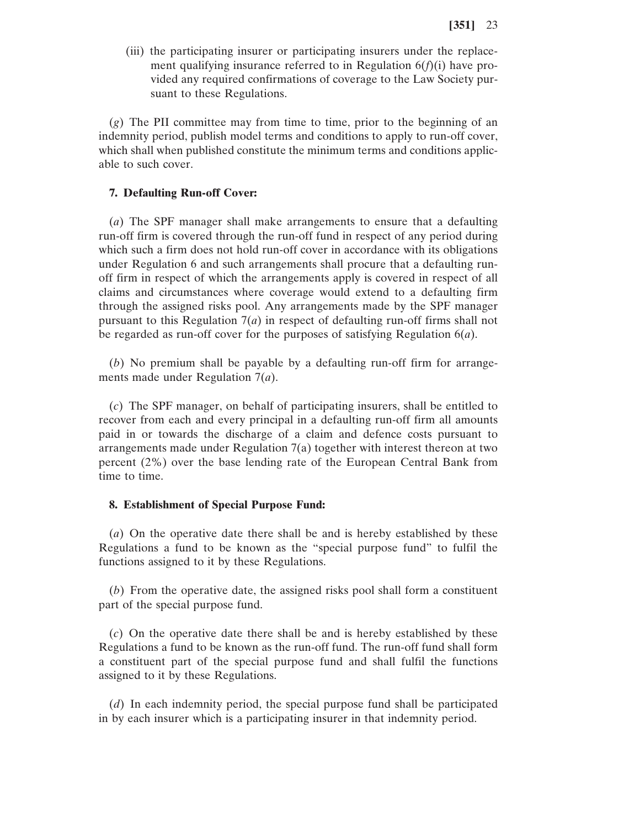(iii) the participating insurer or participating insurers under the replacement qualifying insurance referred to in Regulation 6(*f*)(i) have provided any required confirmations of coverage to the Law Society pursuant to these Regulations.

(*g*) The PII committee may from time to time, prior to the beginning of an indemnity period, publish model terms and conditions to apply to run-off cover, which shall when published constitute the minimum terms and conditions applicable to such cover.

#### **7. Defaulting Run-off Cover:**

(*a*) The SPF manager shall make arrangements to ensure that a defaulting run-off firm is covered through the run-off fund in respect of any period during which such a firm does not hold run-off cover in accordance with its obligations under Regulation 6 and such arrangements shall procure that a defaulting runoff firm in respect of which the arrangements apply is covered in respect of all claims and circumstances where coverage would extend to a defaulting firm through the assigned risks pool. Any arrangements made by the SPF manager pursuant to this Regulation  $7(a)$  in respect of defaulting run-off firms shall not be regarded as run-off cover for the purposes of satisfying Regulation 6(*a*).

(*b*) No premium shall be payable by a defaulting run-off firm for arrangements made under Regulation 7(*a*).

(*c*) The SPF manager, on behalf of participating insurers, shall be entitled to recover from each and every principal in a defaulting run-off firm all amounts paid in or towards the discharge of a claim and defence costs pursuant to arrangements made under Regulation 7(a) together with interest thereon at two percent (2%) over the base lending rate of the European Central Bank from time to time.

#### **8. Establishment of Special Purpose Fund:**

(*a*) On the operative date there shall be and is hereby established by these Regulations a fund to be known as the "special purpose fund" to fulfil the functions assigned to it by these Regulations.

(*b*) From the operative date, the assigned risks pool shall form a constituent part of the special purpose fund.

(*c*) On the operative date there shall be and is hereby established by these Regulations a fund to be known as the run-off fund. The run-off fund shall form a constituent part of the special purpose fund and shall fulfil the functions assigned to it by these Regulations.

(*d*) In each indemnity period, the special purpose fund shall be participated in by each insurer which is a participating insurer in that indemnity period.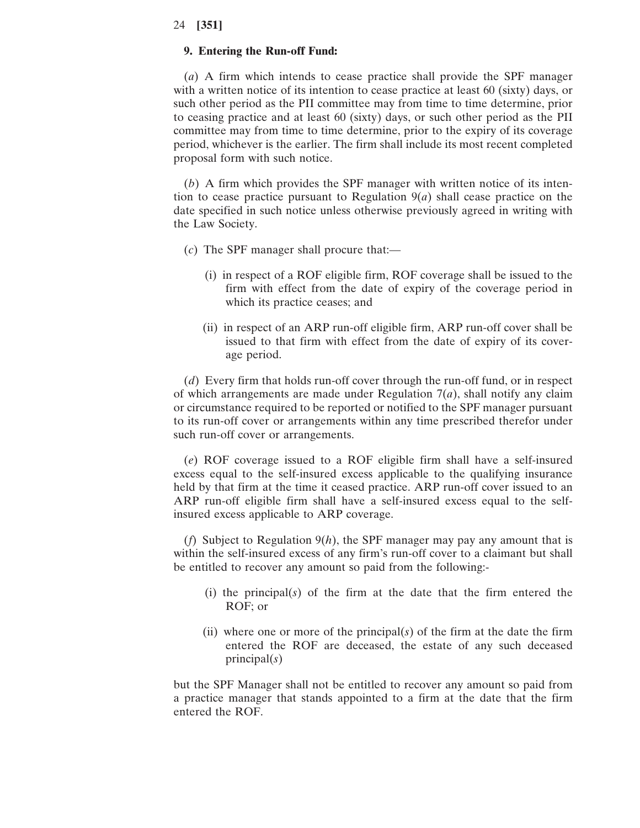# **9. Entering the Run-off Fund:**

(*a*) A firm which intends to cease practice shall provide the SPF manager with a written notice of its intention to cease practice at least 60 (sixty) days, or such other period as the PII committee may from time to time determine, prior to ceasing practice and at least 60 (sixty) days, or such other period as the PII committee may from time to time determine, prior to the expiry of its coverage period, whichever is the earlier. The firm shall include its most recent completed proposal form with such notice.

(*b*) A firm which provides the SPF manager with written notice of its intention to cease practice pursuant to Regulation 9(*a*) shall cease practice on the date specified in such notice unless otherwise previously agreed in writing with the Law Society.

- (*c*) The SPF manager shall procure that:—
	- (i) in respect of a ROF eligible firm, ROF coverage shall be issued to the firm with effect from the date of expiry of the coverage period in which its practice ceases; and
	- (ii) in respect of an ARP run-off eligible firm, ARP run-off cover shall be issued to that firm with effect from the date of expiry of its coverage period.

(*d*) Every firm that holds run-off cover through the run-off fund, or in respect of which arrangements are made under Regulation 7(*a*), shall notify any claim or circumstance required to be reported or notified to the SPF manager pursuant to its run-off cover or arrangements within any time prescribed therefor under such run-off cover or arrangements.

(*e*) ROF coverage issued to a ROF eligible firm shall have a self-insured excess equal to the self-insured excess applicable to the qualifying insurance held by that firm at the time it ceased practice. ARP run-off cover issued to an ARP run-off eligible firm shall have a self-insured excess equal to the selfinsured excess applicable to ARP coverage.

(*f*) Subject to Regulation 9(*h*), the SPF manager may pay any amount that is within the self-insured excess of any firm's run-off cover to a claimant but shall be entitled to recover any amount so paid from the following:-

- (i) the principal(*s*) of the firm at the date that the firm entered the ROF; or
- (ii) where one or more of the principal(*s*) of the firm at the date the firm entered the ROF are deceased, the estate of any such deceased principal(*s*)

but the SPF Manager shall not be entitled to recover any amount so paid from a practice manager that stands appointed to a firm at the date that the firm entered the ROF.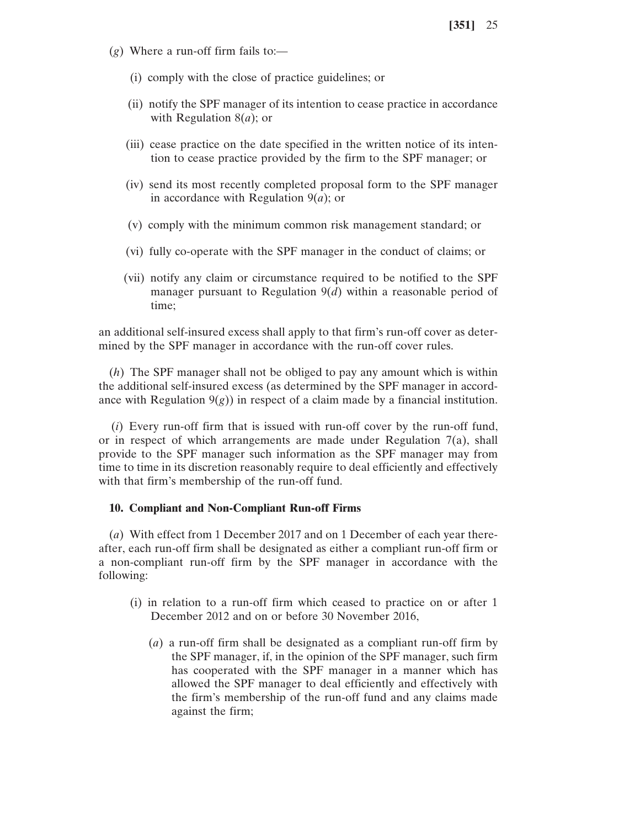- (*g*) Where a run-off firm fails to:—
	- (i) comply with the close of practice guidelines; or
	- (ii) notify the SPF manager of its intention to cease practice in accordance with Regulation 8(*a*); or
	- (iii) cease practice on the date specified in the written notice of its intention to cease practice provided by the firm to the SPF manager; or
	- (iv) send its most recently completed proposal form to the SPF manager in accordance with Regulation 9(*a*); or
	- (v) comply with the minimum common risk management standard; or
	- (vi) fully co-operate with the SPF manager in the conduct of claims; or
	- (vii) notify any claim or circumstance required to be notified to the SPF manager pursuant to Regulation 9(*d*) within a reasonable period of time;

an additional self-insured excess shall apply to that firm's run-off cover as determined by the SPF manager in accordance with the run-off cover rules.

(*h*) The SPF manager shall not be obliged to pay any amount which is within the additional self-insured excess (as determined by the SPF manager in accordance with Regulation  $9(g)$ ) in respect of a claim made by a financial institution.

(*i*) Every run-off firm that is issued with run-off cover by the run-off fund, or in respect of which arrangements are made under Regulation  $7(a)$ , shall provide to the SPF manager such information as the SPF manager may from time to time in its discretion reasonably require to deal efficiently and effectively with that firm's membership of the run-off fund.

### **10. Compliant and Non-Compliant Run-off Firms**

(*a*) With effect from 1 December 2017 and on 1 December of each year thereafter, each run-off firm shall be designated as either a compliant run-off firm or a non-compliant run-off firm by the SPF manager in accordance with the following:

- (i) in relation to a run-off firm which ceased to practice on or after 1 December 2012 and on or before 30 November 2016,
	- (*a*) a run-off firm shall be designated as a compliant run-off firm by the SPF manager, if, in the opinion of the SPF manager, such firm has cooperated with the SPF manager in a manner which has allowed the SPF manager to deal efficiently and effectively with the firm's membership of the run-off fund and any claims made against the firm;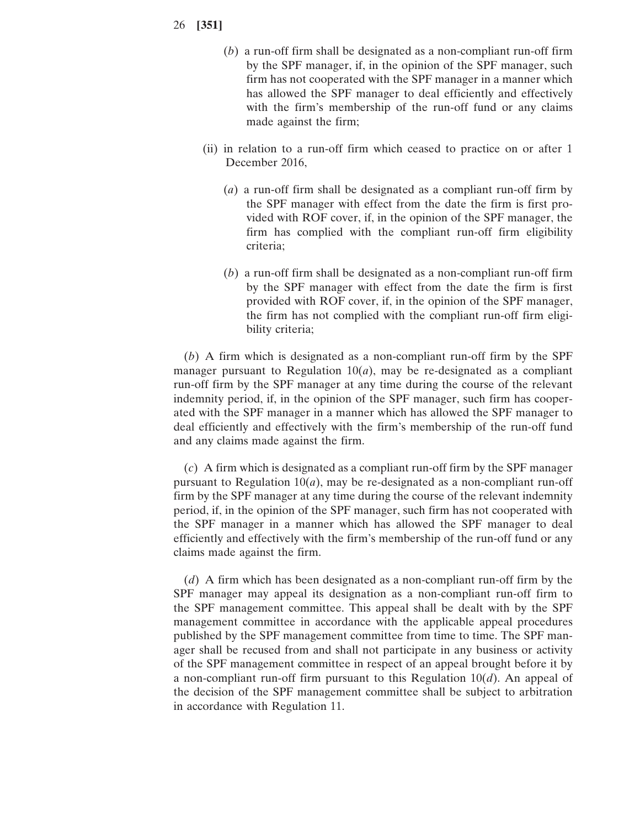- (*b*) a run-off firm shall be designated as a non-compliant run-off firm by the SPF manager, if, in the opinion of the SPF manager, such firm has not cooperated with the SPF manager in a manner which has allowed the SPF manager to deal efficiently and effectively with the firm's membership of the run-off fund or any claims made against the firm;
- (ii) in relation to a run-off firm which ceased to practice on or after 1 December 2016,
	- (*a*) a run-off firm shall be designated as a compliant run-off firm by the SPF manager with effect from the date the firm is first provided with ROF cover, if, in the opinion of the SPF manager, the firm has complied with the compliant run-off firm eligibility criteria;
	- (*b*) a run-off firm shall be designated as a non-compliant run-off firm by the SPF manager with effect from the date the firm is first provided with ROF cover, if, in the opinion of the SPF manager, the firm has not complied with the compliant run-off firm eligibility criteria;

(*b*) A firm which is designated as a non-compliant run-off firm by the SPF manager pursuant to Regulation  $10(a)$ , may be re-designated as a compliant run-off firm by the SPF manager at any time during the course of the relevant indemnity period, if, in the opinion of the SPF manager, such firm has cooperated with the SPF manager in a manner which has allowed the SPF manager to deal efficiently and effectively with the firm's membership of the run-off fund and any claims made against the firm.

(*c*) A firm which is designated as a compliant run-off firm by the SPF manager pursuant to Regulation  $10(a)$ , may be re-designated as a non-compliant run-off firm by the SPF manager at any time during the course of the relevant indemnity period, if, in the opinion of the SPF manager, such firm has not cooperated with the SPF manager in a manner which has allowed the SPF manager to deal efficiently and effectively with the firm's membership of the run-off fund or any claims made against the firm.

(*d*) A firm which has been designated as a non-compliant run-off firm by the SPF manager may appeal its designation as a non-compliant run-off firm to the SPF management committee. This appeal shall be dealt with by the SPF management committee in accordance with the applicable appeal procedures published by the SPF management committee from time to time. The SPF manager shall be recused from and shall not participate in any business or activity of the SPF management committee in respect of an appeal brought before it by a non-compliant run-off firm pursuant to this Regulation 10(*d*). An appeal of the decision of the SPF management committee shall be subject to arbitration in accordance with Regulation 11.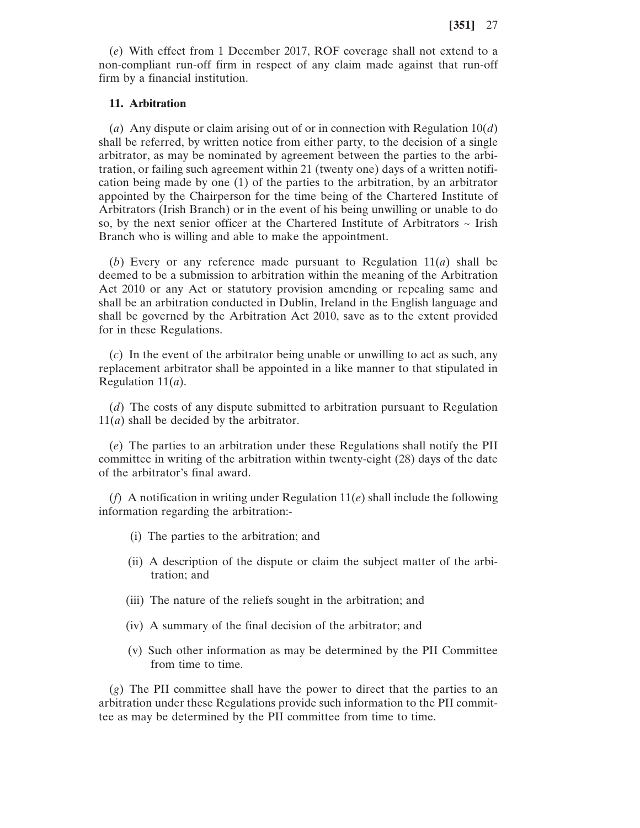(*e*) With effect from 1 December 2017, ROF coverage shall not extend to a non-compliant run-off firm in respect of any claim made against that run-off firm by a financial institution.

# **11. Arbitration**

(*a*) Any dispute or claim arising out of or in connection with Regulation 10(*d*) shall be referred, by written notice from either party, to the decision of a single arbitrator, as may be nominated by agreement between the parties to the arbitration, or failing such agreement within 21 (twenty one) days of a written notification being made by one (1) of the parties to the arbitration, by an arbitrator appointed by the Chairperson for the time being of the Chartered Institute of Arbitrators (Irish Branch) or in the event of his being unwilling or unable to do so, by the next senior officer at the Chartered Institute of Arbitrators  $\sim$  Irish Branch who is willing and able to make the appointment.

(*b*) Every or any reference made pursuant to Regulation 11(*a*) shall be deemed to be a submission to arbitration within the meaning of the Arbitration Act 2010 or any Act or statutory provision amending or repealing same and shall be an arbitration conducted in Dublin, Ireland in the English language and shall be governed by the Arbitration Act 2010, save as to the extent provided for in these Regulations.

(*c*) In the event of the arbitrator being unable or unwilling to act as such, any replacement arbitrator shall be appointed in a like manner to that stipulated in Regulation 11(*a*).

(*d*) The costs of any dispute submitted to arbitration pursuant to Regulation 11(*a*) shall be decided by the arbitrator.

(*e*) The parties to an arbitration under these Regulations shall notify the PII committee in writing of the arbitration within twenty-eight (28) days of the date of the arbitrator's final award.

(*f*) A notification in writing under Regulation 11(*e*) shall include the following information regarding the arbitration:-

- (i) The parties to the arbitration; and
- (ii) A description of the dispute or claim the subject matter of the arbitration; and
- (iii) The nature of the reliefs sought in the arbitration; and
- (iv) A summary of the final decision of the arbitrator; and
- (v) Such other information as may be determined by the PII Committee from time to time.

(*g*) The PII committee shall have the power to direct that the parties to an arbitration under these Regulations provide such information to the PII committee as may be determined by the PII committee from time to time.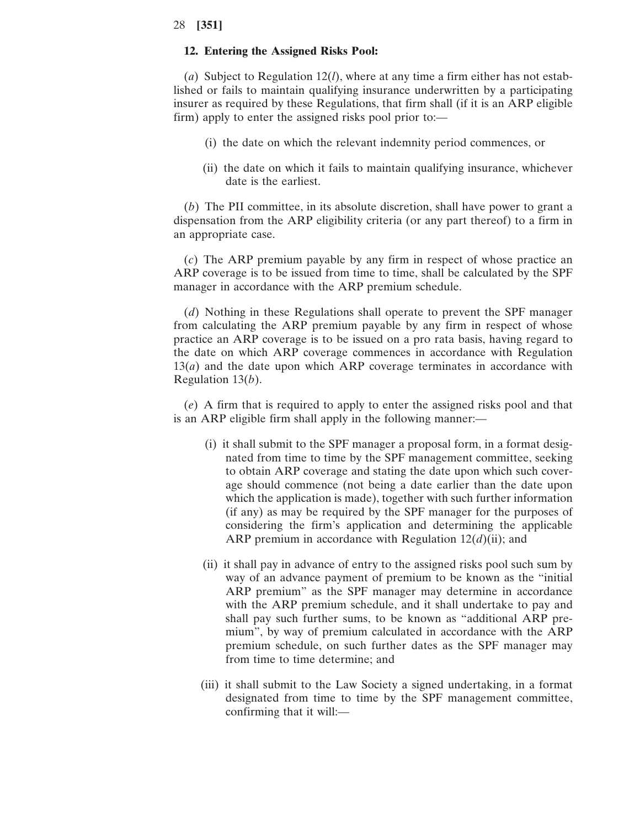#### **12. Entering the Assigned Risks Pool:**

(*a*) Subject to Regulation 12(*l*), where at any time a firm either has not established or fails to maintain qualifying insurance underwritten by a participating insurer as required by these Regulations, that firm shall (if it is an ARP eligible firm) apply to enter the assigned risks pool prior to:—

- (i) the date on which the relevant indemnity period commences, or
- (ii) the date on which it fails to maintain qualifying insurance, whichever date is the earliest.

(*b*) The PII committee, in its absolute discretion, shall have power to grant a dispensation from the ARP eligibility criteria (or any part thereof) to a firm in an appropriate case.

(*c*) The ARP premium payable by any firm in respect of whose practice an ARP coverage is to be issued from time to time, shall be calculated by the SPF manager in accordance with the ARP premium schedule.

(*d*) Nothing in these Regulations shall operate to prevent the SPF manager from calculating the ARP premium payable by any firm in respect of whose practice an ARP coverage is to be issued on a pro rata basis, having regard to the date on which ARP coverage commences in accordance with Regulation  $13(a)$  and the date upon which ARP coverage terminates in accordance with Regulation 13(*b*).

(*e*) A firm that is required to apply to enter the assigned risks pool and that is an ARP eligible firm shall apply in the following manner:—

- (i) it shall submit to the SPF manager a proposal form, in a format designated from time to time by the SPF management committee, seeking to obtain ARP coverage and stating the date upon which such coverage should commence (not being a date earlier than the date upon which the application is made), together with such further information (if any) as may be required by the SPF manager for the purposes of considering the firm's application and determining the applicable ARP premium in accordance with Regulation 12(*d*)(ii); and
- (ii) it shall pay in advance of entry to the assigned risks pool such sum by way of an advance payment of premium to be known as the "initial ARP premium" as the SPF manager may determine in accordance with the ARP premium schedule, and it shall undertake to pay and shall pay such further sums, to be known as "additional ARP premium", by way of premium calculated in accordance with the ARP premium schedule, on such further dates as the SPF manager may from time to time determine; and
- (iii) it shall submit to the Law Society a signed undertaking, in a format designated from time to time by the SPF management committee, confirming that it will:—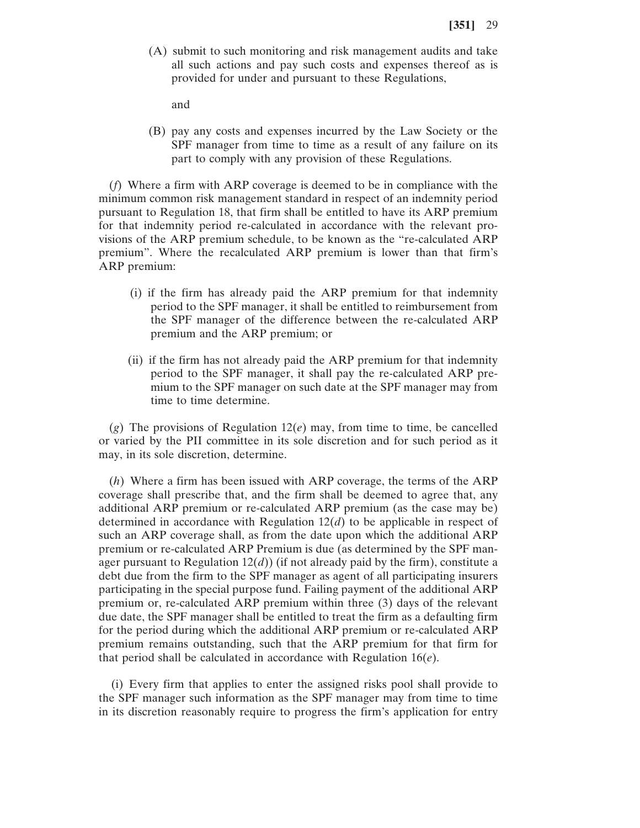(A) submit to such monitoring and risk management audits and take all such actions and pay such costs and expenses thereof as is provided for under and pursuant to these Regulations,

and

(B) pay any costs and expenses incurred by the Law Society or the SPF manager from time to time as a result of any failure on its part to comply with any provision of these Regulations.

(*f*) Where a firm with ARP coverage is deemed to be in compliance with the minimum common risk management standard in respect of an indemnity period pursuant to Regulation 18, that firm shall be entitled to have its ARP premium for that indemnity period re-calculated in accordance with the relevant provisions of the ARP premium schedule, to be known as the "re-calculated ARP premium". Where the recalculated ARP premium is lower than that firm's ARP premium:

- (i) if the firm has already paid the ARP premium for that indemnity period to the SPF manager, it shall be entitled to reimbursement from the SPF manager of the difference between the re-calculated ARP premium and the ARP premium; or
- (ii) if the firm has not already paid the ARP premium for that indemnity period to the SPF manager, it shall pay the re-calculated ARP premium to the SPF manager on such date at the SPF manager may from time to time determine.

 $(g)$  The provisions of Regulation 12 $(e)$  may, from time to time, be cancelled or varied by the PII committee in its sole discretion and for such period as it may, in its sole discretion, determine.

(*h*) Where a firm has been issued with ARP coverage, the terms of the ARP coverage shall prescribe that, and the firm shall be deemed to agree that, any additional ARP premium or re-calculated ARP premium (as the case may be) determined in accordance with Regulation 12(*d*) to be applicable in respect of such an ARP coverage shall, as from the date upon which the additional ARP premium or re-calculated ARP Premium is due (as determined by the SPF manager pursuant to Regulation  $12(d)$ ) (if not already paid by the firm), constitute a debt due from the firm to the SPF manager as agent of all participating insurers participating in the special purpose fund. Failing payment of the additional ARP premium or, re-calculated ARP premium within three (3) days of the relevant due date, the SPF manager shall be entitled to treat the firm as a defaulting firm for the period during which the additional ARP premium or re-calculated ARP premium remains outstanding, such that the ARP premium for that firm for that period shall be calculated in accordance with Regulation 16(*e*).

(i) Every firm that applies to enter the assigned risks pool shall provide to the SPF manager such information as the SPF manager may from time to time in its discretion reasonably require to progress the firm's application for entry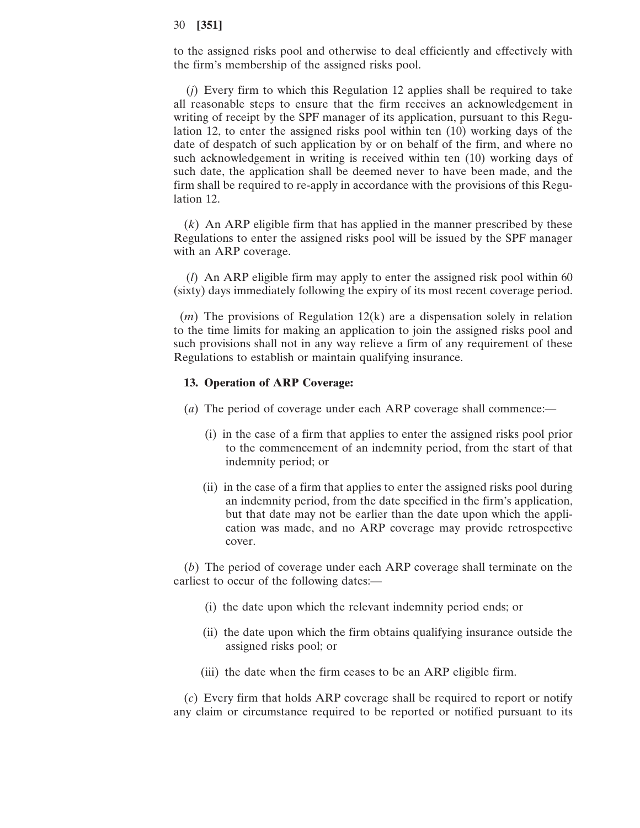to the assigned risks pool and otherwise to deal efficiently and effectively with the firm's membership of the assigned risks pool.

(*j*) Every firm to which this Regulation 12 applies shall be required to take all reasonable steps to ensure that the firm receives an acknowledgement in writing of receipt by the SPF manager of its application, pursuant to this Regulation 12, to enter the assigned risks pool within ten (10) working days of the date of despatch of such application by or on behalf of the firm, and where no such acknowledgement in writing is received within ten (10) working days of such date, the application shall be deemed never to have been made, and the firm shall be required to re-apply in accordance with the provisions of this Regulation 12.

(*k*) An ARP eligible firm that has applied in the manner prescribed by these Regulations to enter the assigned risks pool will be issued by the SPF manager with an ARP coverage.

(*l*) An ARP eligible firm may apply to enter the assigned risk pool within 60 (sixty) days immediately following the expiry of its most recent coverage period.

(*m*) The provisions of Regulation 12(k) are a dispensation solely in relation to the time limits for making an application to join the assigned risks pool and such provisions shall not in any way relieve a firm of any requirement of these Regulations to establish or maintain qualifying insurance.

#### **13. Operation of ARP Coverage:**

- (*a*) The period of coverage under each ARP coverage shall commence:—
	- (i) in the case of a firm that applies to enter the assigned risks pool prior to the commencement of an indemnity period, from the start of that indemnity period; or
	- (ii) in the case of a firm that applies to enter the assigned risks pool during an indemnity period, from the date specified in the firm's application, but that date may not be earlier than the date upon which the application was made, and no ARP coverage may provide retrospective cover.

(*b*) The period of coverage under each ARP coverage shall terminate on the earliest to occur of the following dates:—

- (i) the date upon which the relevant indemnity period ends; or
- (ii) the date upon which the firm obtains qualifying insurance outside the assigned risks pool; or
- (iii) the date when the firm ceases to be an ARP eligible firm.

(*c*) Every firm that holds ARP coverage shall be required to report or notify any claim or circumstance required to be reported or notified pursuant to its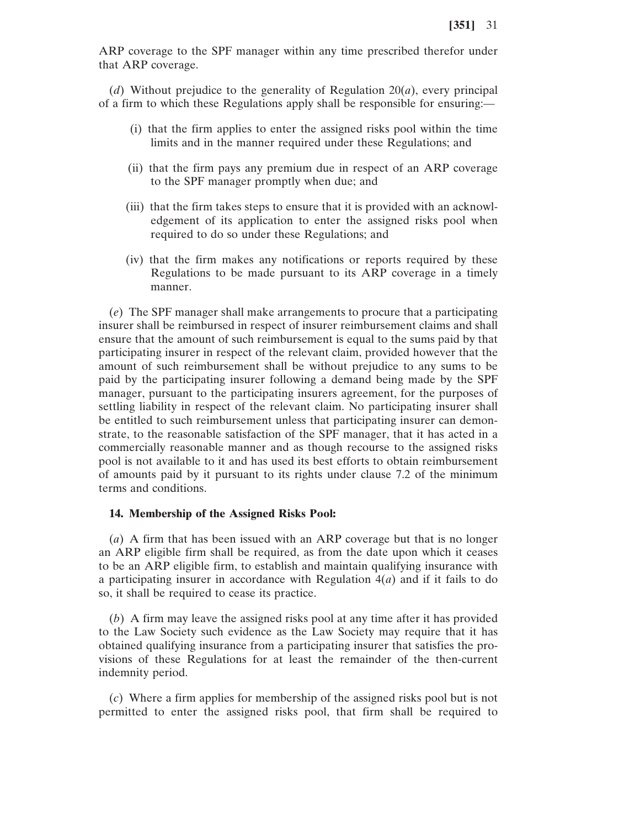ARP coverage to the SPF manager within any time prescribed therefor under that ARP coverage.

(*d*) Without prejudice to the generality of Regulation 20(*a*), every principal of a firm to which these Regulations apply shall be responsible for ensuring:—

- (i) that the firm applies to enter the assigned risks pool within the time limits and in the manner required under these Regulations; and
- (ii) that the firm pays any premium due in respect of an ARP coverage to the SPF manager promptly when due; and
- (iii) that the firm takes steps to ensure that it is provided with an acknowledgement of its application to enter the assigned risks pool when required to do so under these Regulations; and
- (iv) that the firm makes any notifications or reports required by these Regulations to be made pursuant to its ARP coverage in a timely manner.

(*e*) The SPF manager shall make arrangements to procure that a participating insurer shall be reimbursed in respect of insurer reimbursement claims and shall ensure that the amount of such reimbursement is equal to the sums paid by that participating insurer in respect of the relevant claim, provided however that the amount of such reimbursement shall be without prejudice to any sums to be paid by the participating insurer following a demand being made by the SPF manager, pursuant to the participating insurers agreement, for the purposes of settling liability in respect of the relevant claim. No participating insurer shall be entitled to such reimbursement unless that participating insurer can demonstrate, to the reasonable satisfaction of the SPF manager, that it has acted in a commercially reasonable manner and as though recourse to the assigned risks pool is not available to it and has used its best efforts to obtain reimbursement of amounts paid by it pursuant to its rights under clause 7.2 of the minimum terms and conditions.

#### **14. Membership of the Assigned Risks Pool:**

(*a*) A firm that has been issued with an ARP coverage but that is no longer an ARP eligible firm shall be required, as from the date upon which it ceases to be an ARP eligible firm, to establish and maintain qualifying insurance with a participating insurer in accordance with Regulation  $4(a)$  and if it fails to do so, it shall be required to cease its practice.

(*b*) A firm may leave the assigned risks pool at any time after it has provided to the Law Society such evidence as the Law Society may require that it has obtained qualifying insurance from a participating insurer that satisfies the provisions of these Regulations for at least the remainder of the then-current indemnity period.

(*c*) Where a firm applies for membership of the assigned risks pool but is not permitted to enter the assigned risks pool, that firm shall be required to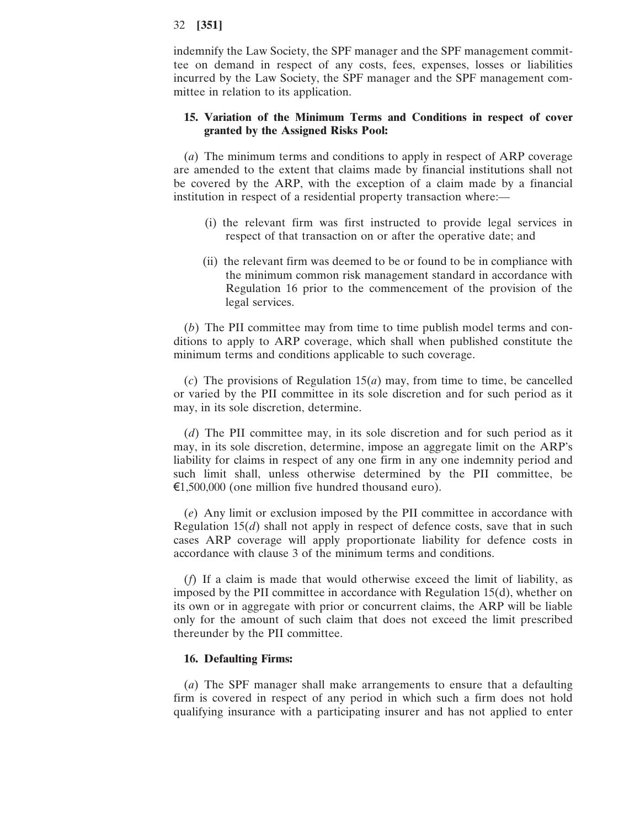indemnify the Law Society, the SPF manager and the SPF management committee on demand in respect of any costs, fees, expenses, losses or liabilities incurred by the Law Society, the SPF manager and the SPF management committee in relation to its application.

# **15. Variation of the Minimum Terms and Conditions in respect of cover granted by the Assigned Risks Pool:**

(*a*) The minimum terms and conditions to apply in respect of ARP coverage are amended to the extent that claims made by financial institutions shall not be covered by the ARP, with the exception of a claim made by a financial institution in respect of a residential property transaction where:—

- (i) the relevant firm was first instructed to provide legal services in respect of that transaction on or after the operative date; and
- (ii) the relevant firm was deemed to be or found to be in compliance with the minimum common risk management standard in accordance with Regulation 16 prior to the commencement of the provision of the legal services.

(*b*) The PII committee may from time to time publish model terms and conditions to apply to ARP coverage, which shall when published constitute the minimum terms and conditions applicable to such coverage.

(*c*) The provisions of Regulation 15(*a*) may, from time to time, be cancelled or varied by the PII committee in its sole discretion and for such period as it may, in its sole discretion, determine.

(*d*) The PII committee may, in its sole discretion and for such period as it may, in its sole discretion, determine, impose an aggregate limit on the ARP's liability for claims in respect of any one firm in any one indemnity period and such limit shall, unless otherwise determined by the PII committee, be €1,500,000 (one million five hundred thousand euro).

(*e*) Any limit or exclusion imposed by the PII committee in accordance with Regulation 15(*d*) shall not apply in respect of defence costs, save that in such cases ARP coverage will apply proportionate liability for defence costs in accordance with clause 3 of the minimum terms and conditions.

(*f*) If a claim is made that would otherwise exceed the limit of liability, as imposed by the PII committee in accordance with Regulation 15(d), whether on its own or in aggregate with prior or concurrent claims, the ARP will be liable only for the amount of such claim that does not exceed the limit prescribed thereunder by the PII committee.

# **16. Defaulting Firms:**

(*a*) The SPF manager shall make arrangements to ensure that a defaulting firm is covered in respect of any period in which such a firm does not hold qualifying insurance with a participating insurer and has not applied to enter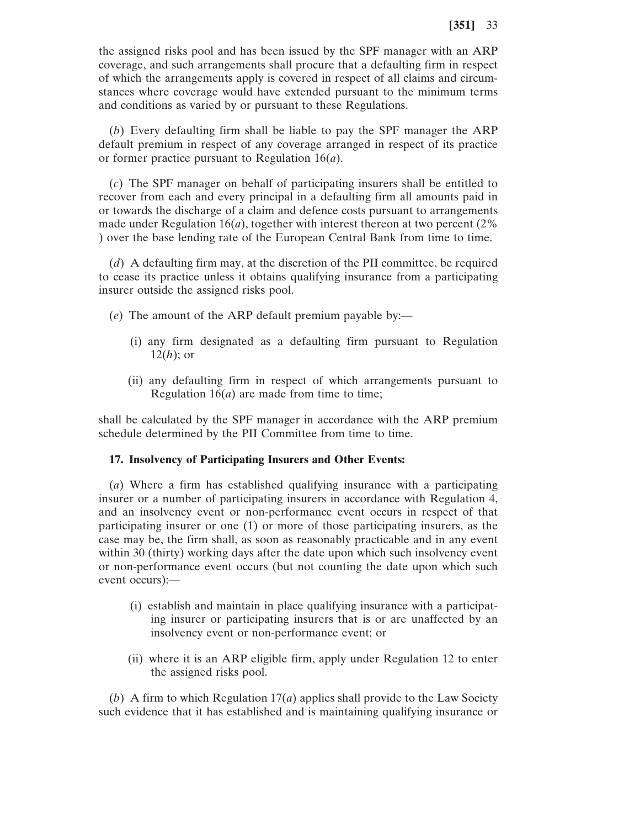the assigned risks pool and has been issued by the SPF manager with an ARP coverage, and such arrangements shall procure that a defaulting firm in respect of which the arrangements apply is covered in respect of all claims and circumstances where coverage would have extended pursuant to the minimum terms and conditions as varied by or pursuant to these Regulations.

(*b*) Every defaulting firm shall be liable to pay the SPF manager the ARP default premium in respect of any coverage arranged in respect of its practice or former practice pursuant to Regulation 16(*a*).

(*c*) The SPF manager on behalf of participating insurers shall be entitled to recover from each and every principal in a defaulting firm all amounts paid in or towards the discharge of a claim and defence costs pursuant to arrangements made under Regulation  $16(a)$ , together with interest thereon at two percent (2%) ) over the base lending rate of the European Central Bank from time to time.

(*d*) A defaulting firm may, at the discretion of the PII committee, be required to cease its practice unless it obtains qualifying insurance from a participating insurer outside the assigned risks pool.

- (*e*) The amount of the ARP default premium payable by:—
	- (i) any firm designated as a defaulting firm pursuant to Regulation 12(*h*); or
	- (ii) any defaulting firm in respect of which arrangements pursuant to Regulation 16(*a*) are made from time to time;

shall be calculated by the SPF manager in accordance with the ARP premium schedule determined by the PII Committee from time to time.

#### **17. Insolvency of Participating Insurers and Other Events:**

(*a*) Where a firm has established qualifying insurance with a participating insurer or a number of participating insurers in accordance with Regulation 4, and an insolvency event or non-performance event occurs in respect of that participating insurer or one (1) or more of those participating insurers, as the case may be, the firm shall, as soon as reasonably practicable and in any event within 30 (thirty) working days after the date upon which such insolvency event or non-performance event occurs (but not counting the date upon which such event occurs):—

- (i) establish and maintain in place qualifying insurance with a participating insurer or participating insurers that is or are unaffected by an insolvency event or non-performance event; or
- (ii) where it is an ARP eligible firm, apply under Regulation 12 to enter the assigned risks pool.

(*b*) A firm to which Regulation 17(*a*) applies shall provide to the Law Society such evidence that it has established and is maintaining qualifying insurance or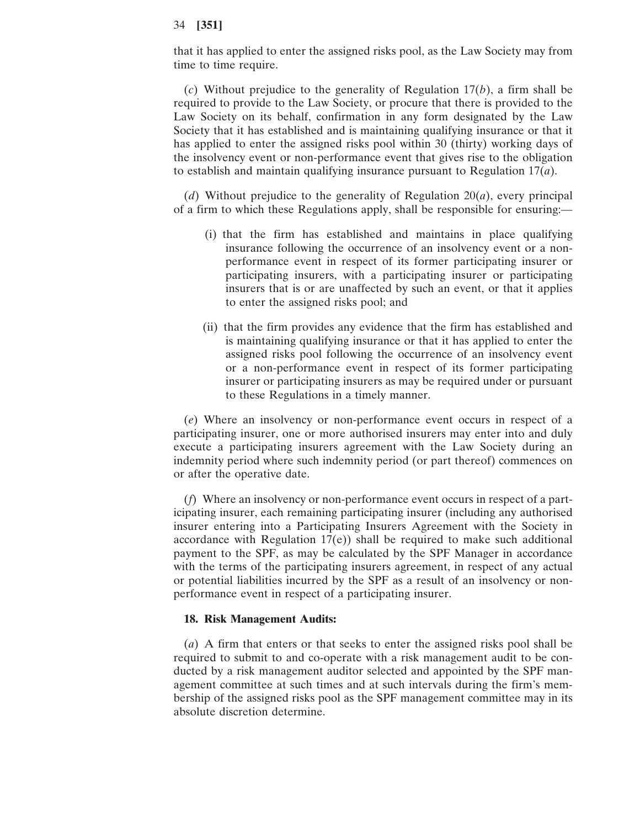that it has applied to enter the assigned risks pool, as the Law Society may from time to time require.

(*c*) Without prejudice to the generality of Regulation 17(*b*), a firm shall be required to provide to the Law Society, or procure that there is provided to the Law Society on its behalf, confirmation in any form designated by the Law Society that it has established and is maintaining qualifying insurance or that it has applied to enter the assigned risks pool within 30 (thirty) working days of the insolvency event or non-performance event that gives rise to the obligation to establish and maintain qualifying insurance pursuant to Regulation 17(*a*).

(*d*) Without prejudice to the generality of Regulation 20(*a*), every principal of a firm to which these Regulations apply, shall be responsible for ensuring:—

- (i) that the firm has established and maintains in place qualifying insurance following the occurrence of an insolvency event or a nonperformance event in respect of its former participating insurer or participating insurers, with a participating insurer or participating insurers that is or are unaffected by such an event, or that it applies to enter the assigned risks pool; and
- (ii) that the firm provides any evidence that the firm has established and is maintaining qualifying insurance or that it has applied to enter the assigned risks pool following the occurrence of an insolvency event or a non-performance event in respect of its former participating insurer or participating insurers as may be required under or pursuant to these Regulations in a timely manner.

(*e*) Where an insolvency or non-performance event occurs in respect of a participating insurer, one or more authorised insurers may enter into and duly execute a participating insurers agreement with the Law Society during an indemnity period where such indemnity period (or part thereof) commences on or after the operative date.

(*f*) Where an insolvency or non-performance event occurs in respect of a participating insurer, each remaining participating insurer (including any authorised insurer entering into a Participating Insurers Agreement with the Society in accordance with Regulation 17(e)) shall be required to make such additional payment to the SPF, as may be calculated by the SPF Manager in accordance with the terms of the participating insurers agreement, in respect of any actual or potential liabilities incurred by the SPF as a result of an insolvency or nonperformance event in respect of a participating insurer.

#### **18. Risk Management Audits:**

(*a*) A firm that enters or that seeks to enter the assigned risks pool shall be required to submit to and co-operate with a risk management audit to be conducted by a risk management auditor selected and appointed by the SPF management committee at such times and at such intervals during the firm's membership of the assigned risks pool as the SPF management committee may in its absolute discretion determine.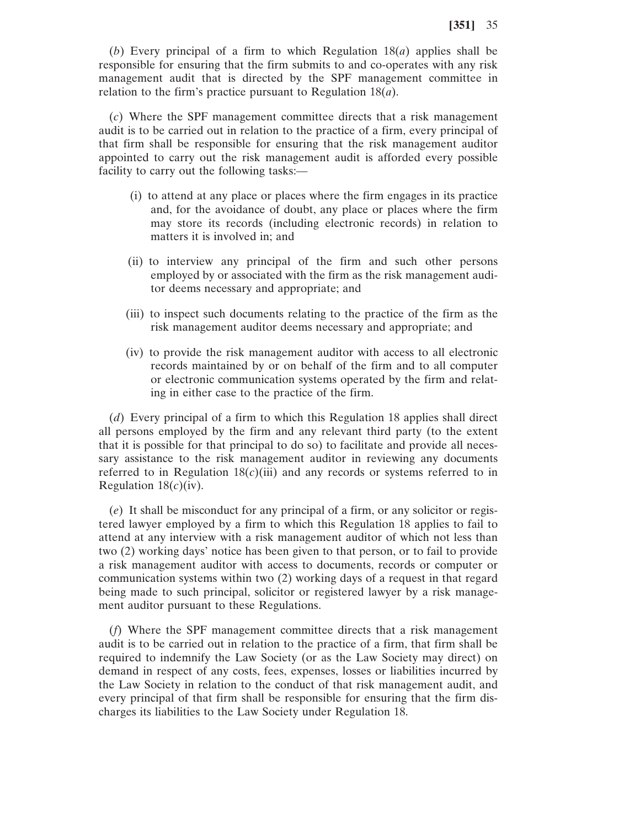(*b*) Every principal of a firm to which Regulation 18(*a*) applies shall be responsible for ensuring that the firm submits to and co-operates with any risk management audit that is directed by the SPF management committee in relation to the firm's practice pursuant to Regulation 18(*a*).

(*c*) Where the SPF management committee directs that a risk management audit is to be carried out in relation to the practice of a firm, every principal of that firm shall be responsible for ensuring that the risk management auditor appointed to carry out the risk management audit is afforded every possible facility to carry out the following tasks:—

- (i) to attend at any place or places where the firm engages in its practice and, for the avoidance of doubt, any place or places where the firm may store its records (including electronic records) in relation to matters it is involved in; and
- (ii) to interview any principal of the firm and such other persons employed by or associated with the firm as the risk management auditor deems necessary and appropriate; and
- (iii) to inspect such documents relating to the practice of the firm as the risk management auditor deems necessary and appropriate; and
- (iv) to provide the risk management auditor with access to all electronic records maintained by or on behalf of the firm and to all computer or electronic communication systems operated by the firm and relating in either case to the practice of the firm.

(*d*) Every principal of a firm to which this Regulation 18 applies shall direct all persons employed by the firm and any relevant third party (to the extent that it is possible for that principal to do so) to facilitate and provide all necessary assistance to the risk management auditor in reviewing any documents referred to in Regulation  $18(c)$ (iii) and any records or systems referred to in Regulation 18(*c*)(iv).

(*e*) It shall be misconduct for any principal of a firm, or any solicitor or registered lawyer employed by a firm to which this Regulation 18 applies to fail to attend at any interview with a risk management auditor of which not less than two (2) working days' notice has been given to that person, or to fail to provide a risk management auditor with access to documents, records or computer or communication systems within two (2) working days of a request in that regard being made to such principal, solicitor or registered lawyer by a risk management auditor pursuant to these Regulations.

(*f*) Where the SPF management committee directs that a risk management audit is to be carried out in relation to the practice of a firm, that firm shall be required to indemnify the Law Society (or as the Law Society may direct) on demand in respect of any costs, fees, expenses, losses or liabilities incurred by the Law Society in relation to the conduct of that risk management audit, and every principal of that firm shall be responsible for ensuring that the firm discharges its liabilities to the Law Society under Regulation 18.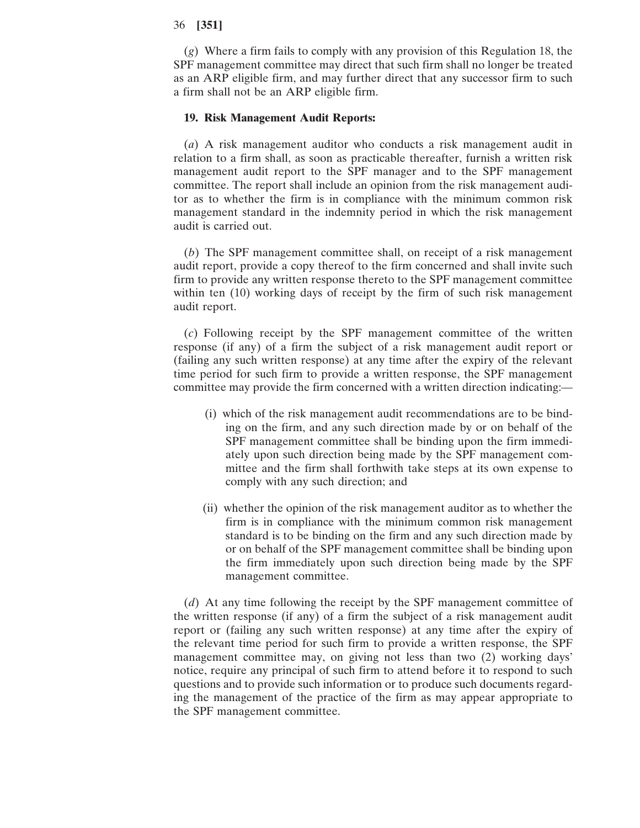(*g*) Where a firm fails to comply with any provision of this Regulation 18, the SPF management committee may direct that such firm shall no longer be treated as an ARP eligible firm, and may further direct that any successor firm to such a firm shall not be an ARP eligible firm.

#### **19. Risk Management Audit Reports:**

(*a*) A risk management auditor who conducts a risk management audit in relation to a firm shall, as soon as practicable thereafter, furnish a written risk management audit report to the SPF manager and to the SPF management committee. The report shall include an opinion from the risk management auditor as to whether the firm is in compliance with the minimum common risk management standard in the indemnity period in which the risk management audit is carried out.

(*b*) The SPF management committee shall, on receipt of a risk management audit report, provide a copy thereof to the firm concerned and shall invite such firm to provide any written response thereto to the SPF management committee within ten (10) working days of receipt by the firm of such risk management audit report.

(*c*) Following receipt by the SPF management committee of the written response (if any) of a firm the subject of a risk management audit report or (failing any such written response) at any time after the expiry of the relevant time period for such firm to provide a written response, the SPF management committee may provide the firm concerned with a written direction indicating:—

- (i) which of the risk management audit recommendations are to be binding on the firm, and any such direction made by or on behalf of the SPF management committee shall be binding upon the firm immediately upon such direction being made by the SPF management committee and the firm shall forthwith take steps at its own expense to comply with any such direction; and
- (ii) whether the opinion of the risk management auditor as to whether the firm is in compliance with the minimum common risk management standard is to be binding on the firm and any such direction made by or on behalf of the SPF management committee shall be binding upon the firm immediately upon such direction being made by the SPF management committee.

(*d*) At any time following the receipt by the SPF management committee of the written response (if any) of a firm the subject of a risk management audit report or (failing any such written response) at any time after the expiry of the relevant time period for such firm to provide a written response, the SPF management committee may, on giving not less than two (2) working days' notice, require any principal of such firm to attend before it to respond to such questions and to provide such information or to produce such documents regarding the management of the practice of the firm as may appear appropriate to the SPF management committee.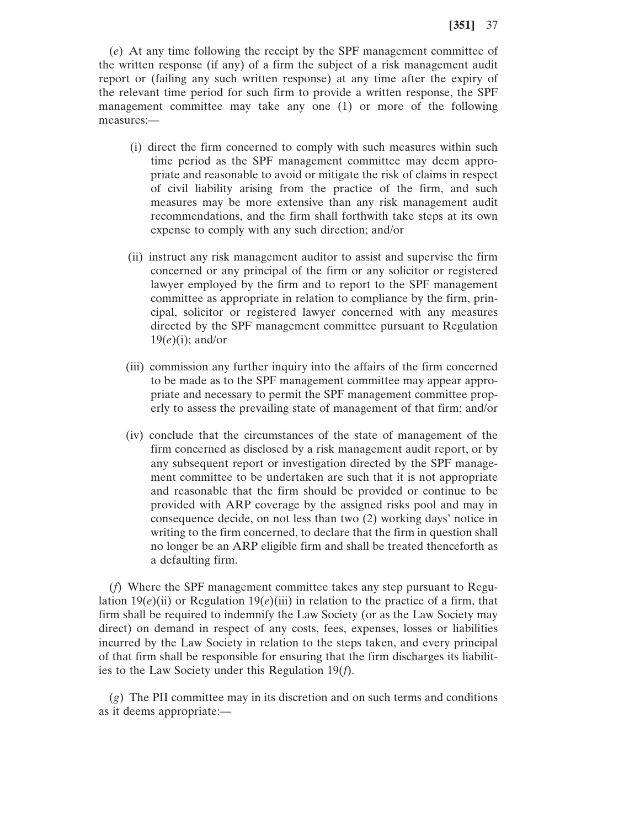(*e*) At any time following the receipt by the SPF management committee of the written response (if any) of a firm the subject of a risk management audit report or (failing any such written response) at any time after the expiry of the relevant time period for such firm to provide a written response, the SPF management committee may take any one (1) or more of the following measures:—

- (i) direct the firm concerned to comply with such measures within such time period as the SPF management committee may deem appropriate and reasonable to avoid or mitigate the risk of claims in respect of civil liability arising from the practice of the firm, and such measures may be more extensive than any risk management audit recommendations, and the firm shall forthwith take steps at its own expense to comply with any such direction; and/or
- (ii) instruct any risk management auditor to assist and supervise the firm concerned or any principal of the firm or any solicitor or registered lawyer employed by the firm and to report to the SPF management committee as appropriate in relation to compliance by the firm, principal, solicitor or registered lawyer concerned with any measures directed by the SPF management committee pursuant to Regulation 19(*e*)(i); and/or
- (iii) commission any further inquiry into the affairs of the firm concerned to be made as to the SPF management committee may appear appropriate and necessary to permit the SPF management committee properly to assess the prevailing state of management of that firm; and/or
- (iv) conclude that the circumstances of the state of management of the firm concerned as disclosed by a risk management audit report, or by any subsequent report or investigation directed by the SPF management committee to be undertaken are such that it is not appropriate and reasonable that the firm should be provided or continue to be provided with ARP coverage by the assigned risks pool and may in consequence decide, on not less than two (2) working days' notice in writing to the firm concerned, to declare that the firm in question shall no longer be an ARP eligible firm and shall be treated thenceforth as a defaulting firm.

(*f*) Where the SPF management committee takes any step pursuant to Regulation 19 $(e)$ (ii) or Regulation 19 $(e)$ (iii) in relation to the practice of a firm, that firm shall be required to indemnify the Law Society (or as the Law Society may direct) on demand in respect of any costs, fees, expenses, losses or liabilities incurred by the Law Society in relation to the steps taken, and every principal of that firm shall be responsible for ensuring that the firm discharges its liabilities to the Law Society under this Regulation 19(*f*).

(*g*) The PII committee may in its discretion and on such terms and conditions as it deems appropriate:—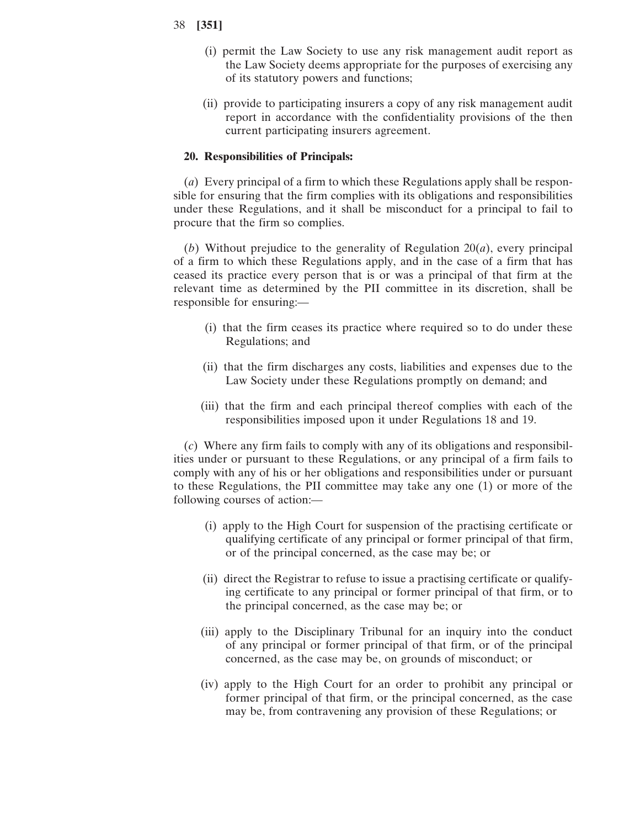- 38 **[351]**
	- (i) permit the Law Society to use any risk management audit report as the Law Society deems appropriate for the purposes of exercising any of its statutory powers and functions;
	- (ii) provide to participating insurers a copy of any risk management audit report in accordance with the confidentiality provisions of the then current participating insurers agreement.

## **20. Responsibilities of Principals:**

(*a*) Every principal of a firm to which these Regulations apply shall be responsible for ensuring that the firm complies with its obligations and responsibilities under these Regulations, and it shall be misconduct for a principal to fail to procure that the firm so complies.

(*b*) Without prejudice to the generality of Regulation 20(*a*), every principal of a firm to which these Regulations apply, and in the case of a firm that has ceased its practice every person that is or was a principal of that firm at the relevant time as determined by the PII committee in its discretion, shall be responsible for ensuring:—

- (i) that the firm ceases its practice where required so to do under these Regulations; and
- (ii) that the firm discharges any costs, liabilities and expenses due to the Law Society under these Regulations promptly on demand; and
- (iii) that the firm and each principal thereof complies with each of the responsibilities imposed upon it under Regulations 18 and 19.

(*c*) Where any firm fails to comply with any of its obligations and responsibilities under or pursuant to these Regulations, or any principal of a firm fails to comply with any of his or her obligations and responsibilities under or pursuant to these Regulations, the PII committee may take any one (1) or more of the following courses of action:—

- (i) apply to the High Court for suspension of the practising certificate or qualifying certificate of any principal or former principal of that firm, or of the principal concerned, as the case may be; or
- (ii) direct the Registrar to refuse to issue a practising certificate or qualifying certificate to any principal or former principal of that firm, or to the principal concerned, as the case may be; or
- (iii) apply to the Disciplinary Tribunal for an inquiry into the conduct of any principal or former principal of that firm, or of the principal concerned, as the case may be, on grounds of misconduct; or
- (iv) apply to the High Court for an order to prohibit any principal or former principal of that firm, or the principal concerned, as the case may be, from contravening any provision of these Regulations; or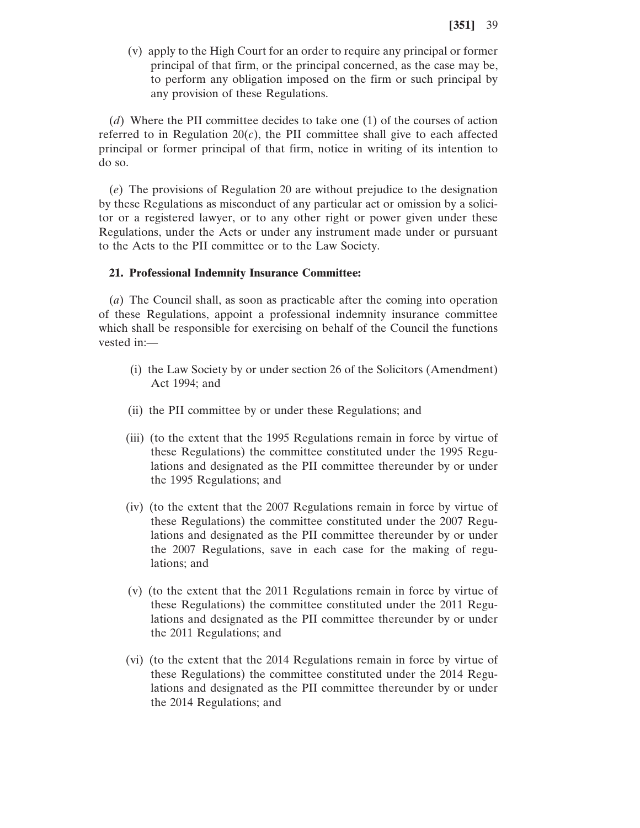(v) apply to the High Court for an order to require any principal or former principal of that firm, or the principal concerned, as the case may be, to perform any obligation imposed on the firm or such principal by any provision of these Regulations.

(*d*) Where the PII committee decides to take one (1) of the courses of action referred to in Regulation  $20(c)$ , the PII committee shall give to each affected principal or former principal of that firm, notice in writing of its intention to do so.

(*e*) The provisions of Regulation 20 are without prejudice to the designation by these Regulations as misconduct of any particular act or omission by a solicitor or a registered lawyer, or to any other right or power given under these Regulations, under the Acts or under any instrument made under or pursuant to the Acts to the PII committee or to the Law Society.

#### **21. Professional Indemnity Insurance Committee:**

(*a*) The Council shall, as soon as practicable after the coming into operation of these Regulations, appoint a professional indemnity insurance committee which shall be responsible for exercising on behalf of the Council the functions vested in:—

- (i) the Law Society by or under section 26 of the Solicitors (Amendment) Act 1994; and
- (ii) the PII committee by or under these Regulations; and
- (iii) (to the extent that the 1995 Regulations remain in force by virtue of these Regulations) the committee constituted under the 1995 Regulations and designated as the PII committee thereunder by or under the 1995 Regulations; and
- (iv) (to the extent that the 2007 Regulations remain in force by virtue of these Regulations) the committee constituted under the 2007 Regulations and designated as the PII committee thereunder by or under the 2007 Regulations, save in each case for the making of regulations; and
- (v) (to the extent that the 2011 Regulations remain in force by virtue of these Regulations) the committee constituted under the 2011 Regulations and designated as the PII committee thereunder by or under the 2011 Regulations; and
- (vi) (to the extent that the 2014 Regulations remain in force by virtue of these Regulations) the committee constituted under the 2014 Regulations and designated as the PII committee thereunder by or under the 2014 Regulations; and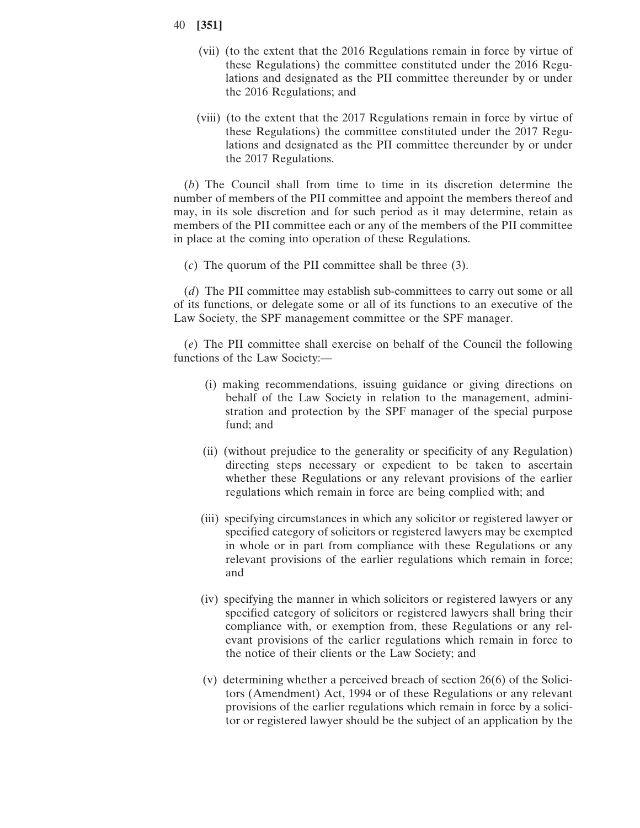- 40 **[351]**
	- (vii) (to the extent that the 2016 Regulations remain in force by virtue of these Regulations) the committee constituted under the 2016 Regulations and designated as the PII committee thereunder by or under the 2016 Regulations; and
	- (viii) (to the extent that the 2017 Regulations remain in force by virtue of these Regulations) the committee constituted under the 2017 Regulations and designated as the PII committee thereunder by or under the 2017 Regulations.

(*b*) The Council shall from time to time in its discretion determine the number of members of the PII committee and appoint the members thereof and may, in its sole discretion and for such period as it may determine, retain as members of the PII committee each or any of the members of the PII committee in place at the coming into operation of these Regulations.

(*c*) The quorum of the PII committee shall be three (3).

(*d*) The PII committee may establish sub-committees to carry out some or all of its functions, or delegate some or all of its functions to an executive of the Law Society, the SPF management committee or the SPF manager.

(*e*) The PII committee shall exercise on behalf of the Council the following functions of the Law Society:—

- (i) making recommendations, issuing guidance or giving directions on behalf of the Law Society in relation to the management, administration and protection by the SPF manager of the special purpose fund; and
- (ii) (without prejudice to the generality or specificity of any Regulation) directing steps necessary or expedient to be taken to ascertain whether these Regulations or any relevant provisions of the earlier regulations which remain in force are being complied with; and
- (iii) specifying circumstances in which any solicitor or registered lawyer or specified category of solicitors or registered lawyers may be exempted in whole or in part from compliance with these Regulations or any relevant provisions of the earlier regulations which remain in force; and
- (iv) specifying the manner in which solicitors or registered lawyers or any specified category of solicitors or registered lawyers shall bring their compliance with, or exemption from, these Regulations or any relevant provisions of the earlier regulations which remain in force to the notice of their clients or the Law Society; and
- (v) determining whether a perceived breach of section 26(6) of the Solicitors (Amendment) Act, 1994 or of these Regulations or any relevant provisions of the earlier regulations which remain in force by a solicitor or registered lawyer should be the subject of an application by the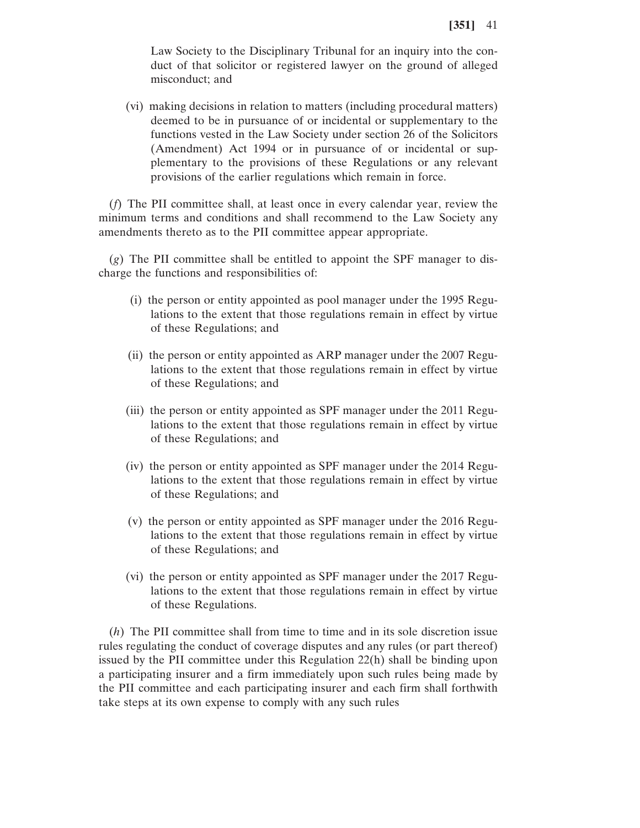Law Society to the Disciplinary Tribunal for an inquiry into the conduct of that solicitor or registered lawyer on the ground of alleged misconduct; and

(vi) making decisions in relation to matters (including procedural matters) deemed to be in pursuance of or incidental or supplementary to the functions vested in the Law Society under section 26 of the Solicitors (Amendment) Act 1994 or in pursuance of or incidental or supplementary to the provisions of these Regulations or any relevant provisions of the earlier regulations which remain in force.

(*f*) The PII committee shall, at least once in every calendar year, review the minimum terms and conditions and shall recommend to the Law Society any amendments thereto as to the PII committee appear appropriate.

(*g*) The PII committee shall be entitled to appoint the SPF manager to discharge the functions and responsibilities of:

- (i) the person or entity appointed as pool manager under the 1995 Regulations to the extent that those regulations remain in effect by virtue of these Regulations; and
- (ii) the person or entity appointed as ARP manager under the 2007 Regulations to the extent that those regulations remain in effect by virtue of these Regulations; and
- (iii) the person or entity appointed as SPF manager under the 2011 Regulations to the extent that those regulations remain in effect by virtue of these Regulations; and
- (iv) the person or entity appointed as SPF manager under the 2014 Regulations to the extent that those regulations remain in effect by virtue of these Regulations; and
- (v) the person or entity appointed as SPF manager under the 2016 Regulations to the extent that those regulations remain in effect by virtue of these Regulations; and
- (vi) the person or entity appointed as SPF manager under the 2017 Regulations to the extent that those regulations remain in effect by virtue of these Regulations.

(*h*) The PII committee shall from time to time and in its sole discretion issue rules regulating the conduct of coverage disputes and any rules (or part thereof) issued by the PII committee under this Regulation 22(h) shall be binding upon a participating insurer and a firm immediately upon such rules being made by the PII committee and each participating insurer and each firm shall forthwith take steps at its own expense to comply with any such rules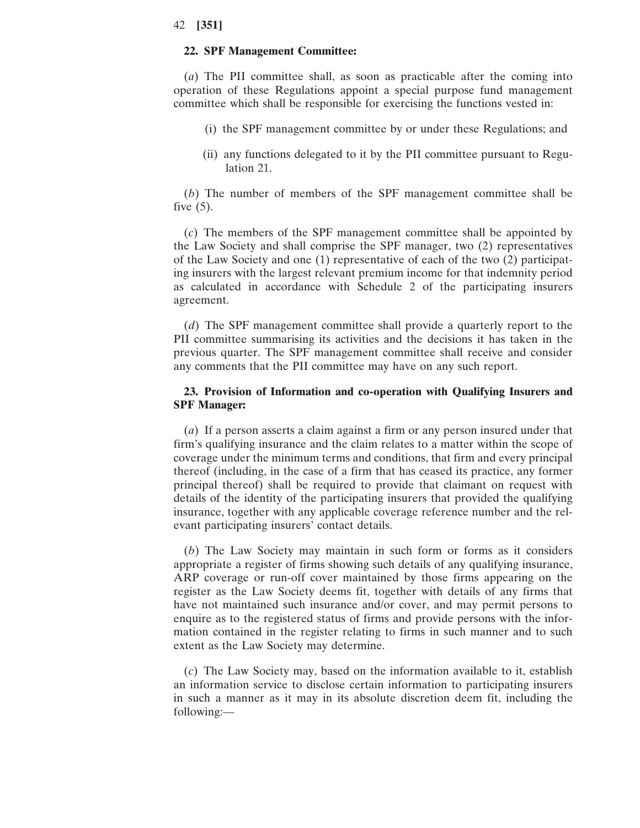#### **22. SPF Management Committee:**

(*a*) The PII committee shall, as soon as practicable after the coming into operation of these Regulations appoint a special purpose fund management committee which shall be responsible for exercising the functions vested in:

- (i) the SPF management committee by or under these Regulations; and
- (ii) any functions delegated to it by the PII committee pursuant to Regulation 21.

(*b*) The number of members of the SPF management committee shall be five  $(5)$ .

(*c*) The members of the SPF management committee shall be appointed by the Law Society and shall comprise the SPF manager, two (2) representatives of the Law Society and one (1) representative of each of the two (2) participating insurers with the largest relevant premium income for that indemnity period as calculated in accordance with Schedule 2 of the participating insurers agreement.

(*d*) The SPF management committee shall provide a quarterly report to the PII committee summarising its activities and the decisions it has taken in the previous quarter. The SPF management committee shall receive and consider any comments that the PII committee may have on any such report.

## **23. Provision of Information and co-operation with Qualifying Insurers and SPF Manager:**

(*a*) If a person asserts a claim against a firm or any person insured under that firm's qualifying insurance and the claim relates to a matter within the scope of coverage under the minimum terms and conditions, that firm and every principal thereof (including, in the case of a firm that has ceased its practice, any former principal thereof) shall be required to provide that claimant on request with details of the identity of the participating insurers that provided the qualifying insurance, together with any applicable coverage reference number and the relevant participating insurers' contact details.

(*b*) The Law Society may maintain in such form or forms as it considers appropriate a register of firms showing such details of any qualifying insurance, ARP coverage or run-off cover maintained by those firms appearing on the register as the Law Society deems fit, together with details of any firms that have not maintained such insurance and/or cover, and may permit persons to enquire as to the registered status of firms and provide persons with the information contained in the register relating to firms in such manner and to such extent as the Law Society may determine.

(*c*) The Law Society may, based on the information available to it, establish an information service to disclose certain information to participating insurers in such a manner as it may in its absolute discretion deem fit, including the following:—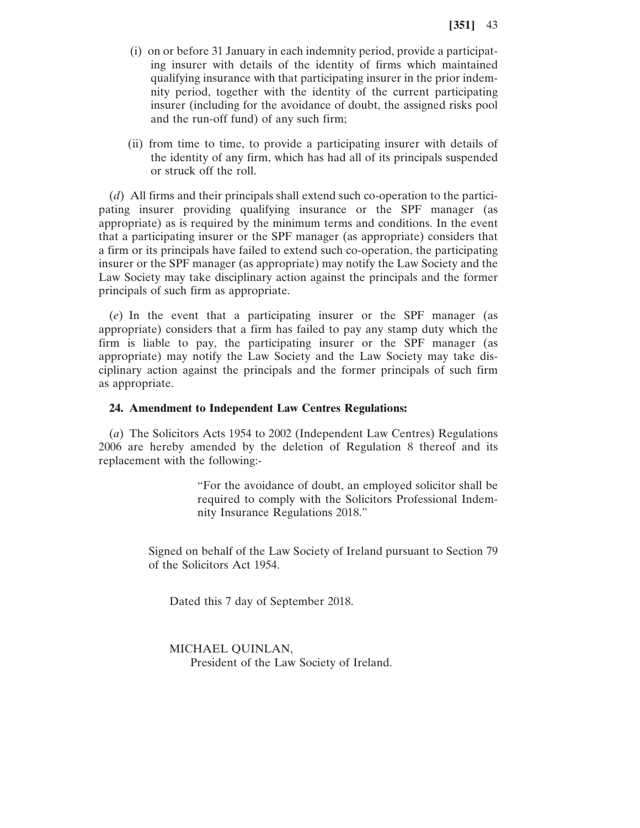- (i) on or before 31 January in each indemnity period, provide a participating insurer with details of the identity of firms which maintained qualifying insurance with that participating insurer in the prior indemnity period, together with the identity of the current participating insurer (including for the avoidance of doubt, the assigned risks pool and the run-off fund) of any such firm;
- (ii) from time to time, to provide a participating insurer with details of the identity of any firm, which has had all of its principals suspended or struck off the roll.

(*d*) All firms and their principals shall extend such co-operation to the participating insurer providing qualifying insurance or the SPF manager (as appropriate) as is required by the minimum terms and conditions. In the event that a participating insurer or the SPF manager (as appropriate) considers that a firm or its principals have failed to extend such co-operation, the participating insurer or the SPF manager (as appropriate) may notify the Law Society and the Law Society may take disciplinary action against the principals and the former principals of such firm as appropriate.

(*e*) In the event that a participating insurer or the SPF manager (as appropriate) considers that a firm has failed to pay any stamp duty which the firm is liable to pay, the participating insurer or the SPF manager (as appropriate) may notify the Law Society and the Law Society may take disciplinary action against the principals and the former principals of such firm as appropriate.

### **24. Amendment to Independent Law Centres Regulations:**

(*a*) The Solicitors Acts 1954 to 2002 (Independent Law Centres) Regulations 2006 are hereby amended by the deletion of Regulation 8 thereof and its replacement with the following:-

> "For the avoidance of doubt, an employed solicitor shall be required to comply with the Solicitors Professional Indemnity Insurance Regulations 2018."

Signed on behalf of the Law Society of Ireland pursuant to Section 79 of the Solicitors Act 1954.

Dated this 7 day of September 2018.

#### MICHAEL QUINLAN,

President of the Law Society of Ireland.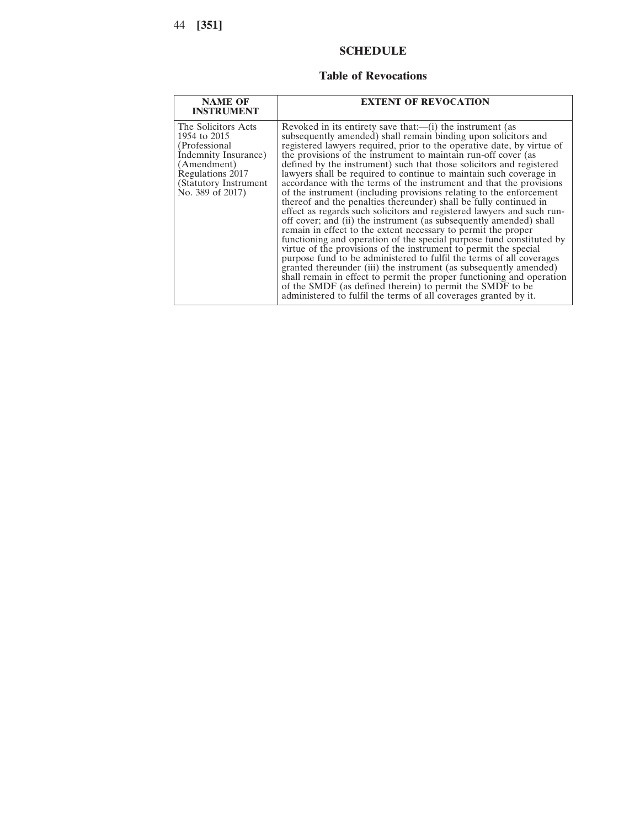# **SCHEDULE**

## **Table of Revocations**

| <b>NAME OF</b><br><b>INSTRUMENT</b>                                                                                                                           | <b>EXTENT OF REVOCATION</b>                                                                                                                                                                                                                                                                                                                                                                                                                                                                                                                                                                                                                                                                                                                                                                                                                                                                                                                                                                                                                                                                                                                                                                                                                                                                                                                                  |
|---------------------------------------------------------------------------------------------------------------------------------------------------------------|--------------------------------------------------------------------------------------------------------------------------------------------------------------------------------------------------------------------------------------------------------------------------------------------------------------------------------------------------------------------------------------------------------------------------------------------------------------------------------------------------------------------------------------------------------------------------------------------------------------------------------------------------------------------------------------------------------------------------------------------------------------------------------------------------------------------------------------------------------------------------------------------------------------------------------------------------------------------------------------------------------------------------------------------------------------------------------------------------------------------------------------------------------------------------------------------------------------------------------------------------------------------------------------------------------------------------------------------------------------|
| The Solicitors Acts<br>1954 to 2015<br>(Professional)<br>Indemnity Insurance)<br>(Amendment)<br>Regulations 2017<br>(Statutory Instrument<br>No. 389 of 2017) | Revoked in its entirety save that:—(i) the instrument (as<br>subsequently amended) shall remain binding upon solicitors and<br>registered lawyers required, prior to the operative date, by virtue of<br>the provisions of the instrument to maintain run-off cover (as<br>defined by the instrument) such that those solicitors and registered<br>lawyers shall be required to continue to maintain such coverage in<br>accordance with the terms of the instrument and that the provisions<br>of the instrument (including provisions relating to the enforcement<br>thereof and the penalties thereunder) shall be fully continued in<br>effect as regards such solicitors and registered lawyers and such run-<br>off cover; and (ii) the instrument (as subsequently amended) shall<br>remain in effect to the extent necessary to permit the proper<br>functioning and operation of the special purpose fund constituted by<br>virtue of the provisions of the instrument to permit the special<br>purpose fund to be administered to fulfil the terms of all coverages<br>granted thereunder (iii) the instrument (as subsequently amended)<br>shall remain in effect to permit the proper functioning and operation<br>of the SMDF (as defined therein) to permit the SMDF to be<br>administered to fulfil the terms of all coverages granted by it. |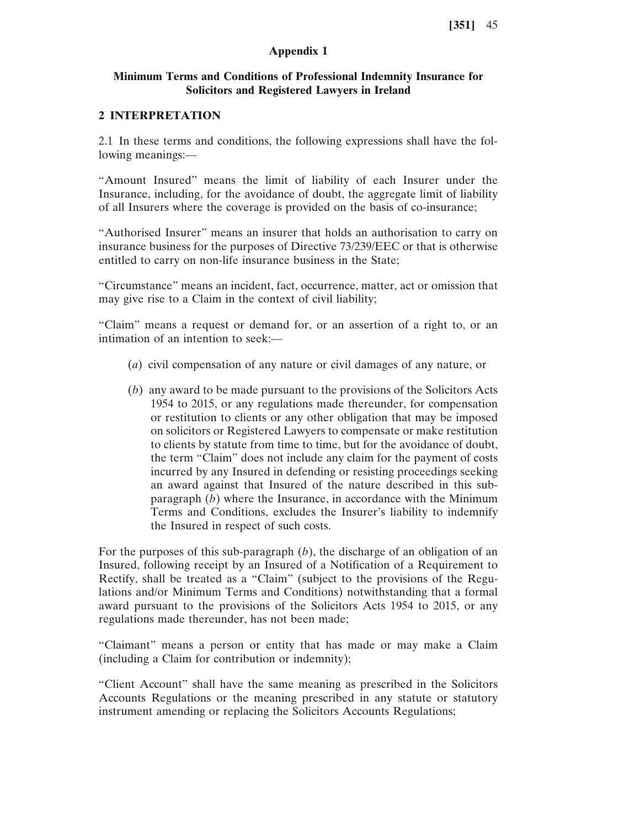## **Appendix 1**

## **Minimum Terms and Conditions of Professional Indemnity Insurance for Solicitors and Registered Lawyers in Ireland**

### **2 INTERPRETATION**

2.1 In these terms and conditions, the following expressions shall have the following meanings:—

"Amount Insured" means the limit of liability of each Insurer under the Insurance, including, for the avoidance of doubt, the aggregate limit of liability of all Insurers where the coverage is provided on the basis of co-insurance;

"Authorised Insurer" means an insurer that holds an authorisation to carry on insurance business for the purposes of Directive 73/239/EEC or that is otherwise entitled to carry on non-life insurance business in the State;

"Circumstance" means an incident, fact, occurrence, matter, act or omission that may give rise to a Claim in the context of civil liability;

"Claim" means a request or demand for, or an assertion of a right to, or an intimation of an intention to seek:—

- (*a*) civil compensation of any nature or civil damages of any nature, or
- (*b*) any award to be made pursuant to the provisions of the Solicitors Acts 1954 to 2015, or any regulations made thereunder, for compensation or restitution to clients or any other obligation that may be imposed on solicitors or Registered Lawyers to compensate or make restitution to clients by statute from time to time, but for the avoidance of doubt, the term "Claim" does not include any claim for the payment of costs incurred by any Insured in defending or resisting proceedings seeking an award against that Insured of the nature described in this subparagraph (*b*) where the Insurance, in accordance with the Minimum Terms and Conditions, excludes the Insurer's liability to indemnify the Insured in respect of such costs.

For the purposes of this sub-paragraph (*b*), the discharge of an obligation of an Insured, following receipt by an Insured of a Notification of a Requirement to Rectify, shall be treated as a "Claim" (subject to the provisions of the Regulations and/or Minimum Terms and Conditions) notwithstanding that a formal award pursuant to the provisions of the Solicitors Acts 1954 to 2015, or any regulations made thereunder, has not been made;

"Claimant" means a person or entity that has made or may make a Claim (including a Claim for contribution or indemnity);

"Client Account" shall have the same meaning as prescribed in the Solicitors Accounts Regulations or the meaning prescribed in any statute or statutory instrument amending or replacing the Solicitors Accounts Regulations;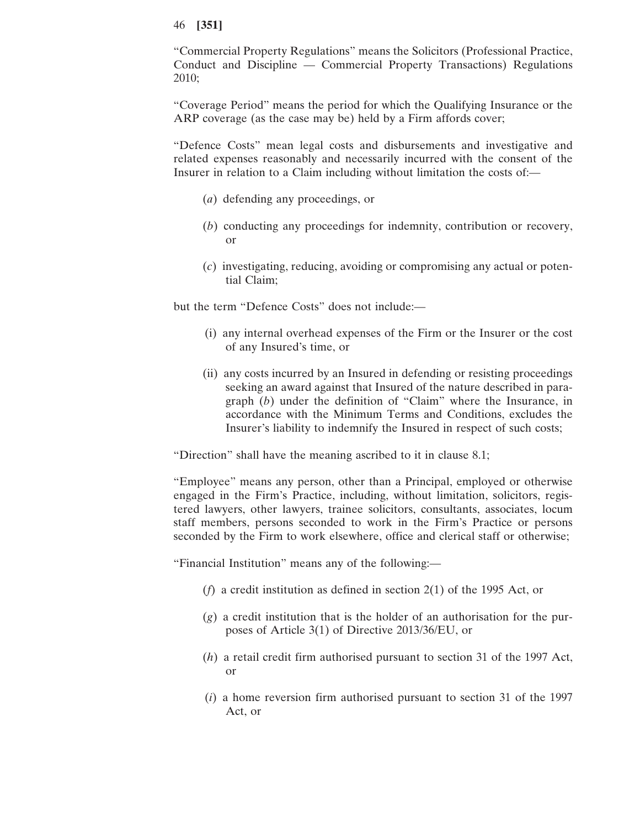"Commercial Property Regulations" means the Solicitors (Professional Practice, Conduct and Discipline — Commercial Property Transactions) Regulations 2010;

"Coverage Period" means the period for which the Qualifying Insurance or the ARP coverage (as the case may be) held by a Firm affords cover;

"Defence Costs" mean legal costs and disbursements and investigative and related expenses reasonably and necessarily incurred with the consent of the Insurer in relation to a Claim including without limitation the costs of:—

- (*a*) defending any proceedings, or
- (*b*) conducting any proceedings for indemnity, contribution or recovery, or
- (*c*) investigating, reducing, avoiding or compromising any actual or potential Claim;

but the term "Defence Costs" does not include:—

- (i) any internal overhead expenses of the Firm or the Insurer or the cost of any Insured's time, or
- (ii) any costs incurred by an Insured in defending or resisting proceedings seeking an award against that Insured of the nature described in paragraph (*b*) under the definition of "Claim" where the Insurance, in accordance with the Minimum Terms and Conditions, excludes the Insurer's liability to indemnify the Insured in respect of such costs;

"Direction" shall have the meaning ascribed to it in clause 8.1;

"Employee" means any person, other than a Principal, employed or otherwise engaged in the Firm's Practice, including, without limitation, solicitors, registered lawyers, other lawyers, trainee solicitors, consultants, associates, locum staff members, persons seconded to work in the Firm's Practice or persons seconded by the Firm to work elsewhere, office and clerical staff or otherwise;

"Financial Institution" means any of the following:—

- (*f*) a credit institution as defined in section 2(1) of the 1995 Act, or
- (*g*) a credit institution that is the holder of an authorisation for the purposes of Article 3(1) of Directive 2013/36/EU, or
- (*h*) a retail credit firm authorised pursuant to section 31 of the 1997 Act, or
- (*i*) a home reversion firm authorised pursuant to section 31 of the 1997 Act, or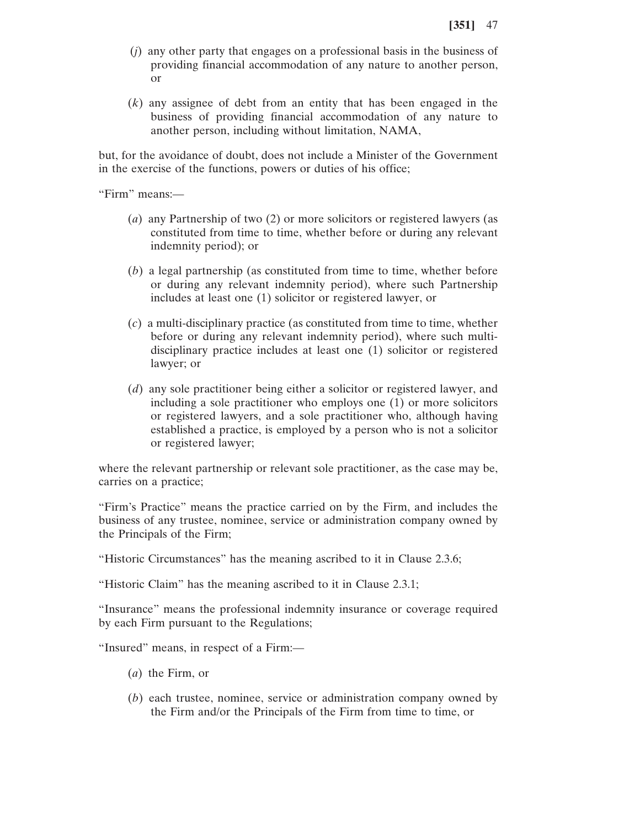- (*j*) any other party that engages on a professional basis in the business of providing financial accommodation of any nature to another person, or
- (*k*) any assignee of debt from an entity that has been engaged in the business of providing financial accommodation of any nature to another person, including without limitation, NAMA,

but, for the avoidance of doubt, does not include a Minister of the Government in the exercise of the functions, powers or duties of his office;

"Firm" means:—

- (*a*) any Partnership of two (2) or more solicitors or registered lawyers (as constituted from time to time, whether before or during any relevant indemnity period); or
- (*b*) a legal partnership (as constituted from time to time, whether before or during any relevant indemnity period), where such Partnership includes at least one (1) solicitor or registered lawyer, or
- (*c*) a multi-disciplinary practice (as constituted from time to time, whether before or during any relevant indemnity period), where such multidisciplinary practice includes at least one (1) solicitor or registered lawyer; or
- (*d*) any sole practitioner being either a solicitor or registered lawyer, and including a sole practitioner who employs one (1) or more solicitors or registered lawyers, and a sole practitioner who, although having established a practice, is employed by a person who is not a solicitor or registered lawyer;

where the relevant partnership or relevant sole practitioner, as the case may be, carries on a practice;

"Firm's Practice" means the practice carried on by the Firm, and includes the business of any trustee, nominee, service or administration company owned by the Principals of the Firm;

"Historic Circumstances" has the meaning ascribed to it in Clause 2.3.6;

"Historic Claim" has the meaning ascribed to it in Clause 2.3.1;

"Insurance" means the professional indemnity insurance or coverage required by each Firm pursuant to the Regulations;

"Insured" means, in respect of a Firm:—

- (*a*) the Firm, or
- (*b*) each trustee, nominee, service or administration company owned by the Firm and/or the Principals of the Firm from time to time, or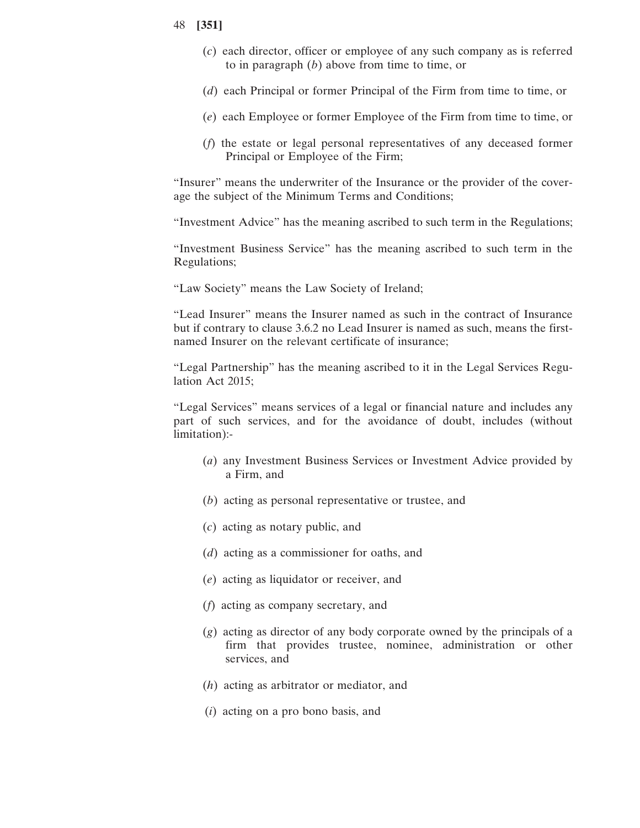- (*c*) each director, officer or employee of any such company as is referred to in paragraph (*b*) above from time to time, or
- (*d*) each Principal or former Principal of the Firm from time to time, or
- (*e*) each Employee or former Employee of the Firm from time to time, or
- (*f*) the estate or legal personal representatives of any deceased former Principal or Employee of the Firm;

"Insurer" means the underwriter of the Insurance or the provider of the coverage the subject of the Minimum Terms and Conditions;

"Investment Advice" has the meaning ascribed to such term in the Regulations;

"Investment Business Service" has the meaning ascribed to such term in the Regulations;

"Law Society" means the Law Society of Ireland;

"Lead Insurer" means the Insurer named as such in the contract of Insurance but if contrary to clause 3.6.2 no Lead Insurer is named as such, means the firstnamed Insurer on the relevant certificate of insurance;

"Legal Partnership" has the meaning ascribed to it in the Legal Services Regulation Act 2015;

"Legal Services" means services of a legal or financial nature and includes any part of such services, and for the avoidance of doubt, includes (without limitation):-

- (*a*) any Investment Business Services or Investment Advice provided by a Firm, and
- (*b*) acting as personal representative or trustee, and
- (*c*) acting as notary public, and
- (*d*) acting as a commissioner for oaths, and
- (*e*) acting as liquidator or receiver, and
- (*f*) acting as company secretary, and
- (*g*) acting as director of any body corporate owned by the principals of a firm that provides trustee, nominee, administration or other services, and
- (*h*) acting as arbitrator or mediator, and
- (*i*) acting on a pro bono basis, and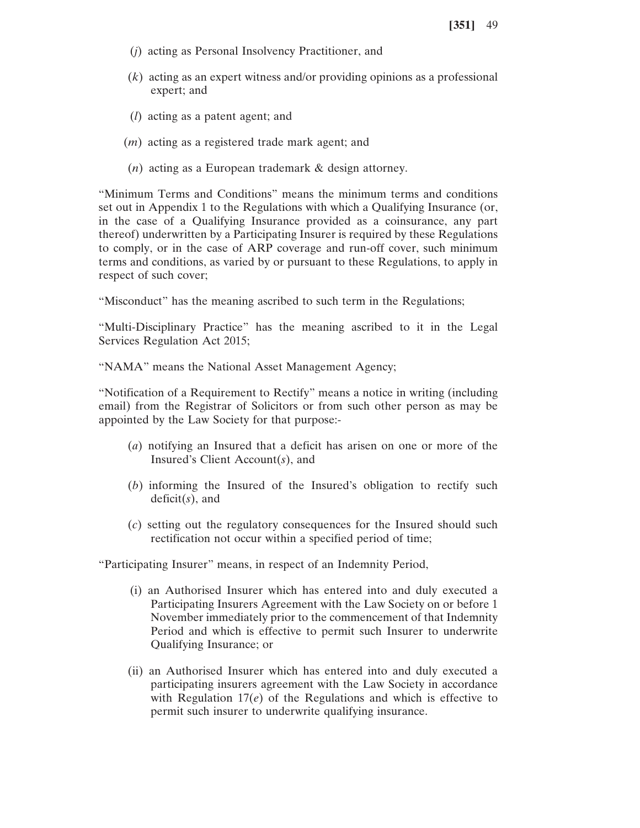- (*j*) acting as Personal Insolvency Practitioner, and
- (*k*) acting as an expert witness and/or providing opinions as a professional expert; and
- (*l*) acting as a patent agent; and
- (*m*) acting as a registered trade mark agent; and
- (*n*) acting as a European trademark & design attorney.

"Minimum Terms and Conditions" means the minimum terms and conditions set out in Appendix 1 to the Regulations with which a Qualifying Insurance (or, in the case of a Qualifying Insurance provided as a coinsurance, any part thereof) underwritten by a Participating Insurer is required by these Regulations to comply, or in the case of ARP coverage and run-off cover, such minimum terms and conditions, as varied by or pursuant to these Regulations, to apply in respect of such cover;

"Misconduct" has the meaning ascribed to such term in the Regulations;

"Multi-Disciplinary Practice" has the meaning ascribed to it in the Legal Services Regulation Act 2015;

"NAMA" means the National Asset Management Agency;

"Notification of a Requirement to Rectify" means a notice in writing (including email) from the Registrar of Solicitors or from such other person as may be appointed by the Law Society for that purpose:-

- (*a*) notifying an Insured that a deficit has arisen on one or more of the Insured's Client Account(*s*), and
- (*b*) informing the Insured of the Insured's obligation to rectify such deficit(*s*), and
- (*c*) setting out the regulatory consequences for the Insured should such rectification not occur within a specified period of time;

"Participating Insurer" means, in respect of an Indemnity Period,

- (i) an Authorised Insurer which has entered into and duly executed a Participating Insurers Agreement with the Law Society on or before 1 November immediately prior to the commencement of that Indemnity Period and which is effective to permit such Insurer to underwrite Qualifying Insurance; or
- (ii) an Authorised Insurer which has entered into and duly executed a participating insurers agreement with the Law Society in accordance with Regulation 17(*e*) of the Regulations and which is effective to permit such insurer to underwrite qualifying insurance.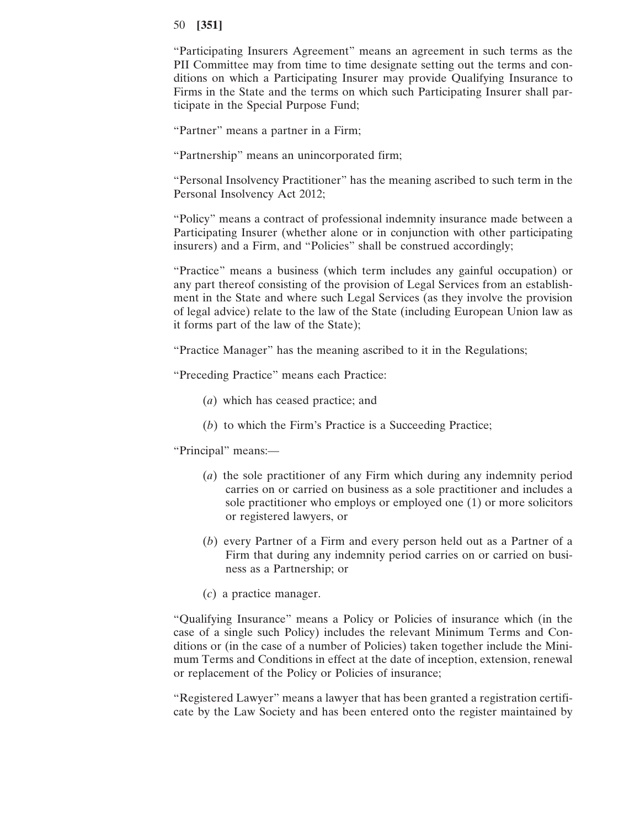"Participating Insurers Agreement" means an agreement in such terms as the PII Committee may from time to time designate setting out the terms and conditions on which a Participating Insurer may provide Qualifying Insurance to Firms in the State and the terms on which such Participating Insurer shall participate in the Special Purpose Fund;

"Partner" means a partner in a Firm;

"Partnership" means an unincorporated firm;

"Personal Insolvency Practitioner" has the meaning ascribed to such term in the Personal Insolvency Act 2012;

"Policy" means a contract of professional indemnity insurance made between a Participating Insurer (whether alone or in conjunction with other participating insurers) and a Firm, and "Policies" shall be construed accordingly;

"Practice" means a business (which term includes any gainful occupation) or any part thereof consisting of the provision of Legal Services from an establishment in the State and where such Legal Services (as they involve the provision of legal advice) relate to the law of the State (including European Union law as it forms part of the law of the State);

"Practice Manager" has the meaning ascribed to it in the Regulations;

"Preceding Practice" means each Practice:

- (*a*) which has ceased practice; and
- (*b*) to which the Firm's Practice is a Succeeding Practice;

"Principal" means:—

- (*a*) the sole practitioner of any Firm which during any indemnity period carries on or carried on business as a sole practitioner and includes a sole practitioner who employs or employed one (1) or more solicitors or registered lawyers, or
- (*b*) every Partner of a Firm and every person held out as a Partner of a Firm that during any indemnity period carries on or carried on business as a Partnership; or
- (*c*) a practice manager.

"Qualifying Insurance" means a Policy or Policies of insurance which (in the case of a single such Policy) includes the relevant Minimum Terms and Conditions or (in the case of a number of Policies) taken together include the Minimum Terms and Conditions in effect at the date of inception, extension, renewal or replacement of the Policy or Policies of insurance;

"Registered Lawyer" means a lawyer that has been granted a registration certificate by the Law Society and has been entered onto the register maintained by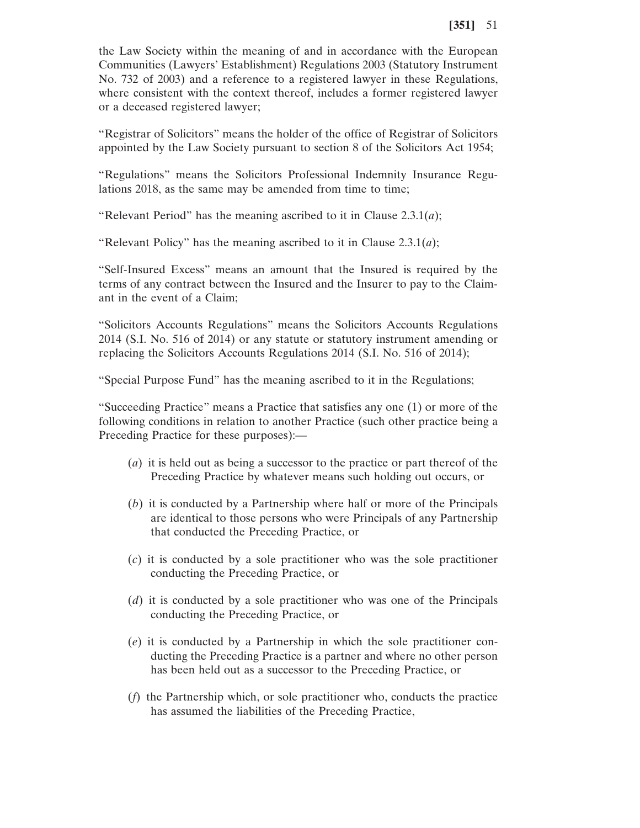the Law Society within the meaning of and in accordance with the European Communities (Lawyers' Establishment) Regulations 2003 (Statutory Instrument No. 732 of 2003) and a reference to a registered lawyer in these Regulations, where consistent with the context thereof, includes a former registered lawyer or a deceased registered lawyer;

"Registrar of Solicitors" means the holder of the office of Registrar of Solicitors appointed by the Law Society pursuant to section 8 of the Solicitors Act 1954;

"Regulations" means the Solicitors Professional Indemnity Insurance Regulations 2018, as the same may be amended from time to time;

"Relevant Period" has the meaning ascribed to it in Clause 2.3.1(*a*);

"Relevant Policy" has the meaning ascribed to it in Clause 2.3.1(*a*);

"Self-Insured Excess" means an amount that the Insured is required by the terms of any contract between the Insured and the Insurer to pay to the Claimant in the event of a Claim;

"Solicitors Accounts Regulations" means the Solicitors Accounts Regulations 2014 (S.I. No. 516 of 2014) or any statute or statutory instrument amending or replacing the Solicitors Accounts Regulations 2014 (S.I. No. 516 of 2014);

"Special Purpose Fund" has the meaning ascribed to it in the Regulations;

"Succeeding Practice" means a Practice that satisfies any one (1) or more of the following conditions in relation to another Practice (such other practice being a Preceding Practice for these purposes):—

- (*a*) it is held out as being a successor to the practice or part thereof of the Preceding Practice by whatever means such holding out occurs, or
- (*b*) it is conducted by a Partnership where half or more of the Principals are identical to those persons who were Principals of any Partnership that conducted the Preceding Practice, or
- (*c*) it is conducted by a sole practitioner who was the sole practitioner conducting the Preceding Practice, or
- (*d*) it is conducted by a sole practitioner who was one of the Principals conducting the Preceding Practice, or
- (*e*) it is conducted by a Partnership in which the sole practitioner conducting the Preceding Practice is a partner and where no other person has been held out as a successor to the Preceding Practice, or
- (*f*) the Partnership which, or sole practitioner who, conducts the practice has assumed the liabilities of the Preceding Practice,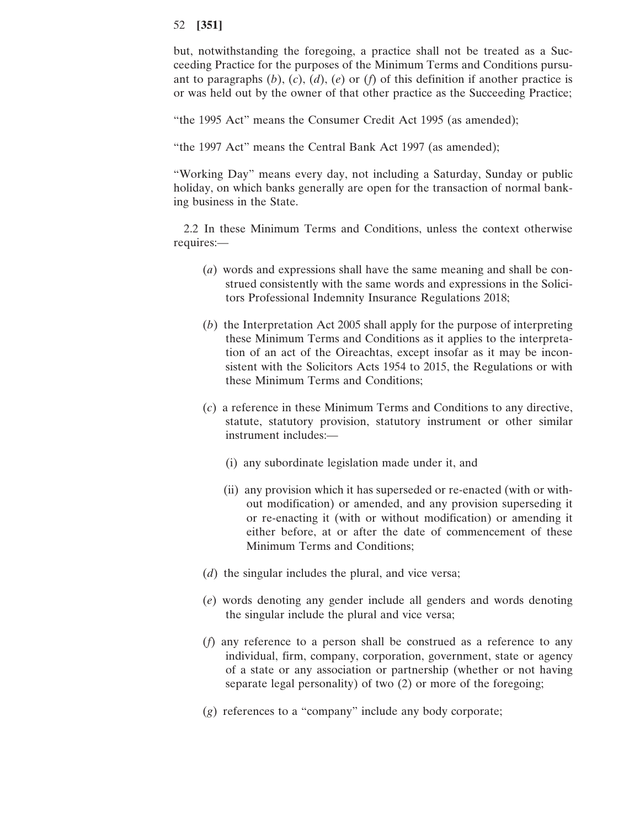but, notwithstanding the foregoing, a practice shall not be treated as a Succeeding Practice for the purposes of the Minimum Terms and Conditions pursuant to paragraphs (*b*), (*c*), (*d*), (*e*) or (*f*) of this definition if another practice is or was held out by the owner of that other practice as the Succeeding Practice;

"the 1995 Act" means the Consumer Credit Act 1995 (as amended);

"the 1997 Act" means the Central Bank Act 1997 (as amended);

"Working Day" means every day, not including a Saturday, Sunday or public holiday, on which banks generally are open for the transaction of normal banking business in the State.

2.2 In these Minimum Terms and Conditions, unless the context otherwise requires:—

- (*a*) words and expressions shall have the same meaning and shall be construed consistently with the same words and expressions in the Solicitors Professional Indemnity Insurance Regulations 2018;
- (*b*) the Interpretation Act 2005 shall apply for the purpose of interpreting these Minimum Terms and Conditions as it applies to the interpretation of an act of the Oireachtas, except insofar as it may be inconsistent with the Solicitors Acts 1954 to 2015, the Regulations or with these Minimum Terms and Conditions;
- (*c*) a reference in these Minimum Terms and Conditions to any directive, statute, statutory provision, statutory instrument or other similar instrument includes:—
	- (i) any subordinate legislation made under it, and
	- (ii) any provision which it has superseded or re-enacted (with or without modification) or amended, and any provision superseding it or re-enacting it (with or without modification) or amending it either before, at or after the date of commencement of these Minimum Terms and Conditions;
- (*d*) the singular includes the plural, and vice versa;
- (*e*) words denoting any gender include all genders and words denoting the singular include the plural and vice versa;
- (*f*) any reference to a person shall be construed as a reference to any individual, firm, company, corporation, government, state or agency of a state or any association or partnership (whether or not having separate legal personality) of two (2) or more of the foregoing;
- (*g*) references to a "company" include any body corporate;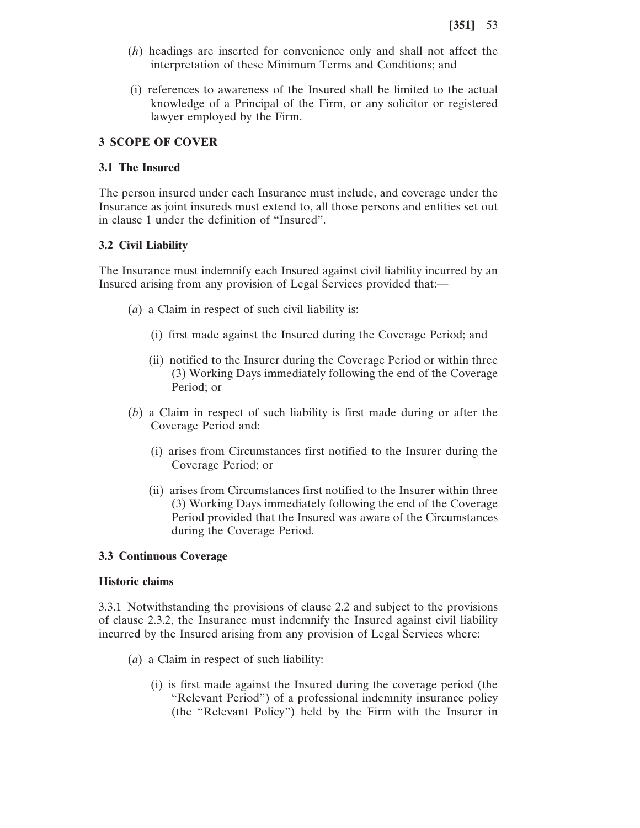- (*h*) headings are inserted for convenience only and shall not affect the interpretation of these Minimum Terms and Conditions; and
- (i) references to awareness of the Insured shall be limited to the actual knowledge of a Principal of the Firm, or any solicitor or registered lawyer employed by the Firm.

## **3 SCOPE OF COVER**

### **3.1 The Insured**

The person insured under each Insurance must include, and coverage under the Insurance as joint insureds must extend to, all those persons and entities set out in clause 1 under the definition of "Insured".

## **3.2 Civil Liability**

The Insurance must indemnify each Insured against civil liability incurred by an Insured arising from any provision of Legal Services provided that:—

- (*a*) a Claim in respect of such civil liability is:
	- (i) first made against the Insured during the Coverage Period; and
	- (ii) notified to the Insurer during the Coverage Period or within three (3) Working Days immediately following the end of the Coverage Period; or
- (*b*) a Claim in respect of such liability is first made during or after the Coverage Period and:
	- (i) arises from Circumstances first notified to the Insurer during the Coverage Period; or
	- (ii) arises from Circumstances first notified to the Insurer within three (3) Working Days immediately following the end of the Coverage Period provided that the Insured was aware of the Circumstances during the Coverage Period.

### **3.3 Continuous Coverage**

#### **Historic claims**

3.3.1 Notwithstanding the provisions of clause 2.2 and subject to the provisions of clause 2.3.2, the Insurance must indemnify the Insured against civil liability incurred by the Insured arising from any provision of Legal Services where:

- (*a*) a Claim in respect of such liability:
	- (i) is first made against the Insured during the coverage period (the "Relevant Period") of a professional indemnity insurance policy (the "Relevant Policy") held by the Firm with the Insurer in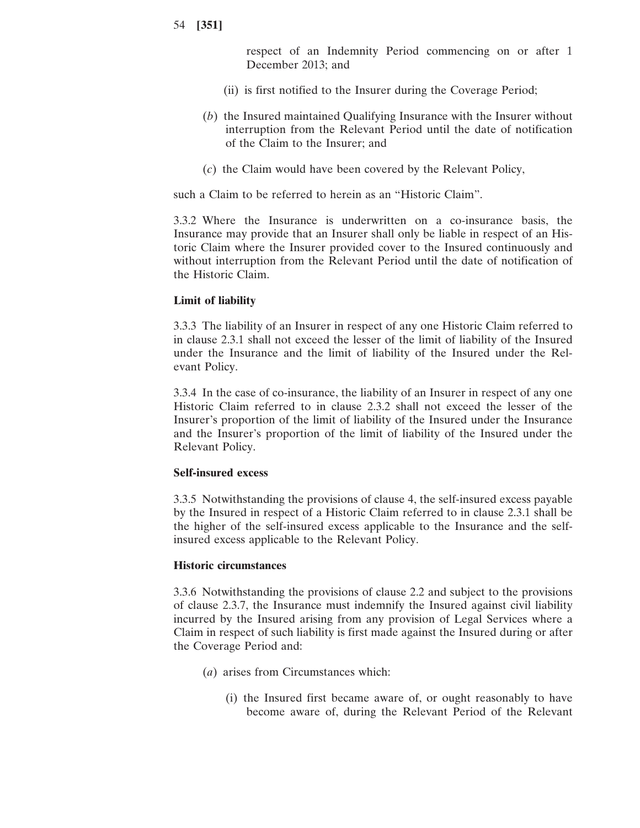respect of an Indemnity Period commencing on or after 1 December 2013; and

- (ii) is first notified to the Insurer during the Coverage Period;
- (*b*) the Insured maintained Qualifying Insurance with the Insurer without interruption from the Relevant Period until the date of notification of the Claim to the Insurer; and
- (*c*) the Claim would have been covered by the Relevant Policy,

such a Claim to be referred to herein as an "Historic Claim".

3.3.2 Where the Insurance is underwritten on a co-insurance basis, the Insurance may provide that an Insurer shall only be liable in respect of an Historic Claim where the Insurer provided cover to the Insured continuously and without interruption from the Relevant Period until the date of notification of the Historic Claim.

#### **Limit of liability**

3.3.3 The liability of an Insurer in respect of any one Historic Claim referred to in clause 2.3.1 shall not exceed the lesser of the limit of liability of the Insured under the Insurance and the limit of liability of the Insured under the Relevant Policy.

3.3.4 In the case of co-insurance, the liability of an Insurer in respect of any one Historic Claim referred to in clause 2.3.2 shall not exceed the lesser of the Insurer's proportion of the limit of liability of the Insured under the Insurance and the Insurer's proportion of the limit of liability of the Insured under the Relevant Policy.

#### **Self-insured excess**

3.3.5 Notwithstanding the provisions of clause 4, the self-insured excess payable by the Insured in respect of a Historic Claim referred to in clause 2.3.1 shall be the higher of the self-insured excess applicable to the Insurance and the selfinsured excess applicable to the Relevant Policy.

#### **Historic circumstances**

3.3.6 Notwithstanding the provisions of clause 2.2 and subject to the provisions of clause 2.3.7, the Insurance must indemnify the Insured against civil liability incurred by the Insured arising from any provision of Legal Services where a Claim in respect of such liability is first made against the Insured during or after the Coverage Period and:

- (*a*) arises from Circumstances which:
	- (i) the Insured first became aware of, or ought reasonably to have become aware of, during the Relevant Period of the Relevant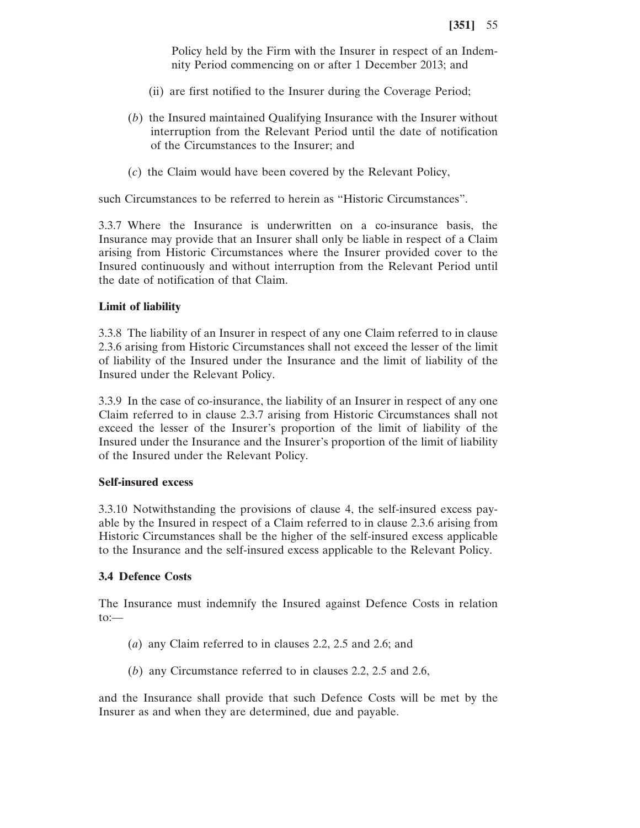Policy held by the Firm with the Insurer in respect of an Indemnity Period commencing on or after 1 December 2013; and

- (ii) are first notified to the Insurer during the Coverage Period;
- (*b*) the Insured maintained Qualifying Insurance with the Insurer without interruption from the Relevant Period until the date of notification of the Circumstances to the Insurer; and
- (*c*) the Claim would have been covered by the Relevant Policy,

such Circumstances to be referred to herein as "Historic Circumstances".

3.3.7 Where the Insurance is underwritten on a co-insurance basis, the Insurance may provide that an Insurer shall only be liable in respect of a Claim arising from Historic Circumstances where the Insurer provided cover to the Insured continuously and without interruption from the Relevant Period until the date of notification of that Claim.

#### **Limit of liability**

3.3.8 The liability of an Insurer in respect of any one Claim referred to in clause 2.3.6 arising from Historic Circumstances shall not exceed the lesser of the limit of liability of the Insured under the Insurance and the limit of liability of the Insured under the Relevant Policy.

3.3.9 In the case of co-insurance, the liability of an Insurer in respect of any one Claim referred to in clause 2.3.7 arising from Historic Circumstances shall not exceed the lesser of the Insurer's proportion of the limit of liability of the Insured under the Insurance and the Insurer's proportion of the limit of liability of the Insured under the Relevant Policy.

#### **Self-insured excess**

3.3.10 Notwithstanding the provisions of clause 4, the self-insured excess payable by the Insured in respect of a Claim referred to in clause 2.3.6 arising from Historic Circumstances shall be the higher of the self-insured excess applicable to the Insurance and the self-insured excess applicable to the Relevant Policy.

#### **3.4 Defence Costs**

The Insurance must indemnify the Insured against Defence Costs in relation to:—

- (*a*) any Claim referred to in clauses 2.2, 2.5 and 2.6; and
- (*b*) any Circumstance referred to in clauses 2.2, 2.5 and 2.6,

and the Insurance shall provide that such Defence Costs will be met by the Insurer as and when they are determined, due and payable.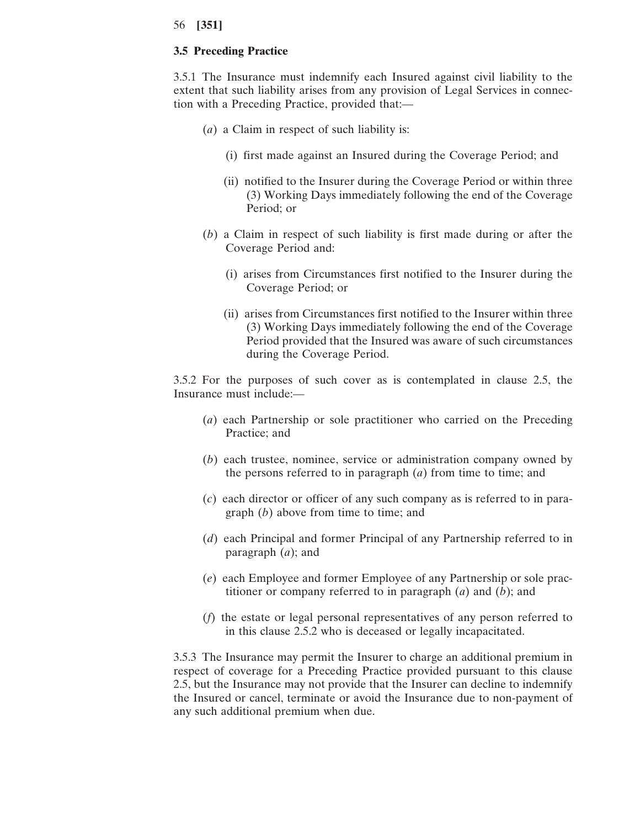### **3.5 Preceding Practice**

3.5.1 The Insurance must indemnify each Insured against civil liability to the extent that such liability arises from any provision of Legal Services in connection with a Preceding Practice, provided that:—

- (*a*) a Claim in respect of such liability is:
	- (i) first made against an Insured during the Coverage Period; and
	- (ii) notified to the Insurer during the Coverage Period or within three (3) Working Days immediately following the end of the Coverage Period; or
- (*b*) a Claim in respect of such liability is first made during or after the Coverage Period and:
	- (i) arises from Circumstances first notified to the Insurer during the Coverage Period; or
	- (ii) arises from Circumstances first notified to the Insurer within three (3) Working Days immediately following the end of the Coverage Period provided that the Insured was aware of such circumstances during the Coverage Period.

3.5.2 For the purposes of such cover as is contemplated in clause 2.5, the Insurance must include:—

- (*a*) each Partnership or sole practitioner who carried on the Preceding Practice; and
- (*b*) each trustee, nominee, service or administration company owned by the persons referred to in paragraph (*a*) from time to time; and
- (*c*) each director or officer of any such company as is referred to in paragraph (*b*) above from time to time; and
- (*d*) each Principal and former Principal of any Partnership referred to in paragraph (*a*); and
- (*e*) each Employee and former Employee of any Partnership or sole practitioner or company referred to in paragraph (*a*) and (*b*); and
- (*f*) the estate or legal personal representatives of any person referred to in this clause 2.5.2 who is deceased or legally incapacitated.

3.5.3 The Insurance may permit the Insurer to charge an additional premium in respect of coverage for a Preceding Practice provided pursuant to this clause 2.5, but the Insurance may not provide that the Insurer can decline to indemnify the Insured or cancel, terminate or avoid the Insurance due to non-payment of any such additional premium when due.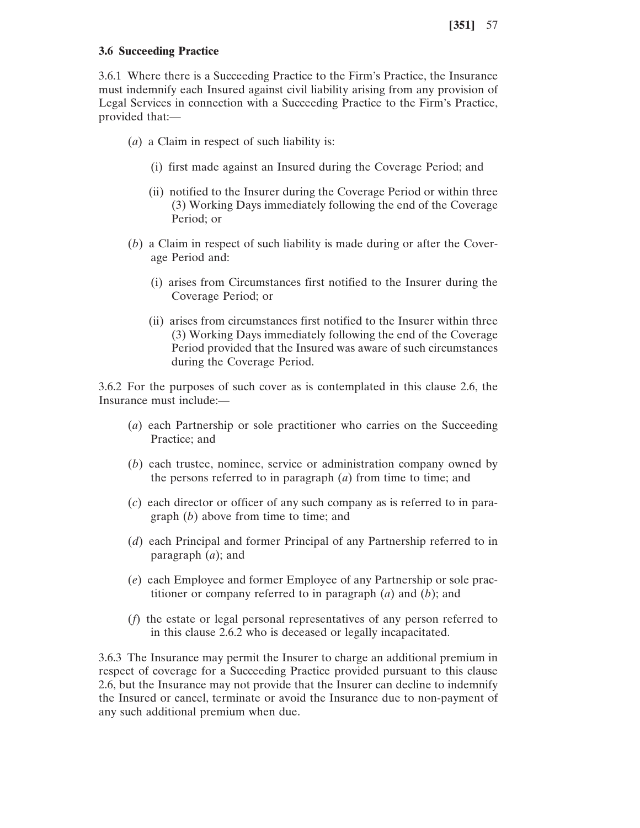### **3.6 Succeeding Practice**

3.6.1 Where there is a Succeeding Practice to the Firm's Practice, the Insurance must indemnify each Insured against civil liability arising from any provision of Legal Services in connection with a Succeeding Practice to the Firm's Practice, provided that:—

- (*a*) a Claim in respect of such liability is:
	- (i) first made against an Insured during the Coverage Period; and
	- (ii) notified to the Insurer during the Coverage Period or within three (3) Working Days immediately following the end of the Coverage Period; or
- (*b*) a Claim in respect of such liability is made during or after the Coverage Period and:
	- (i) arises from Circumstances first notified to the Insurer during the Coverage Period; or
	- (ii) arises from circumstances first notified to the Insurer within three (3) Working Days immediately following the end of the Coverage Period provided that the Insured was aware of such circumstances during the Coverage Period.

3.6.2 For the purposes of such cover as is contemplated in this clause 2.6, the Insurance must include:—

- (*a*) each Partnership or sole practitioner who carries on the Succeeding Practice; and
- (*b*) each trustee, nominee, service or administration company owned by the persons referred to in paragraph (*a*) from time to time; and
- (*c*) each director or officer of any such company as is referred to in paragraph (*b*) above from time to time; and
- (*d*) each Principal and former Principal of any Partnership referred to in paragraph (*a*); and
- (*e*) each Employee and former Employee of any Partnership or sole practitioner or company referred to in paragraph (*a*) and (*b*); and
- (*f*) the estate or legal personal representatives of any person referred to in this clause 2.6.2 who is deceased or legally incapacitated.

3.6.3 The Insurance may permit the Insurer to charge an additional premium in respect of coverage for a Succeeding Practice provided pursuant to this clause 2.6, but the Insurance may not provide that the Insurer can decline to indemnify the Insured or cancel, terminate or avoid the Insurance due to non-payment of any such additional premium when due.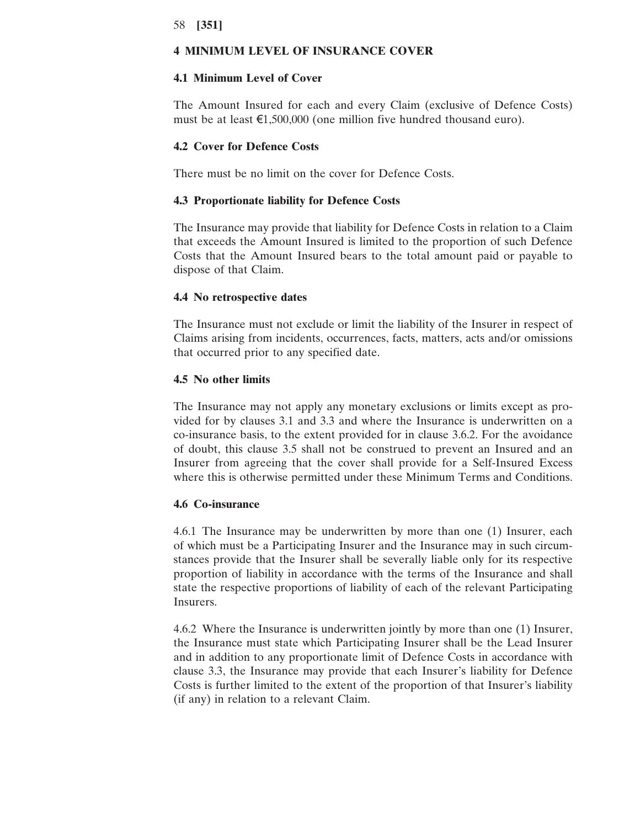### **4 MINIMUM LEVEL OF INSURANCE COVER**

## **4.1 Minimum Level of Cover**

The Amount Insured for each and every Claim (exclusive of Defence Costs) must be at least  $\epsilon$ 1,500,000 (one million five hundred thousand euro).

### **4.2 Cover for Defence Costs**

There must be no limit on the cover for Defence Costs.

#### **4.3 Proportionate liability for Defence Costs**

The Insurance may provide that liability for Defence Costs in relation to a Claim that exceeds the Amount Insured is limited to the proportion of such Defence Costs that the Amount Insured bears to the total amount paid or payable to dispose of that Claim.

#### **4.4 No retrospective dates**

The Insurance must not exclude or limit the liability of the Insurer in respect of Claims arising from incidents, occurrences, facts, matters, acts and/or omissions that occurred prior to any specified date.

## **4.5 No other limits**

The Insurance may not apply any monetary exclusions or limits except as provided for by clauses 3.1 and 3.3 and where the Insurance is underwritten on a co-insurance basis, to the extent provided for in clause 3.6.2. For the avoidance of doubt, this clause 3.5 shall not be construed to prevent an Insured and an Insurer from agreeing that the cover shall provide for a Self-Insured Excess where this is otherwise permitted under these Minimum Terms and Conditions.

#### **4.6 Co-insurance**

4.6.1 The Insurance may be underwritten by more than one (1) Insurer, each of which must be a Participating Insurer and the Insurance may in such circumstances provide that the Insurer shall be severally liable only for its respective proportion of liability in accordance with the terms of the Insurance and shall state the respective proportions of liability of each of the relevant Participating Insurers.

4.6.2 Where the Insurance is underwritten jointly by more than one (1) Insurer, the Insurance must state which Participating Insurer shall be the Lead Insurer and in addition to any proportionate limit of Defence Costs in accordance with clause 3.3, the Insurance may provide that each Insurer's liability for Defence Costs is further limited to the extent of the proportion of that Insurer's liability (if any) in relation to a relevant Claim.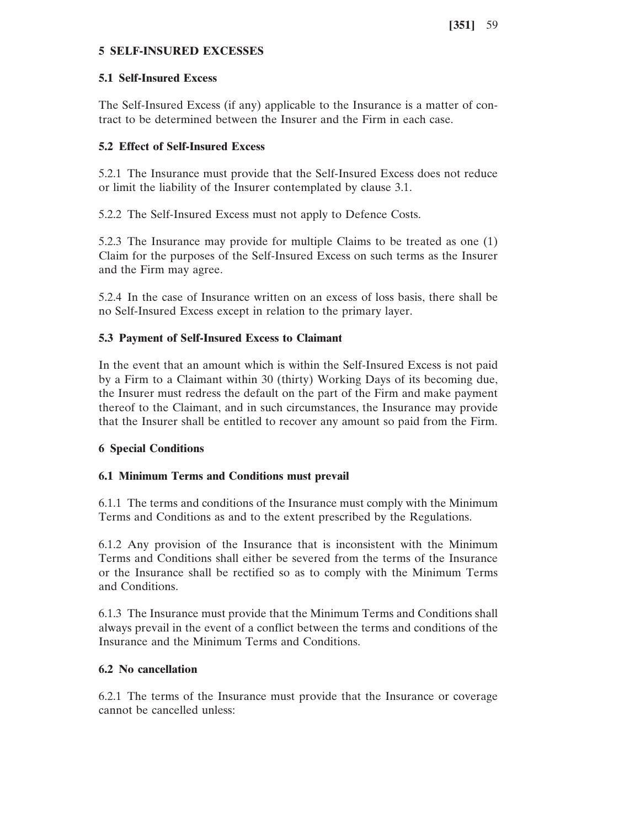## **5 SELF-INSURED EXCESSES**

### **5.1 Self-Insured Excess**

The Self-Insured Excess (if any) applicable to the Insurance is a matter of contract to be determined between the Insurer and the Firm in each case.

## **5.2 Effect of Self-Insured Excess**

5.2.1 The Insurance must provide that the Self-Insured Excess does not reduce or limit the liability of the Insurer contemplated by clause 3.1.

5.2.2 The Self-Insured Excess must not apply to Defence Costs.

5.2.3 The Insurance may provide for multiple Claims to be treated as one (1) Claim for the purposes of the Self-Insured Excess on such terms as the Insurer and the Firm may agree.

5.2.4 In the case of Insurance written on an excess of loss basis, there shall be no Self-Insured Excess except in relation to the primary layer.

## **5.3 Payment of Self-Insured Excess to Claimant**

In the event that an amount which is within the Self-Insured Excess is not paid by a Firm to a Claimant within 30 (thirty) Working Days of its becoming due, the Insurer must redress the default on the part of the Firm and make payment thereof to the Claimant, and in such circumstances, the Insurance may provide that the Insurer shall be entitled to recover any amount so paid from the Firm.

## **6 Special Conditions**

## **6.1 Minimum Terms and Conditions must prevail**

6.1.1 The terms and conditions of the Insurance must comply with the Minimum Terms and Conditions as and to the extent prescribed by the Regulations.

6.1.2 Any provision of the Insurance that is inconsistent with the Minimum Terms and Conditions shall either be severed from the terms of the Insurance or the Insurance shall be rectified so as to comply with the Minimum Terms and Conditions.

6.1.3 The Insurance must provide that the Minimum Terms and Conditions shall always prevail in the event of a conflict between the terms and conditions of the Insurance and the Minimum Terms and Conditions.

## **6.2 No cancellation**

6.2.1 The terms of the Insurance must provide that the Insurance or coverage cannot be cancelled unless: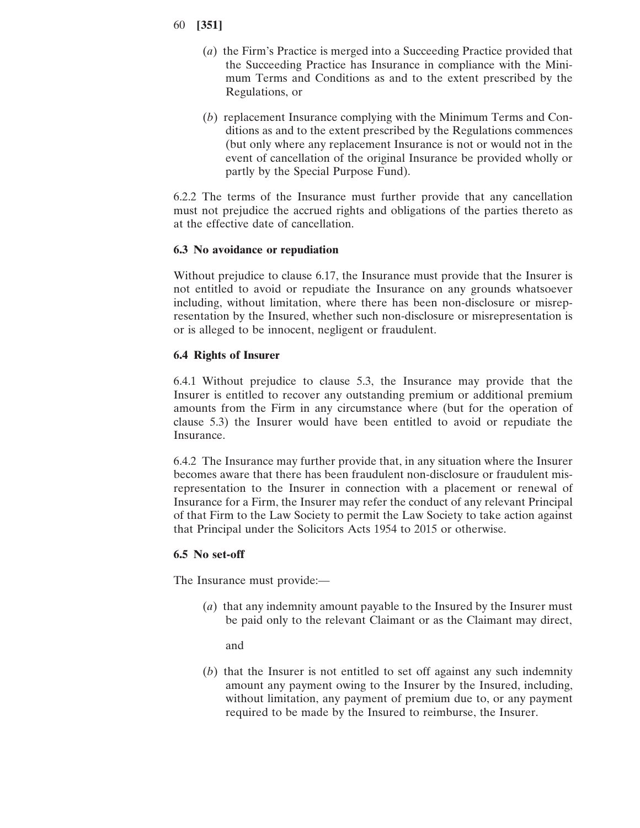- 60 **[351]**
	- (*a*) the Firm's Practice is merged into a Succeeding Practice provided that the Succeeding Practice has Insurance in compliance with the Minimum Terms and Conditions as and to the extent prescribed by the Regulations, or
	- (*b*) replacement Insurance complying with the Minimum Terms and Conditions as and to the extent prescribed by the Regulations commences (but only where any replacement Insurance is not or would not in the event of cancellation of the original Insurance be provided wholly or partly by the Special Purpose Fund).

6.2.2 The terms of the Insurance must further provide that any cancellation must not prejudice the accrued rights and obligations of the parties thereto as at the effective date of cancellation.

### **6.3 No avoidance or repudiation**

Without prejudice to clause 6.17, the Insurance must provide that the Insurer is not entitled to avoid or repudiate the Insurance on any grounds whatsoever including, without limitation, where there has been non-disclosure or misrepresentation by the Insured, whether such non-disclosure or misrepresentation is or is alleged to be innocent, negligent or fraudulent.

### **6.4 Rights of Insurer**

6.4.1 Without prejudice to clause 5.3, the Insurance may provide that the Insurer is entitled to recover any outstanding premium or additional premium amounts from the Firm in any circumstance where (but for the operation of clause 5.3) the Insurer would have been entitled to avoid or repudiate the Insurance.

6.4.2 The Insurance may further provide that, in any situation where the Insurer becomes aware that there has been fraudulent non-disclosure or fraudulent misrepresentation to the Insurer in connection with a placement or renewal of Insurance for a Firm, the Insurer may refer the conduct of any relevant Principal of that Firm to the Law Society to permit the Law Society to take action against that Principal under the Solicitors Acts 1954 to 2015 or otherwise.

#### **6.5 No set-off**

The Insurance must provide:—

(*a*) that any indemnity amount payable to the Insured by the Insurer must be paid only to the relevant Claimant or as the Claimant may direct,

and

(*b*) that the Insurer is not entitled to set off against any such indemnity amount any payment owing to the Insurer by the Insured, including, without limitation, any payment of premium due to, or any payment required to be made by the Insured to reimburse, the Insurer.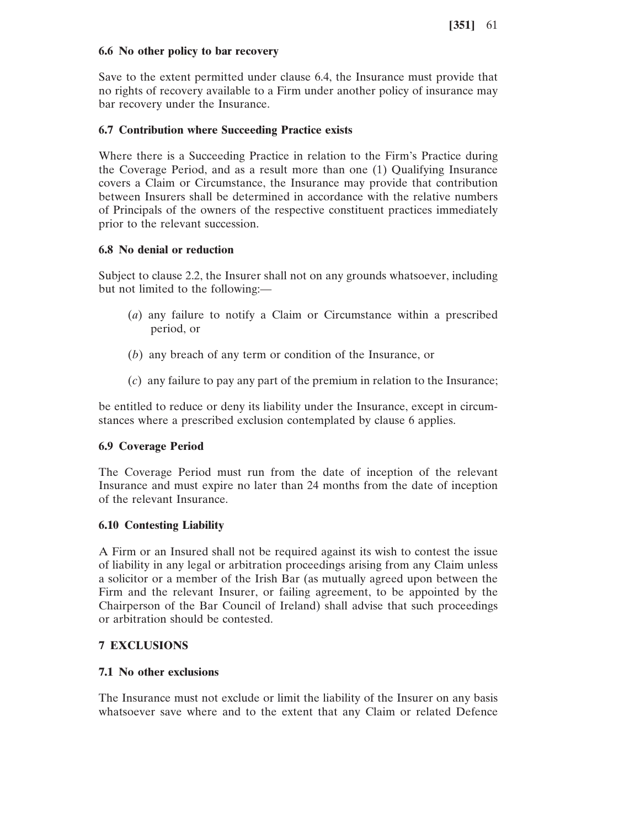### **6.6 No other policy to bar recovery**

Save to the extent permitted under clause 6.4, the Insurance must provide that no rights of recovery available to a Firm under another policy of insurance may bar recovery under the Insurance.

## **6.7 Contribution where Succeeding Practice exists**

Where there is a Succeeding Practice in relation to the Firm's Practice during the Coverage Period, and as a result more than one (1) Qualifying Insurance covers a Claim or Circumstance, the Insurance may provide that contribution between Insurers shall be determined in accordance with the relative numbers of Principals of the owners of the respective constituent practices immediately prior to the relevant succession.

## **6.8 No denial or reduction**

Subject to clause 2.2, the Insurer shall not on any grounds whatsoever, including but not limited to the following:—

- (*a*) any failure to notify a Claim or Circumstance within a prescribed period, or
- (*b*) any breach of any term or condition of the Insurance, or
- (*c*) any failure to pay any part of the premium in relation to the Insurance;

be entitled to reduce or deny its liability under the Insurance, except in circumstances where a prescribed exclusion contemplated by clause 6 applies.

## **6.9 Coverage Period**

The Coverage Period must run from the date of inception of the relevant Insurance and must expire no later than 24 months from the date of inception of the relevant Insurance.

## **6.10 Contesting Liability**

A Firm or an Insured shall not be required against its wish to contest the issue of liability in any legal or arbitration proceedings arising from any Claim unless a solicitor or a member of the Irish Bar (as mutually agreed upon between the Firm and the relevant Insurer, or failing agreement, to be appointed by the Chairperson of the Bar Council of Ireland) shall advise that such proceedings or arbitration should be contested.

# **7 EXCLUSIONS**

## **7.1 No other exclusions**

The Insurance must not exclude or limit the liability of the Insurer on any basis whatsoever save where and to the extent that any Claim or related Defence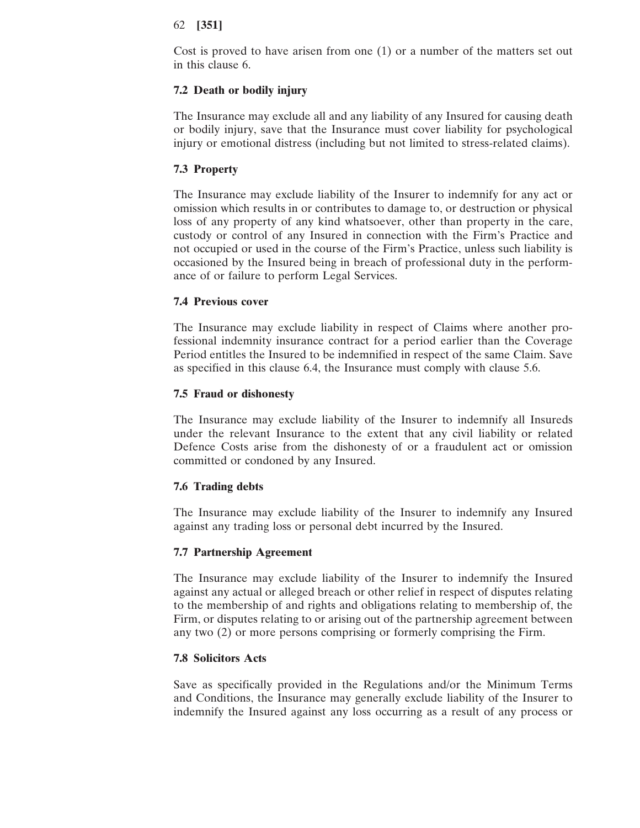Cost is proved to have arisen from one (1) or a number of the matters set out in this clause 6.

### **7.2 Death or bodily injury**

The Insurance may exclude all and any liability of any Insured for causing death or bodily injury, save that the Insurance must cover liability for psychological injury or emotional distress (including but not limited to stress-related claims).

### **7.3 Property**

The Insurance may exclude liability of the Insurer to indemnify for any act or omission which results in or contributes to damage to, or destruction or physical loss of any property of any kind whatsoever, other than property in the care, custody or control of any Insured in connection with the Firm's Practice and not occupied or used in the course of the Firm's Practice, unless such liability is occasioned by the Insured being in breach of professional duty in the performance of or failure to perform Legal Services.

### **7.4 Previous cover**

The Insurance may exclude liability in respect of Claims where another professional indemnity insurance contract for a period earlier than the Coverage Period entitles the Insured to be indemnified in respect of the same Claim. Save as specified in this clause 6.4, the Insurance must comply with clause 5.6.

#### **7.5 Fraud or dishonesty**

The Insurance may exclude liability of the Insurer to indemnify all Insureds under the relevant Insurance to the extent that any civil liability or related Defence Costs arise from the dishonesty of or a fraudulent act or omission committed or condoned by any Insured.

#### **7.6 Trading debts**

The Insurance may exclude liability of the Insurer to indemnify any Insured against any trading loss or personal debt incurred by the Insured.

#### **7.7 Partnership Agreement**

The Insurance may exclude liability of the Insurer to indemnify the Insured against any actual or alleged breach or other relief in respect of disputes relating to the membership of and rights and obligations relating to membership of, the Firm, or disputes relating to or arising out of the partnership agreement between any two (2) or more persons comprising or formerly comprising the Firm.

#### **7.8 Solicitors Acts**

Save as specifically provided in the Regulations and/or the Minimum Terms and Conditions, the Insurance may generally exclude liability of the Insurer to indemnify the Insured against any loss occurring as a result of any process or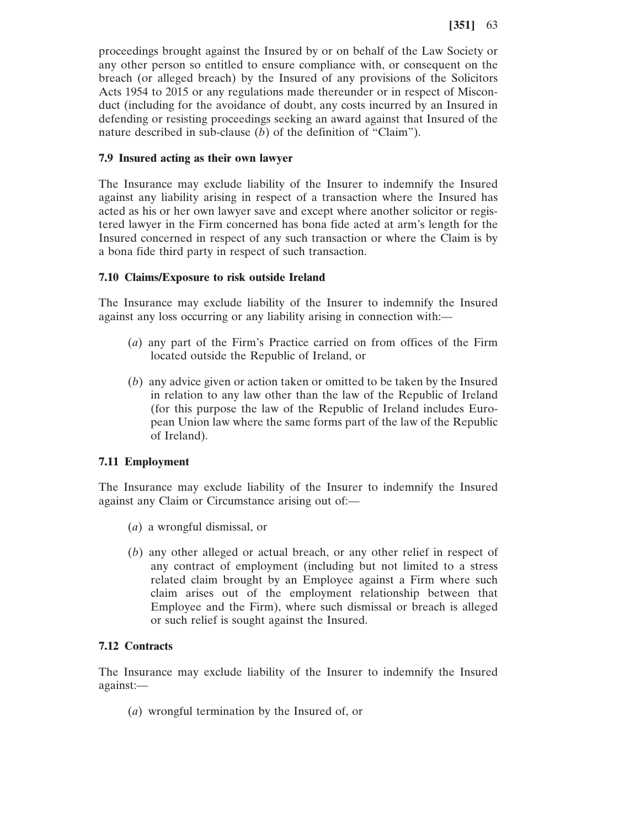proceedings brought against the Insured by or on behalf of the Law Society or any other person so entitled to ensure compliance with, or consequent on the breach (or alleged breach) by the Insured of any provisions of the Solicitors Acts 1954 to 2015 or any regulations made thereunder or in respect of Misconduct (including for the avoidance of doubt, any costs incurred by an Insured in defending or resisting proceedings seeking an award against that Insured of the nature described in sub-clause (*b*) of the definition of "Claim").

## **7.9 Insured acting as their own lawyer**

The Insurance may exclude liability of the Insurer to indemnify the Insured against any liability arising in respect of a transaction where the Insured has acted as his or her own lawyer save and except where another solicitor or registered lawyer in the Firm concerned has bona fide acted at arm's length for the Insured concerned in respect of any such transaction or where the Claim is by a bona fide third party in respect of such transaction.

## **7.10 Claims/Exposure to risk outside Ireland**

The Insurance may exclude liability of the Insurer to indemnify the Insured against any loss occurring or any liability arising in connection with:—

- (*a*) any part of the Firm's Practice carried on from offices of the Firm located outside the Republic of Ireland, or
- (*b*) any advice given or action taken or omitted to be taken by the Insured in relation to any law other than the law of the Republic of Ireland (for this purpose the law of the Republic of Ireland includes European Union law where the same forms part of the law of the Republic of Ireland).

## **7.11 Employment**

The Insurance may exclude liability of the Insurer to indemnify the Insured against any Claim or Circumstance arising out of:—

- (*a*) a wrongful dismissal, or
- (*b*) any other alleged or actual breach, or any other relief in respect of any contract of employment (including but not limited to a stress related claim brought by an Employee against a Firm where such claim arises out of the employment relationship between that Employee and the Firm), where such dismissal or breach is alleged or such relief is sought against the Insured.

## **7.12 Contracts**

The Insurance may exclude liability of the Insurer to indemnify the Insured against:—

(*a*) wrongful termination by the Insured of, or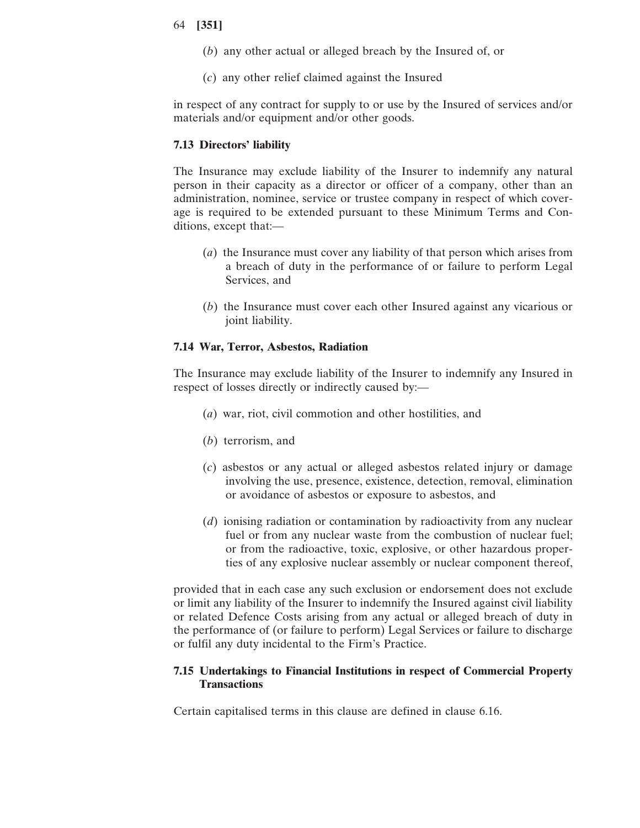- (*b*) any other actual or alleged breach by the Insured of, or
- (*c*) any other relief claimed against the Insured

in respect of any contract for supply to or use by the Insured of services and/or materials and/or equipment and/or other goods.

#### **7.13 Directors' liability**

The Insurance may exclude liability of the Insurer to indemnify any natural person in their capacity as a director or officer of a company, other than an administration, nominee, service or trustee company in respect of which coverage is required to be extended pursuant to these Minimum Terms and Conditions, except that:—

- (*a*) the Insurance must cover any liability of that person which arises from a breach of duty in the performance of or failure to perform Legal Services, and
- (*b*) the Insurance must cover each other Insured against any vicarious or joint liability.

#### **7.14 War, Terror, Asbestos, Radiation**

The Insurance may exclude liability of the Insurer to indemnify any Insured in respect of losses directly or indirectly caused by:—

- (*a*) war, riot, civil commotion and other hostilities, and
- (*b*) terrorism, and
- (*c*) asbestos or any actual or alleged asbestos related injury or damage involving the use, presence, existence, detection, removal, elimination or avoidance of asbestos or exposure to asbestos, and
- (*d*) ionising radiation or contamination by radioactivity from any nuclear fuel or from any nuclear waste from the combustion of nuclear fuel; or from the radioactive, toxic, explosive, or other hazardous properties of any explosive nuclear assembly or nuclear component thereof,

provided that in each case any such exclusion or endorsement does not exclude or limit any liability of the Insurer to indemnify the Insured against civil liability or related Defence Costs arising from any actual or alleged breach of duty in the performance of (or failure to perform) Legal Services or failure to discharge or fulfil any duty incidental to the Firm's Practice.

## **7.15 Undertakings to Financial Institutions in respect of Commercial Property Transactions**

Certain capitalised terms in this clause are defined in clause 6.16.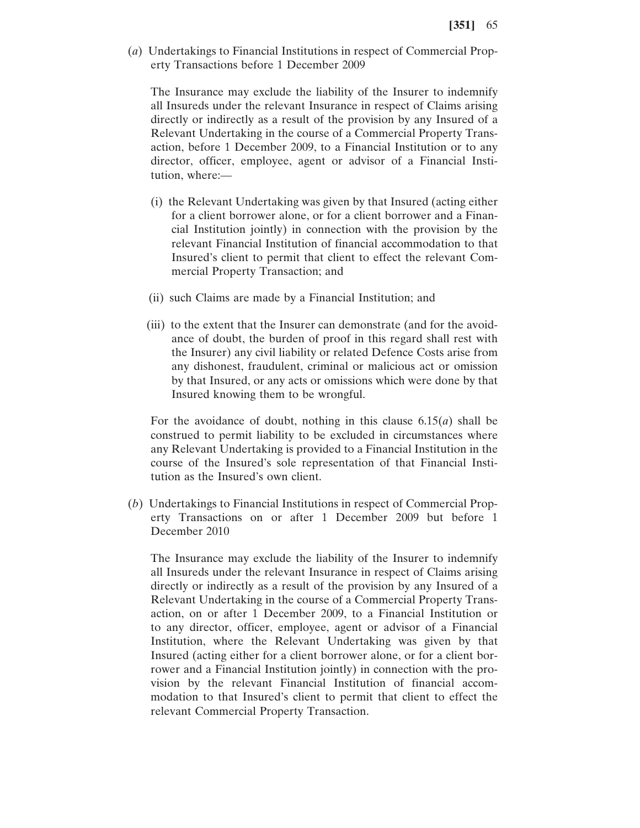(*a*) Undertakings to Financial Institutions in respect of Commercial Property Transactions before 1 December 2009

The Insurance may exclude the liability of the Insurer to indemnify all Insureds under the relevant Insurance in respect of Claims arising directly or indirectly as a result of the provision by any Insured of a Relevant Undertaking in the course of a Commercial Property Transaction, before 1 December 2009, to a Financial Institution or to any director, officer, employee, agent or advisor of a Financial Institution, where:—

- (i) the Relevant Undertaking was given by that Insured (acting either for a client borrower alone, or for a client borrower and a Financial Institution jointly) in connection with the provision by the relevant Financial Institution of financial accommodation to that Insured's client to permit that client to effect the relevant Commercial Property Transaction; and
- (ii) such Claims are made by a Financial Institution; and
- (iii) to the extent that the Insurer can demonstrate (and for the avoidance of doubt, the burden of proof in this regard shall rest with the Insurer) any civil liability or related Defence Costs arise from any dishonest, fraudulent, criminal or malicious act or omission by that Insured, or any acts or omissions which were done by that Insured knowing them to be wrongful.

For the avoidance of doubt, nothing in this clause 6.15(*a*) shall be construed to permit liability to be excluded in circumstances where any Relevant Undertaking is provided to a Financial Institution in the course of the Insured's sole representation of that Financial Institution as the Insured's own client.

(*b*) Undertakings to Financial Institutions in respect of Commercial Property Transactions on or after 1 December 2009 but before 1 December 2010

The Insurance may exclude the liability of the Insurer to indemnify all Insureds under the relevant Insurance in respect of Claims arising directly or indirectly as a result of the provision by any Insured of a Relevant Undertaking in the course of a Commercial Property Transaction, on or after 1 December 2009, to a Financial Institution or to any director, officer, employee, agent or advisor of a Financial Institution, where the Relevant Undertaking was given by that Insured (acting either for a client borrower alone, or for a client borrower and a Financial Institution jointly) in connection with the provision by the relevant Financial Institution of financial accommodation to that Insured's client to permit that client to effect the relevant Commercial Property Transaction.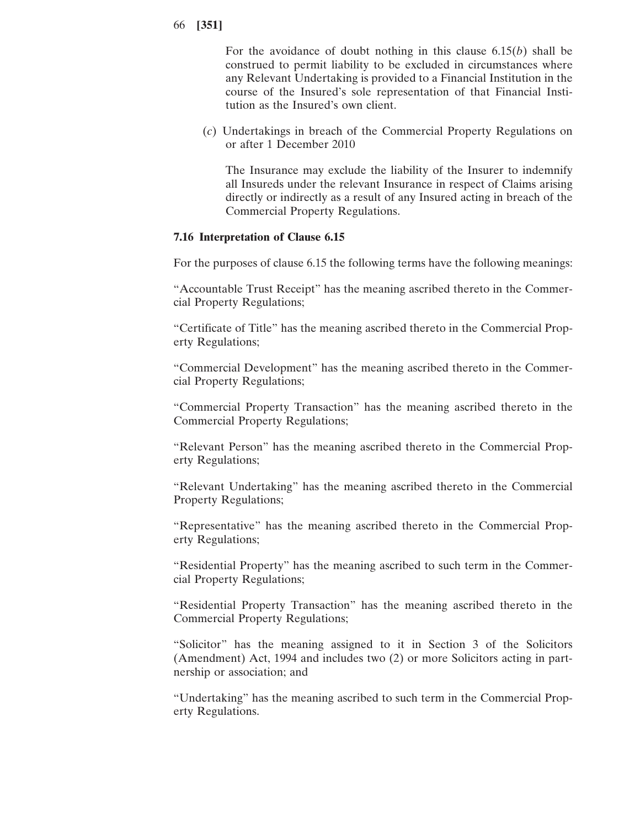For the avoidance of doubt nothing in this clause 6.15(*b*) shall be construed to permit liability to be excluded in circumstances where any Relevant Undertaking is provided to a Financial Institution in the course of the Insured's sole representation of that Financial Institution as the Insured's own client.

(*c*) Undertakings in breach of the Commercial Property Regulations on or after 1 December 2010

The Insurance may exclude the liability of the Insurer to indemnify all Insureds under the relevant Insurance in respect of Claims arising directly or indirectly as a result of any Insured acting in breach of the Commercial Property Regulations.

#### **7.16 Interpretation of Clause 6.15**

For the purposes of clause 6.15 the following terms have the following meanings:

"Accountable Trust Receipt" has the meaning ascribed thereto in the Commercial Property Regulations;

"Certificate of Title" has the meaning ascribed thereto in the Commercial Property Regulations;

"Commercial Development" has the meaning ascribed thereto in the Commercial Property Regulations;

"Commercial Property Transaction" has the meaning ascribed thereto in the Commercial Property Regulations;

"Relevant Person" has the meaning ascribed thereto in the Commercial Property Regulations;

"Relevant Undertaking" has the meaning ascribed thereto in the Commercial Property Regulations;

"Representative" has the meaning ascribed thereto in the Commercial Property Regulations;

"Residential Property" has the meaning ascribed to such term in the Commercial Property Regulations;

"Residential Property Transaction" has the meaning ascribed thereto in the Commercial Property Regulations;

"Solicitor" has the meaning assigned to it in Section 3 of the Solicitors (Amendment) Act, 1994 and includes two (2) or more Solicitors acting in partnership or association; and

"Undertaking" has the meaning ascribed to such term in the Commercial Property Regulations.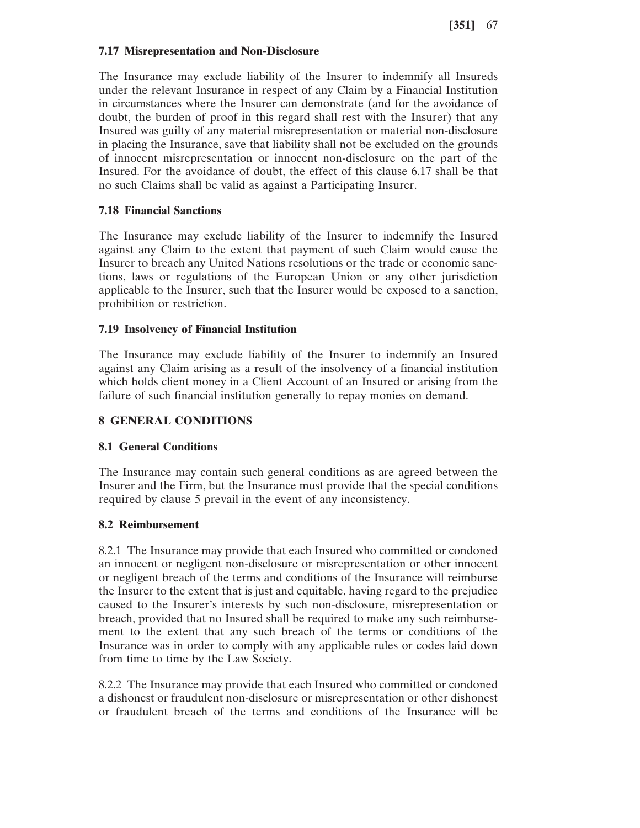### **7.17 Misrepresentation and Non-Disclosure**

The Insurance may exclude liability of the Insurer to indemnify all Insureds under the relevant Insurance in respect of any Claim by a Financial Institution in circumstances where the Insurer can demonstrate (and for the avoidance of doubt, the burden of proof in this regard shall rest with the Insurer) that any Insured was guilty of any material misrepresentation or material non-disclosure in placing the Insurance, save that liability shall not be excluded on the grounds of innocent misrepresentation or innocent non-disclosure on the part of the Insured. For the avoidance of doubt, the effect of this clause 6.17 shall be that no such Claims shall be valid as against a Participating Insurer.

## **7.18 Financial Sanctions**

The Insurance may exclude liability of the Insurer to indemnify the Insured against any Claim to the extent that payment of such Claim would cause the Insurer to breach any United Nations resolutions or the trade or economic sanctions, laws or regulations of the European Union or any other jurisdiction applicable to the Insurer, such that the Insurer would be exposed to a sanction, prohibition or restriction.

## **7.19 Insolvency of Financial Institution**

The Insurance may exclude liability of the Insurer to indemnify an Insured against any Claim arising as a result of the insolvency of a financial institution which holds client money in a Client Account of an Insured or arising from the failure of such financial institution generally to repay monies on demand.

## **8 GENERAL CONDITIONS**

## **8.1 General Conditions**

The Insurance may contain such general conditions as are agreed between the Insurer and the Firm, but the Insurance must provide that the special conditions required by clause 5 prevail in the event of any inconsistency.

#### **8.2 Reimbursement**

8.2.1 The Insurance may provide that each Insured who committed or condoned an innocent or negligent non-disclosure or misrepresentation or other innocent or negligent breach of the terms and conditions of the Insurance will reimburse the Insurer to the extent that is just and equitable, having regard to the prejudice caused to the Insurer's interests by such non-disclosure, misrepresentation or breach, provided that no Insured shall be required to make any such reimbursement to the extent that any such breach of the terms or conditions of the Insurance was in order to comply with any applicable rules or codes laid down from time to time by the Law Society.

8.2.2 The Insurance may provide that each Insured who committed or condoned a dishonest or fraudulent non-disclosure or misrepresentation or other dishonest or fraudulent breach of the terms and conditions of the Insurance will be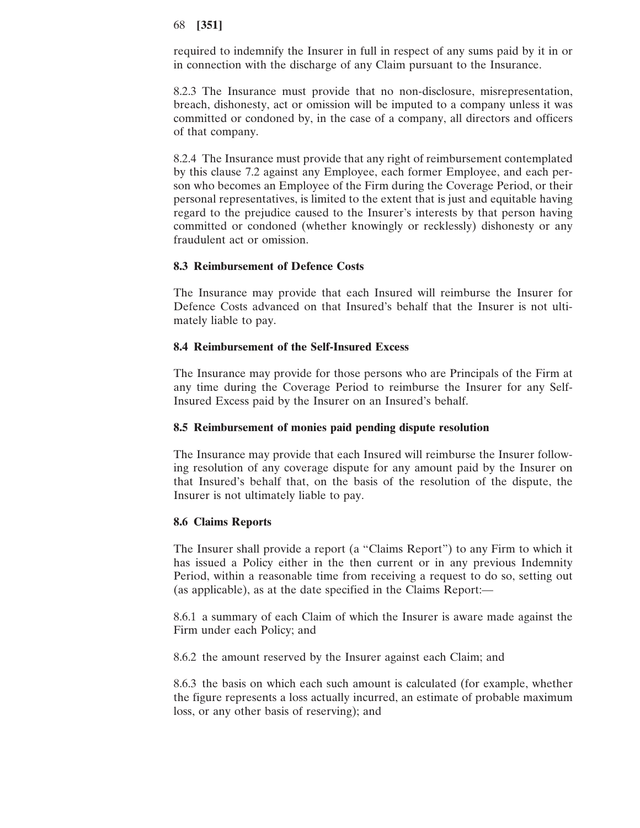required to indemnify the Insurer in full in respect of any sums paid by it in or in connection with the discharge of any Claim pursuant to the Insurance.

8.2.3 The Insurance must provide that no non-disclosure, misrepresentation, breach, dishonesty, act or omission will be imputed to a company unless it was committed or condoned by, in the case of a company, all directors and officers of that company.

8.2.4 The Insurance must provide that any right of reimbursement contemplated by this clause 7.2 against any Employee, each former Employee, and each person who becomes an Employee of the Firm during the Coverage Period, or their personal representatives, is limited to the extent that is just and equitable having regard to the prejudice caused to the Insurer's interests by that person having committed or condoned (whether knowingly or recklessly) dishonesty or any fraudulent act or omission.

## **8.3 Reimbursement of Defence Costs**

The Insurance may provide that each Insured will reimburse the Insurer for Defence Costs advanced on that Insured's behalf that the Insurer is not ultimately liable to pay.

### **8.4 Reimbursement of the Self-Insured Excess**

The Insurance may provide for those persons who are Principals of the Firm at any time during the Coverage Period to reimburse the Insurer for any Self-Insured Excess paid by the Insurer on an Insured's behalf.

## **8.5 Reimbursement of monies paid pending dispute resolution**

The Insurance may provide that each Insured will reimburse the Insurer following resolution of any coverage dispute for any amount paid by the Insurer on that Insured's behalf that, on the basis of the resolution of the dispute, the Insurer is not ultimately liable to pay.

## **8.6 Claims Reports**

The Insurer shall provide a report (a "Claims Report") to any Firm to which it has issued a Policy either in the then current or in any previous Indemnity Period, within a reasonable time from receiving a request to do so, setting out (as applicable), as at the date specified in the Claims Report:—

8.6.1 a summary of each Claim of which the Insurer is aware made against the Firm under each Policy; and

8.6.2 the amount reserved by the Insurer against each Claim; and

8.6.3 the basis on which each such amount is calculated (for example, whether the figure represents a loss actually incurred, an estimate of probable maximum loss, or any other basis of reserving); and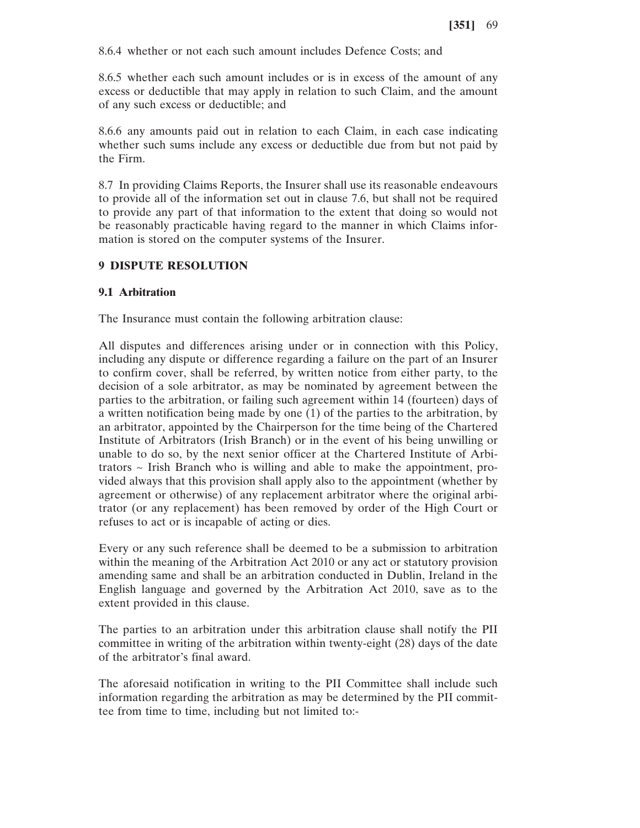8.6.4 whether or not each such amount includes Defence Costs; and

8.6.5 whether each such amount includes or is in excess of the amount of any excess or deductible that may apply in relation to such Claim, and the amount of any such excess or deductible; and

8.6.6 any amounts paid out in relation to each Claim, in each case indicating whether such sums include any excess or deductible due from but not paid by the Firm.

8.7 In providing Claims Reports, the Insurer shall use its reasonable endeavours to provide all of the information set out in clause 7.6, but shall not be required to provide any part of that information to the extent that doing so would not be reasonably practicable having regard to the manner in which Claims information is stored on the computer systems of the Insurer.

## **9 DISPUTE RESOLUTION**

## **9.1 Arbitration**

The Insurance must contain the following arbitration clause:

All disputes and differences arising under or in connection with this Policy, including any dispute or difference regarding a failure on the part of an Insurer to confirm cover, shall be referred, by written notice from either party, to the decision of a sole arbitrator, as may be nominated by agreement between the parties to the arbitration, or failing such agreement within 14 (fourteen) days of a written notification being made by one (1) of the parties to the arbitration, by an arbitrator, appointed by the Chairperson for the time being of the Chartered Institute of Arbitrators (Irish Branch) or in the event of his being unwilling or unable to do so, by the next senior officer at the Chartered Institute of Arbitrators  $\sim$  Irish Branch who is willing and able to make the appointment, provided always that this provision shall apply also to the appointment (whether by agreement or otherwise) of any replacement arbitrator where the original arbitrator (or any replacement) has been removed by order of the High Court or refuses to act or is incapable of acting or dies.

Every or any such reference shall be deemed to be a submission to arbitration within the meaning of the Arbitration Act 2010 or any act or statutory provision amending same and shall be an arbitration conducted in Dublin, Ireland in the English language and governed by the Arbitration Act 2010, save as to the extent provided in this clause.

The parties to an arbitration under this arbitration clause shall notify the PII committee in writing of the arbitration within twenty-eight (28) days of the date of the arbitrator's final award.

The aforesaid notification in writing to the PII Committee shall include such information regarding the arbitration as may be determined by the PII committee from time to time, including but not limited to:-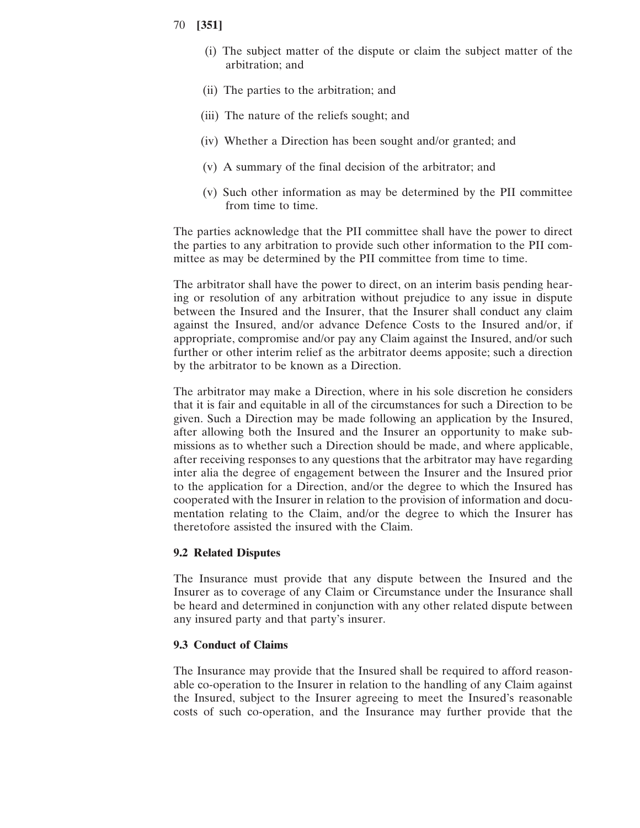- 70 **[351]**
	- (i) The subject matter of the dispute or claim the subject matter of the arbitration; and
	- (ii) The parties to the arbitration; and
	- (iii) The nature of the reliefs sought; and
	- (iv) Whether a Direction has been sought and/or granted; and
	- (v) A summary of the final decision of the arbitrator; and
	- (v) Such other information as may be determined by the PII committee from time to time.

The parties acknowledge that the PII committee shall have the power to direct the parties to any arbitration to provide such other information to the PII committee as may be determined by the PII committee from time to time.

The arbitrator shall have the power to direct, on an interim basis pending hearing or resolution of any arbitration without prejudice to any issue in dispute between the Insured and the Insurer, that the Insurer shall conduct any claim against the Insured, and/or advance Defence Costs to the Insured and/or, if appropriate, compromise and/or pay any Claim against the Insured, and/or such further or other interim relief as the arbitrator deems apposite; such a direction by the arbitrator to be known as a Direction.

The arbitrator may make a Direction, where in his sole discretion he considers that it is fair and equitable in all of the circumstances for such a Direction to be given. Such a Direction may be made following an application by the Insured, after allowing both the Insured and the Insurer an opportunity to make submissions as to whether such a Direction should be made, and where applicable, after receiving responses to any questions that the arbitrator may have regarding inter alia the degree of engagement between the Insurer and the Insured prior to the application for a Direction, and/or the degree to which the Insured has cooperated with the Insurer in relation to the provision of information and documentation relating to the Claim, and/or the degree to which the Insurer has theretofore assisted the insured with the Claim.

#### **9.2 Related Disputes**

The Insurance must provide that any dispute between the Insured and the Insurer as to coverage of any Claim or Circumstance under the Insurance shall be heard and determined in conjunction with any other related dispute between any insured party and that party's insurer.

## **9.3 Conduct of Claims**

The Insurance may provide that the Insured shall be required to afford reasonable co-operation to the Insurer in relation to the handling of any Claim against the Insured, subject to the Insurer agreeing to meet the Insured's reasonable costs of such co-operation, and the Insurance may further provide that the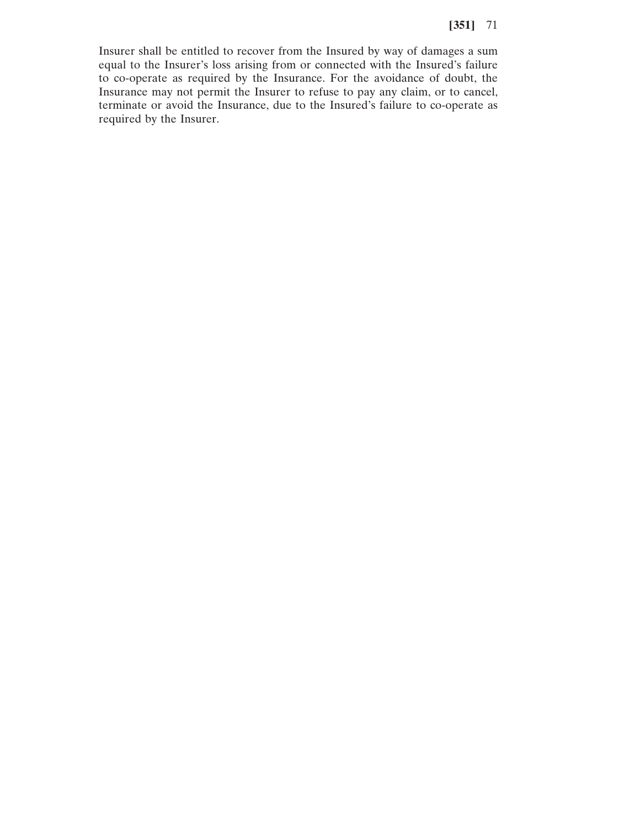Insurer shall be entitled to recover from the Insured by way of damages a sum equal to the Insurer's loss arising from or connected with the Insured's failure to co-operate as required by the Insurance. For the avoidance of doubt, the Insurance may not permit the Insurer to refuse to pay any claim, or to cancel, terminate or avoid the Insurance, due to the Insured's failure to co-operate as required by the Insurer.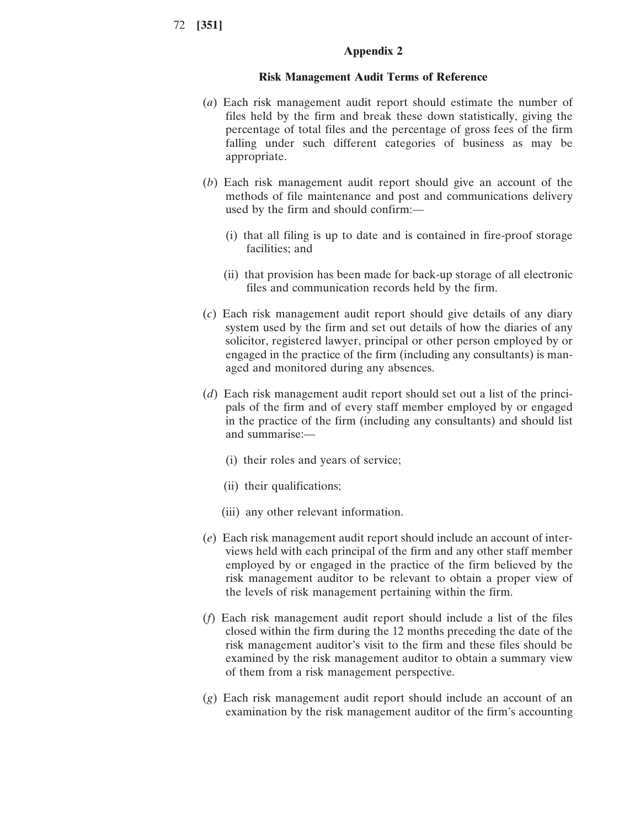#### **Appendix 2**

#### **Risk Management Audit Terms of Reference**

- (*a*) Each risk management audit report should estimate the number of files held by the firm and break these down statistically, giving the percentage of total files and the percentage of gross fees of the firm falling under such different categories of business as may be appropriate.
- (*b*) Each risk management audit report should give an account of the methods of file maintenance and post and communications delivery used by the firm and should confirm:—
	- (i) that all filing is up to date and is contained in fire-proof storage facilities; and
	- (ii) that provision has been made for back-up storage of all electronic files and communication records held by the firm.
- (*c*) Each risk management audit report should give details of any diary system used by the firm and set out details of how the diaries of any solicitor, registered lawyer, principal or other person employed by or engaged in the practice of the firm (including any consultants) is managed and monitored during any absences.
- (*d*) Each risk management audit report should set out a list of the principals of the firm and of every staff member employed by or engaged in the practice of the firm (including any consultants) and should list and summarise:—
	- (i) their roles and years of service;
	- (ii) their qualifications;
	- (iii) any other relevant information.
- (*e*) Each risk management audit report should include an account of interviews held with each principal of the firm and any other staff member employed by or engaged in the practice of the firm believed by the risk management auditor to be relevant to obtain a proper view of the levels of risk management pertaining within the firm.
- (*f*) Each risk management audit report should include a list of the files closed within the firm during the 12 months preceding the date of the risk management auditor's visit to the firm and these files should be examined by the risk management auditor to obtain a summary view of them from a risk management perspective.
- (*g*) Each risk management audit report should include an account of an examination by the risk management auditor of the firm's accounting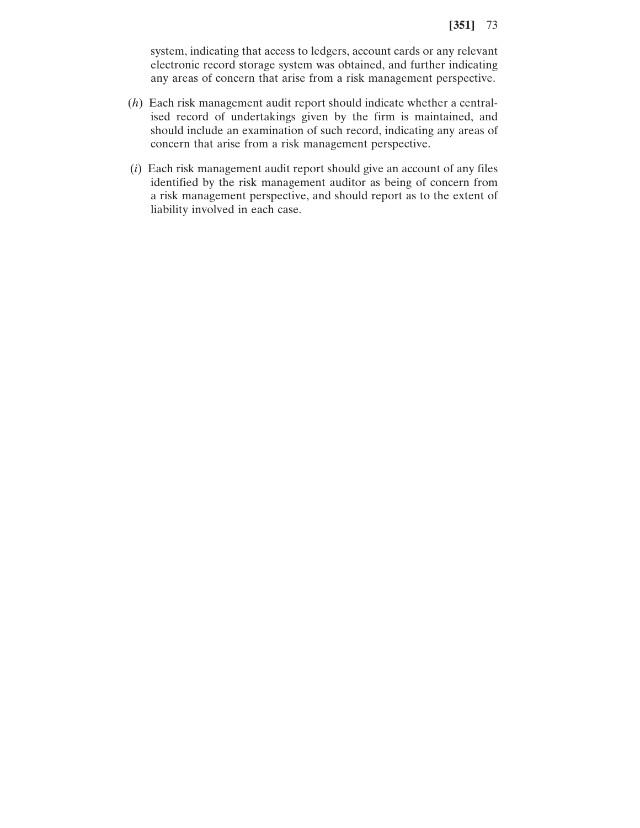system, indicating that access to ledgers, account cards or any relevant electronic record storage system was obtained, and further indicating any areas of concern that arise from a risk management perspective.

- (*h*) Each risk management audit report should indicate whether a centralised record of undertakings given by the firm is maintained, and should include an examination of such record, indicating any areas of concern that arise from a risk management perspective.
- (*i*) Each risk management audit report should give an account of any files identified by the risk management auditor as being of concern from a risk management perspective, and should report as to the extent of liability involved in each case.